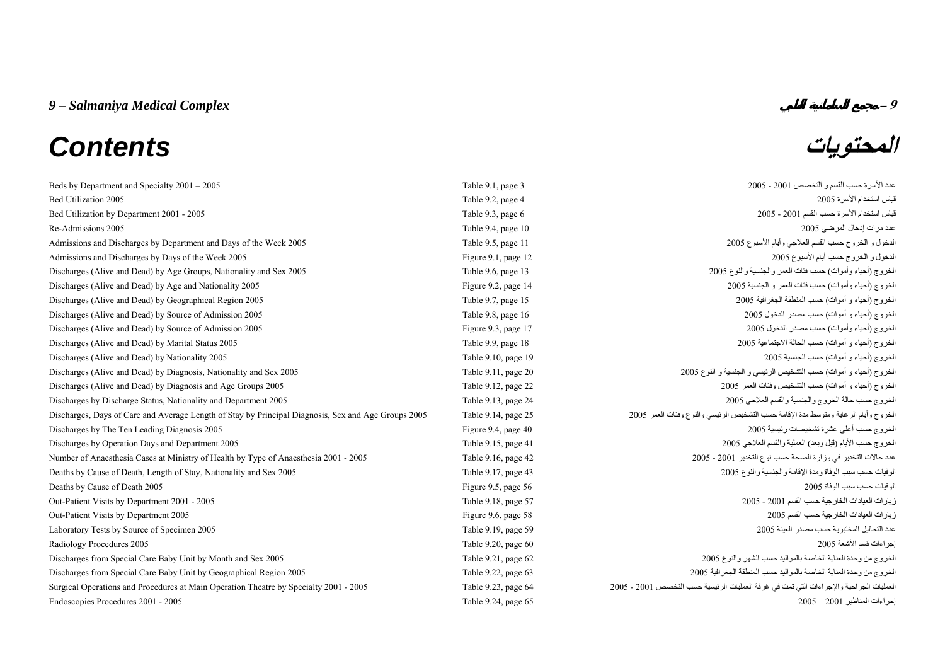# *9 – Salmaniya Medical Complex* **– 9 المحتويات** *Contents*

| Beds by Department and Specialty $2001 - 2005$                                                      | Table 9.1, page 3   | عدد الأسرة حسب القسم و التخصص 2001 - 2005                                              |
|-----------------------------------------------------------------------------------------------------|---------------------|----------------------------------------------------------------------------------------|
| Bed Utilization 2005                                                                                | Table 9.2, page 4   | قياس استخدام الأسرة 2005                                                               |
| Bed Utilization by Department 2001 - 2005                                                           | Table 9.3, page 6   | قياس استخدام الأسرة حسب القسم 2001 - 2005                                              |
| Re-Admissions 2005                                                                                  | Table 9.4, page 10  | عدد مرات إدخال المرضى 2005                                                             |
| Admissions and Discharges by Department and Days of the Week 2005                                   | Table 9.5, page 11  | الدخول و الخروج حسب القسم العلاجي وأيام الأسبوع 2005                                   |
| Admissions and Discharges by Days of the Week 2005                                                  | Figure 9.1, page 12 | الدخول و الخروج حسب أيام الأسبوع 2005                                                  |
| Discharges (Alive and Dead) by Age Groups, Nationality and Sex 2005                                 | Table 9.6, page 13  | الخروج (أحياء وأموات) حسب فئات العمر والجنسية والنوع 2005                              |
| Discharges (Alive and Dead) by Age and Nationality 2005                                             | Figure 9.2, page 14 | الخروج (أحياء وأموات) حسب فئات العمر و الجنسية 2005                                    |
| Discharges (Alive and Dead) by Geographical Region 2005                                             | Table 9.7, page 15  | الخروج (أحياء و أموات) حسب المنطقة الجغرافية 2005                                      |
| Discharges (Alive and Dead) by Source of Admission 2005                                             | Table 9.8, page 16  | الخروج (أحياء و أموات) حسب مصدر الدخول 2005                                            |
| Discharges (Alive and Dead) by Source of Admission 2005                                             | Figure 9.3, page 17 | الخروج (أحياء وأموات) حسب مصدر الدخول 2005                                             |
| Discharges (Alive and Dead) by Marital Status 2005                                                  | Table 9.9, page 18  | الخروج (أحياء و أموات) حسب الحالة الاجتماعية 2005                                      |
| Discharges (Alive and Dead) by Nationality 2005                                                     | Table 9.10, page 19 | الخروج (أحياء و أموات) حسب الجنسية 2005                                                |
| Discharges (Alive and Dead) by Diagnosis, Nationality and Sex 2005                                  | Table 9.11, page 20 | الخروج (أحياء و أموات) حسب التشخيص الرئيسي و الجنسية و النوع 2005                      |
| Discharges (Alive and Dead) by Diagnosis and Age Groups 2005                                        | Table 9.12, page 22 | الخروج (أحياء و أموات) حسب التشخيص وفئات العمر 2005                                    |
| Discharges by Discharge Status, Nationality and Department 2005                                     | Table 9.13, page 24 | الخروج حسب حالة الخروج والجنسية والقسم العلاجي 2005                                    |
| Discharges, Days of Care and Average Length of Stay by Principal Diagnosis, Sex and Age Groups 2005 | Table 9.14, page 25 | الخروج وأيام الرعاية ومتوسط مدة الإقامة حسب التشخيص الرئيسي والنوع وفئات العمر 2005    |
| Discharges by The Ten Leading Diagnosis 2005                                                        | Figure 9.4, page 40 | الخروج حسب أعلى عشرة تشخيصات رئيسية 2005                                               |
| Discharges by Operation Days and Department 2005                                                    | Table 9.15, page 41 | الخروج حسب الأيام (قبل وبعد) العملية والقسم العلاجي 2005                               |
| Number of Anaesthesia Cases at Ministry of Health by Type of Anaesthesia 2001 - 2005                | Table 9.16, page 42 | عدد حالات التخدير في وزارة الصحة حسب نوع التخدير 2001 - 2005                           |
| Deaths by Cause of Death, Length of Stay, Nationality and Sex 2005                                  | Table 9.17, page 43 | الوفيات حسب سبب الوفاة ومدة الإقامة والجنسية والنوع 2005                               |
| Deaths by Cause of Death 2005                                                                       | Figure 9.5, page 56 | الو فيات حسب سبب الو فاة 2005                                                          |
| Out-Patient Visits by Department 2001 - 2005                                                        | Table 9.18, page 57 | زيارات العيادات الخارجية حسب القسم 2001 - 2005                                         |
| Out-Patient Visits by Department 2005                                                               | Figure 9.6, page 58 | زيارات العيادات الخارجية حسب القسم 2005                                                |
| Laboratory Tests by Source of Specimen 2005                                                         | Table 9.19, page 59 | عدد التحاليل المختبرية حسب مصدر العينة 2005                                            |
| Radiology Procedures 2005                                                                           | Table 9.20, page 60 | إجر اءات قسم الأشعة 2005                                                               |
| Discharges from Special Care Baby Unit by Month and Sex 2005                                        | Table 9.21, page 62 | الخروج من وحدة العناية الخاصة بالمواليد حسب الشهر والنوع 2005                          |
| Discharges from Special Care Baby Unit by Geographical Region 2005                                  | Table 9.22, page 63 | الخروج من وحدة العناية الخاصة بالمواليد حسب المنطقة الجغرافية 2005                     |
| Surgical Operations and Procedures at Main Operation Theatre by Specialty 2001 - 2005               | Table 9.23, page 64 | العمليات الجراحية والإجراءات التي تمت في غرفة العمليات الرئيسية حسب التخصص 2001 - 2005 |
| Endoscopies Procedures 2001 - 2005                                                                  | Table 9.24, page 65 | إجراءات المناظير 2001 – 2005                                                           |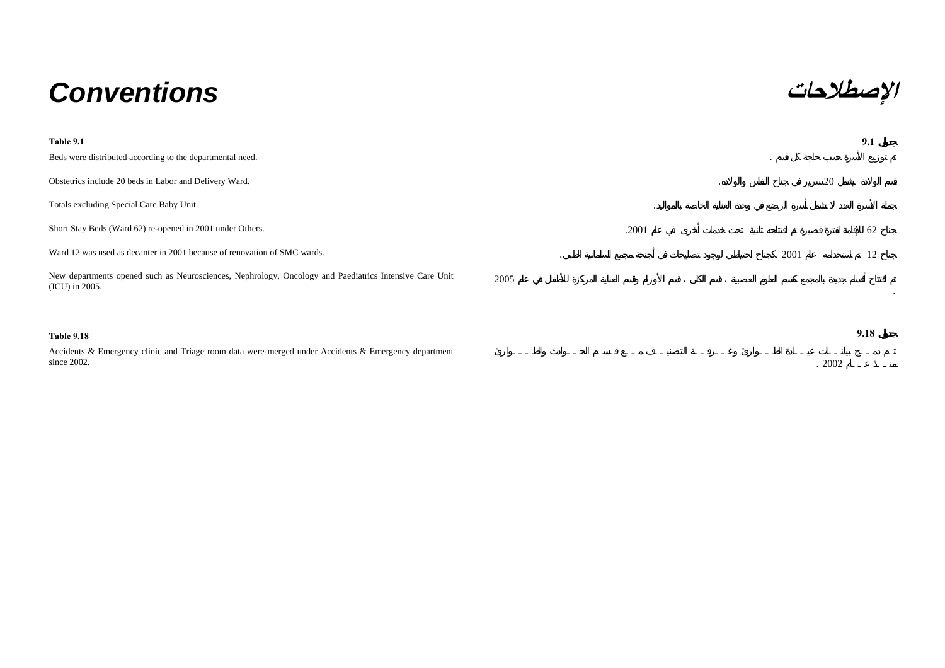# **الإصطلاحات** *Conventions*

since 2002.

| Table 9.1                                                                                                                        |       |      |    | 9.1  |
|----------------------------------------------------------------------------------------------------------------------------------|-------|------|----|------|
| Beds were distributed according to the departmental need.                                                                        |       |      |    |      |
| Obstetrics include 20 beds in Labor and Delivery Ward.                                                                           |       |      | 20 |      |
| Totals excluding Special Care Baby Unit.                                                                                         |       |      |    |      |
| Short Stay Beds (Ward 62) re-opened in 2001 under Others.                                                                        | .2001 |      |    | 62   |
| Ward 12 was used as decanter in 2001 because of renovation of SMC wards.<br>$\cdot$                                              |       | 2001 |    | 12   |
| New departments opened such as Neurosciences, Nephrology, Oncology and Paediatrics Intensive Care Unit<br>2005<br>(ICU) in 2005. |       |      |    |      |
|                                                                                                                                  |       |      |    |      |
| <b>Table 9.18</b>                                                                                                                |       |      |    | 9.18 |
| Accidents & Emergency clinic and Triage room data were merged under Accidents & Emergency department                             |       |      |    |      |

. 2002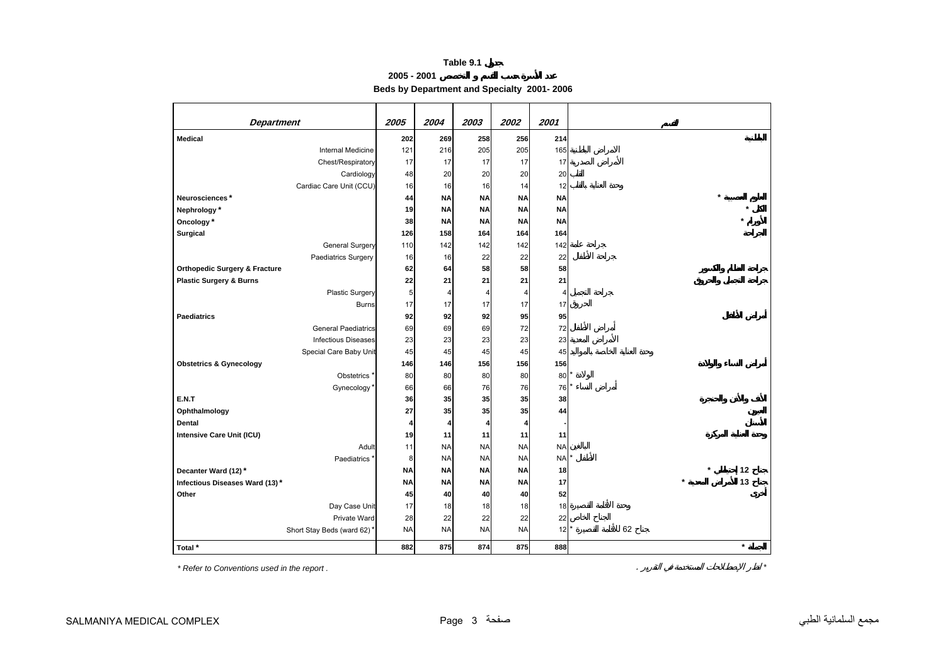**2005 - 2001**

**Beds by Department and Specialty 2001- 2006**

<span id="page-2-0"></span>

| <b>Department</b>                        | 2005      | 2004      | 2003      | 2002      | 2001      |                 |
|------------------------------------------|-----------|-----------|-----------|-----------|-----------|-----------------|
| <b>Medical</b>                           | 202       | 269       | 258       | 256       | 214       |                 |
| <b>Internal Medicine</b>                 | 121       | 216       | 205       | 205       | 165       |                 |
| Chest/Respiratory                        | 17        | 17        | 17        | 17        | 17        |                 |
| Cardiology                               | 48        | 20        | 20        | 20        | 20        |                 |
| Cardiac Care Unit (CCU)                  | 16        | 16        | 16        | 14        | 12        |                 |
| Neurosciences*                           | 44        | <b>NA</b> | <b>NA</b> | <b>NA</b> | NA        |                 |
| Nephrology*                              | 19        | <b>NA</b> | <b>NA</b> | <b>NA</b> | <b>NA</b> |                 |
| Oncology*                                | 38        | <b>NA</b> | <b>NA</b> | <b>NA</b> | <b>NA</b> |                 |
| Surgical                                 | 126       | 158       | 164       | 164       | 164       |                 |
| <b>General Surgery</b>                   | 110       | 142       | 142       | 142       | 142       |                 |
| Paediatrics Surgery                      | 16        | 16        | 22        | 22        | 22        |                 |
| <b>Orthopedic Surgery &amp; Fracture</b> | 62        | 64        | 58        | 58        | 58        |                 |
| <b>Plastic Surgery &amp; Burns</b>       | 22        | 21        | 21        | 21        | 21        |                 |
| <b>Plastic Surgery</b>                   | 5         | 4         | 4         | 4         | 4         |                 |
| <b>Burns</b>                             | 17        | 17        | 17        | 17        | 17        |                 |
| <b>Paediatrics</b>                       | 92        | 92        | 92        | 95        | 95        |                 |
| <b>General Paediatrics</b>               | 69        | 69        | 69        | 72        | 72        |                 |
| <b>Infectious Diseases</b>               | 23        | 23        | 23        | 23        | 23        |                 |
| Special Care Baby Unit                   | 45        | 45        | 45        | 45        | 45        |                 |
| <b>Obstetrics &amp; Gynecology</b>       | 146       | 146       | 156       | 156       | 156       |                 |
| Obstetrics <sup>*</sup>                  | 80        | 80        | 80        | 80        | $80*$     |                 |
| Gynecology*                              | 66        | 66        | 76        | 76        | 76        |                 |
| E.N.T                                    | 36        | 35        | 35        | 35        | 38        |                 |
| Ophthalmology                            | 27        | 35        | 35        | 35        | 44        |                 |
| <b>Dental</b>                            | 4         | 4         | 4         | 4         |           |                 |
| Intensive Care Unit (ICU)                | 19        | 11        | 11        | 11        | 11        |                 |
| Adult                                    | 11        | <b>NA</b> | <b>NA</b> | <b>NA</b> | <b>NA</b> |                 |
| Paediatrics <sup>'</sup>                 | 8         | <b>NA</b> | <b>NA</b> | <b>NA</b> | <b>NA</b> |                 |
| Decanter Ward (12)*                      | <b>NA</b> | <b>NA</b> | <b>NA</b> | <b>NA</b> | 18        | 12              |
| Infectious Diseases Ward (13)*           | <b>NA</b> | <b>NA</b> | <b>NA</b> | <b>NA</b> | 17        | 13<br>$\lambda$ |
| Other                                    | 45        | 40        | 40        | 40        | 52        |                 |
| Day Case Unit                            | 17        | 18        | 18        | 18        | 18        |                 |
| Private Ward                             | 28        | 22        | 22        | 22        | 22        |                 |
| Short Stay Beds (ward 62)*               | <b>NA</b> | <b>NA</b> | <b>NA</b> | <b>NA</b> | $12$ $^*$ | 62              |
| Total *                                  | 882       | 875       | 874       | 875       | 888       | $\star$         |

*\* Refer to Conventions used in the report .* . *\**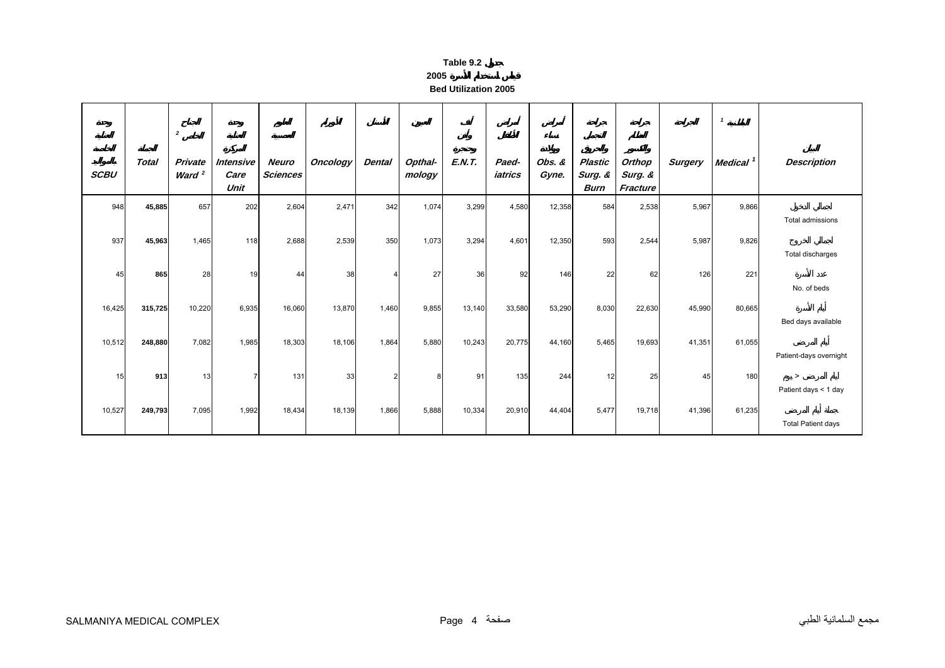| ЯΙ<br>о | ı۱e |  |
|---------|-----|--|
|         |     |  |

**Bed Utilization 2005**

<span id="page-3-0"></span>

|             |              | $\overline{2}$                      |                           |                          |                 |                |                   |               |                  |                 |                                   |                               |                | $\mathbf{1}$         |                                |
|-------------|--------------|-------------------------------------|---------------------------|--------------------------|-----------------|----------------|-------------------|---------------|------------------|-----------------|-----------------------------------|-------------------------------|----------------|----------------------|--------------------------------|
| <b>SCBU</b> | <b>Total</b> | <b>Private</b><br>Ward <sup>2</sup> | Intensive<br>Care<br>Unit | Neuro<br><b>Sciences</b> | <b>Oncology</b> | <b>Dental</b>  | Opthal-<br>mology | <b>E.N.T.</b> | Paed-<br>iatrics | Obs. &<br>Gyne. | Plastic<br>Surg. &<br><b>Burn</b> | Orthop<br>Surg. &<br>Fracture | <b>Surgery</b> | Medical <sup>1</sup> | <b>Description</b>             |
| 948         | 45,885       | 657                                 | 202                       | 2,604                    | 2,471           | 342            | 1,074             | 3,299         | 4,580            | 12,358          | 584                               | 2,538                         | 5,967          | 9,866                | Total admissions               |
| 937         | 45,963       | 1,465                               | 118                       | 2,688                    | 2,539           | 350            | 1,073             | 3,294         | 4,601            | 12,350          | 593                               | 2,544                         | 5,987          | 9,826                | Total discharges               |
| 45          | 865          | 28                                  | 19                        | 44                       | 38              | 4              | 27                | 36            | 92               | 146             | 22                                | 62                            | 126            | 221                  | No. of beds                    |
| 16,425      | 315,725      | 10,220                              | 6,935                     | 16,060                   | 13,870          | 1,460          | 9,855             | 13,140        | 33,580           | 53,290          | 8,030                             | 22,630                        | 45,990         | 80,665               | Bed days available             |
| 10,512      | 248,880      | 7,082                               | 1,985                     | 18,303                   | 18,106          | 1,864          | 5,880             | 10,243        | 20,775           | 44,160          | 5,465                             | 19,693                        | 41,351         | 61,055               | Patient-days overnight         |
| 15          | 913          | 13                                  | $\overline{7}$            | 131                      | 33              | $\overline{2}$ | 8                 | 91            | 135              | 244             | 12                                | 25                            | 45             | 180                  | $\geq$<br>Patient days < 1 day |
| 10,527      | 249,793      | 7,095                               | 1,992                     | 18,434                   | 18,139          | 1,866          | 5,888             | 10,334        | 20,910           | 44,404          | 5,477                             | 19,718                        | 41,396         | 61,235               | <b>Total Patient days</b>      |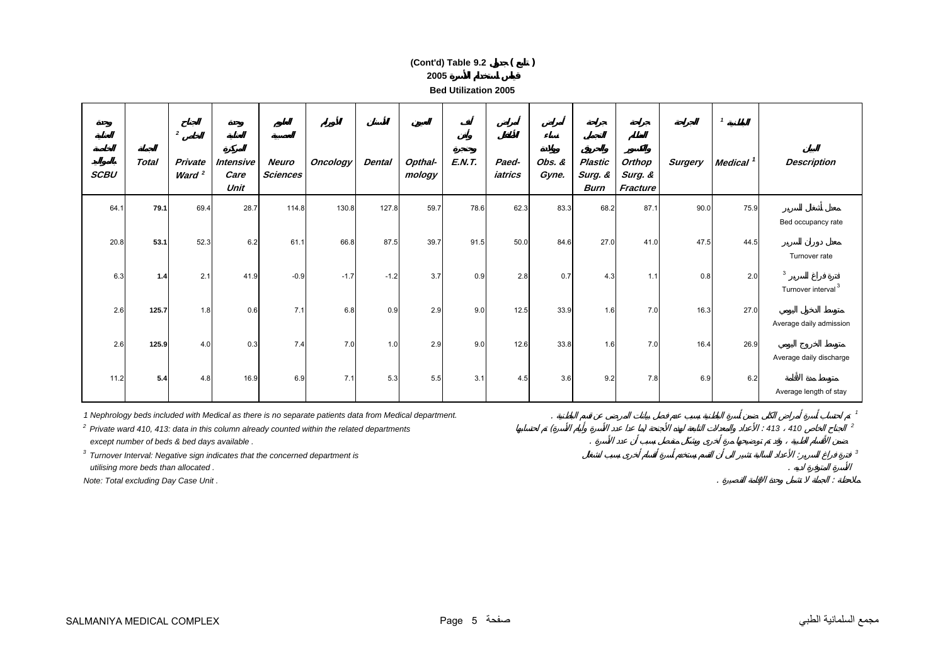**Bed Utilization 2005**

|             |                                      | $\overline{\mathbf{2}}$ |                                             |                          |                                                                                                                                                                                                         |               |                   |               |                  |                 |                                          |                               |                | $\mathbf{1}$         |                                     |
|-------------|--------------------------------------|-------------------------|---------------------------------------------|--------------------------|---------------------------------------------------------------------------------------------------------------------------------------------------------------------------------------------------------|---------------|-------------------|---------------|------------------|-----------------|------------------------------------------|-------------------------------|----------------|----------------------|-------------------------------------|
| <b>SCBU</b> | <b>Total</b>                         | Private<br>Ward $2$     | <b>Intensive</b><br>Care<br>Unit            | Neuro<br><b>Sciences</b> | <b>Oncology</b>                                                                                                                                                                                         | <b>Dental</b> | Opthal-<br>mology | <b>E.N.T.</b> | Paed-<br>iatrics | Obs. &<br>Gyne. | <b>Plastic</b><br>Surg. &<br><b>Burn</b> | Orthop<br>Surg. &<br>Fracture | <b>Surgery</b> | Medical <sup>1</sup> | <b>Description</b>                  |
| 64.1        | 79.1                                 | 69.4                    | 28.7                                        | 114.8                    | 130.8                                                                                                                                                                                                   | 127.8         | 59.7              | 78.6          | 62.3             | 83.3            | 68.2                                     | 87.1                          | 90.0           | 75.9                 | Bed occupancy rate                  |
| 20.8        | 53.1                                 | 52.3                    | 6.2                                         | 61.1                     | 66.8                                                                                                                                                                                                    | 87.5          | 39.7              | 91.5          | 50.0             | 84.6            | 27.0                                     | 41.0                          | 47.5           | 44.5                 | Turnover rate                       |
| 6.3         | 1.4                                  | 2.1                     | 41.9                                        | $-0.9$                   | $-1.7$                                                                                                                                                                                                  | $-1.2$        | 3.7               | 0.9           | 2.8              | 0.7             | 4.3                                      | 1.1                           | 0.8            | 2.0                  | 3<br>Turnover interval <sup>3</sup> |
| 2.6         | 125.7                                | 1.8                     | 0.6                                         | 7.1                      | 6.8                                                                                                                                                                                                     | 0.9           | 2.9               | 9.0           | 12.5             | 33.9            | 1.6                                      | 7.0                           | 16.3           | 27.0                 | Average daily admission             |
| 2.6         | 125.9                                | 4.0                     | 0.3                                         | 7.4                      | 7.0                                                                                                                                                                                                     | 1.0           | 2.9               | 9.0           | 12.6             | 33.8            | 1.6                                      | 7.0                           | 16.4           | 26.9                 | Average daily discharge             |
| 11.2        | 5.4                                  | 4.8                     | 16.9                                        | 6.9                      | 7.1                                                                                                                                                                                                     | 5.3           | 5.5               | 3.1           | 4.5              | 3.6             | 9.2                                      | 7.8                           | 6.9            | 6.2                  | Average length of stay              |
|             |                                      |                         |                                             |                          | 1 Nephrology beds included with Medical as there is no separate patients data from Medical department.<br>$2$ Private ward 410, 413: data in this column already counted within the related departments |               |                   |               |                  |                 |                                          |                               |                |                      | $: 413$ 410                         |
|             | utilising more beds than allocated.  |                         | except number of beds & bed days available. |                          | $3$ Turnover Interval: Negative sign indicates that the concerned department is                                                                                                                         |               |                   |               |                  |                 |                                          |                               |                |                      |                                     |
|             | Note: Total excluding Day Case Unit. |                         |                                             |                          |                                                                                                                                                                                                         |               |                   |               |                  |                 |                                          |                               |                |                      |                                     |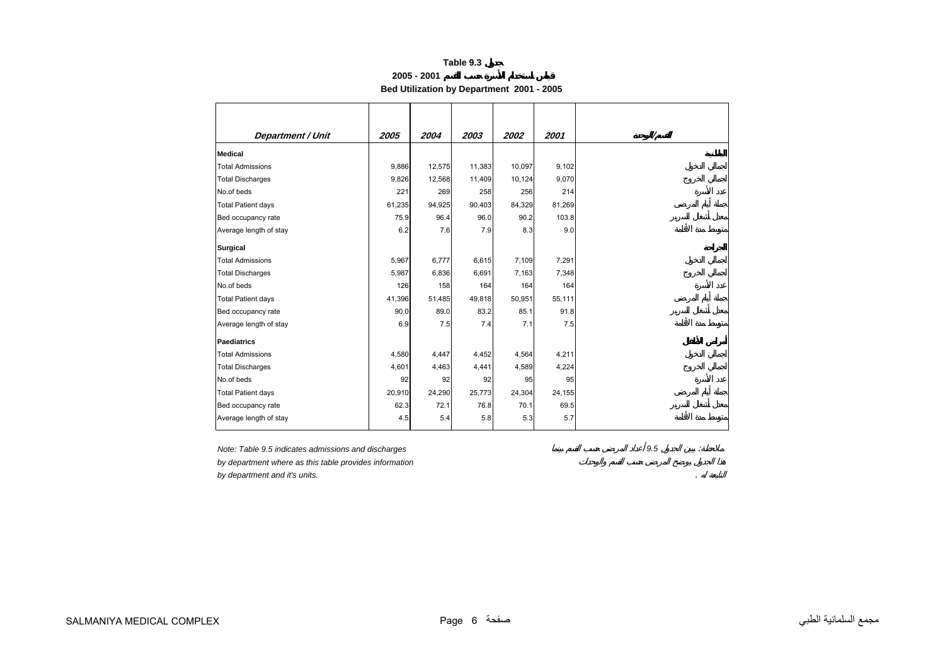**2005 - 2001**

**Bed Utilization by Department 2001 - 2005** 

<span id="page-5-0"></span>

| <b>Department / Unit</b>  | 2005   | 2004   | 2003   | 2002   | 2001   |
|---------------------------|--------|--------|--------|--------|--------|
| <b>Medical</b>            |        |        |        |        |        |
| <b>Total Admissions</b>   | 9,886  | 12,575 | 11,383 | 10,097 | 9,102  |
| <b>Total Discharges</b>   | 9,826  | 12,568 | 11,409 | 10,124 | 9,070  |
| No.of beds                | 221    | 269    | 258    | 256    | 214    |
| <b>Total Patient days</b> | 61,235 | 94,925 | 90,403 | 84,329 | 81,269 |
| Bed occupancy rate        | 75.9   | 96.4   | 96.0   | 90.2   | 103.8  |
| Average length of stay    | 6.2    | 7.6    | 7.9    | 8.3    | 9.0    |
| <b>Surgical</b>           |        |        |        |        |        |
| <b>Total Admissions</b>   | 5,967  | 6,777  | 6,615  | 7,109  | 7,291  |
| <b>Total Discharges</b>   | 5,987  | 6,836  | 6,691  | 7,163  | 7,348  |
| No.of beds                | 126    | 158    | 164    | 164    | 164    |
| <b>Total Patient days</b> | 41,396 | 51,485 | 49,818 | 50,951 | 55,111 |
| Bed occupancy rate        | 90.0   | 89.0   | 83.2   | 85.1   | 91.8   |
| Average length of stay    | 6.9    | 7.5    | 7.4    | 7.1    | 7.5    |
| Paediatrics               |        |        |        |        |        |
| <b>Total Admissions</b>   | 4,580  | 4,447  | 4,452  | 4,564  | 4,211  |
| <b>Total Discharges</b>   | 4,601  | 4,463  | 4,441  | 4,589  | 4,224  |
| No.of beds                | 92     | 92     | 92     | 95     | 95     |
| <b>Total Patient days</b> | 20,910 | 24,290 | 25,773 | 24,304 | 24,155 |
| Bed occupancy rate        | 62.3   | 72.1   | 76.8   | 70.1   | 69.5   |
| Average length of stay    | 4.5    | 5.4    | 5.8    | 5.3    | 5.7    |

*Note: Table 9.5 indicates admissions and discharges 9.5* :

*by department where as this table provides information*

*by department and it's units.* .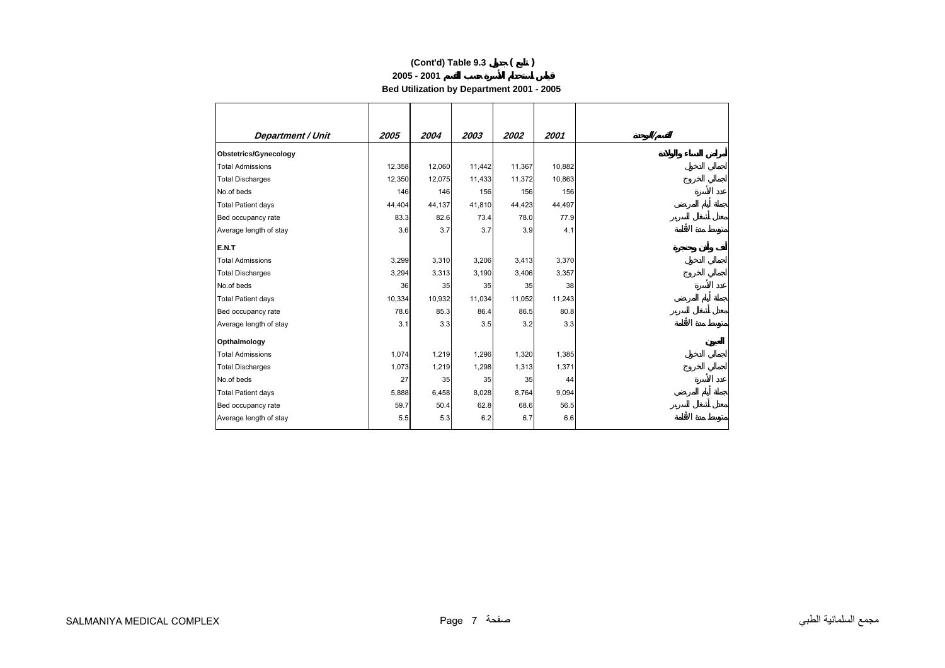#### **2005 - 2001**

**Bed Utilization by Department 2001 - 2005** 

| <b>Department / Unit</b>  | 2005   | 2004   | 2003   | 2002   | 2001   |
|---------------------------|--------|--------|--------|--------|--------|
| Obstetrics/Gynecology     |        |        |        |        |        |
| <b>Total Admissions</b>   | 12,358 | 12,060 | 11,442 | 11,367 | 10,882 |
| <b>Total Discharges</b>   | 12,350 | 12,075 | 11,433 | 11,372 | 10,863 |
| No.of beds                | 146    | 146    | 156    | 156    | 156    |
| <b>Total Patient days</b> | 44,404 | 44,137 | 41,810 | 44,423 | 44,497 |
| Bed occupancy rate        | 83.3   | 82.6   | 73.4   | 78.0   | 77.9   |
| Average length of stay    | 3.6    | 3.7    | 3.7    | 3.9    | 4.1    |
| E.N.T                     |        |        |        |        |        |
| <b>Total Admissions</b>   | 3,299  | 3,310  | 3,206  | 3,413  | 3,370  |
| <b>Total Discharges</b>   | 3,294  | 3,313  | 3,190  | 3,406  | 3,357  |
| No.of beds                | 36     | 35     | 35     | 35     | 38     |
| <b>Total Patient days</b> | 10,334 | 10,932 | 11,034 | 11,052 | 11,243 |
| Bed occupancy rate        | 78.6   | 85.3   | 86.4   | 86.5   | 80.8   |
| Average length of stay    | 3.1    | 3.3    | 3.5    | 3.2    | 3.3    |
| Opthalmology              |        |        |        |        |        |
| <b>Total Admissions</b>   | 1,074  | 1,219  | 1,296  | 1,320  | 1,385  |
| <b>Total Discharges</b>   | 1,073  | 1,219  | 1,298  | 1,313  | 1,371  |
| No.of beds                | 27     | 35     | 35     | 35     | 44     |
| <b>Total Patient days</b> | 5,888  | 6,458  | 8,028  | 8,764  | 9,094  |
| Bed occupancy rate        | 59.7   | 50.4   | 62.8   | 68.6   | 56.5   |
| Average length of stay    | 5.5    | 5.3    | 6.2    | 6.7    | 6.6    |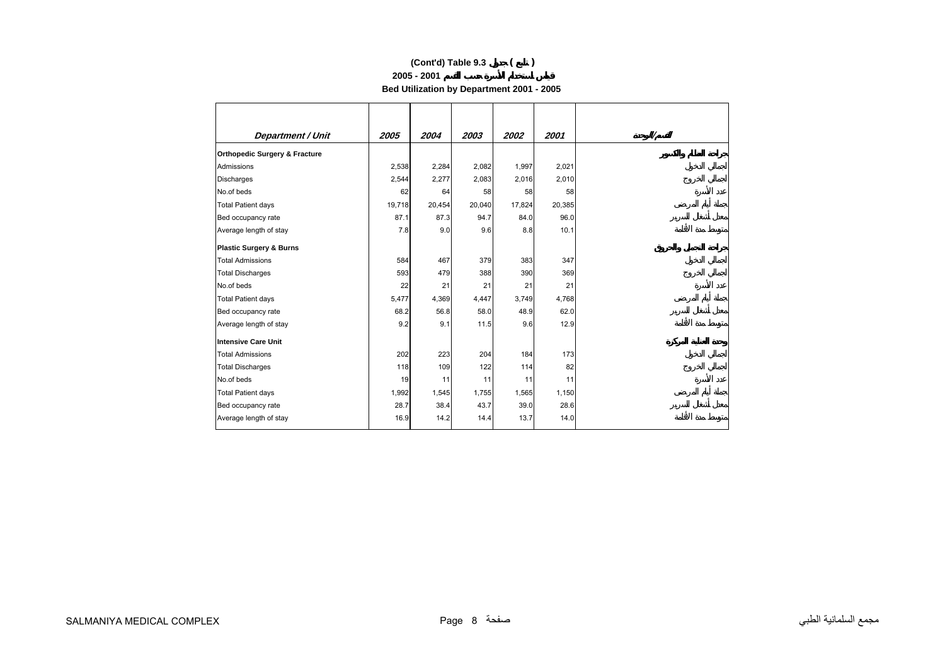#### **2005 - 2001**

**Bed Utilization by Department 2001 - 2005** 

| <b>Department / Unit</b>                 | 2005   | 2004   | 2003   | 2002   | 2001   |
|------------------------------------------|--------|--------|--------|--------|--------|
| <b>Orthopedic Surgery &amp; Fracture</b> |        |        |        |        |        |
| Admissions                               | 2,538  | 2,284  | 2,082  | 1,997  | 2,021  |
| <b>Discharges</b>                        | 2,544  | 2,277  | 2,083  | 2,016  | 2,010  |
| No.of beds                               | 62     | 64     | 58     | 58     | 58     |
| <b>Total Patient days</b>                | 19,718 | 20,454 | 20,040 | 17,824 | 20,385 |
| Bed occupancy rate                       | 87.1   | 87.3   | 94.7   | 84.0   | 96.0   |
| Average length of stay                   | 7.8    | 9.0    | 9.6    | 8.8    | 10.1   |
| <b>Plastic Surgery &amp; Burns</b>       |        |        |        |        |        |
| <b>Total Admissions</b>                  | 584    | 467    | 379    | 383    | 347    |
| <b>Total Discharges</b>                  | 593    | 479    | 388    | 390    | 369    |
| No.of beds                               | 22     | 21     | 21     | 21     | 21     |
| <b>Total Patient days</b>                | 5,477  | 4,369  | 4,447  | 3,749  | 4,768  |
| Bed occupancy rate                       | 68.2   | 56.8   | 58.0   | 48.9   | 62.0   |
| Average length of stay                   | 9.2    | 9.1    | 11.5   | 9.6    | 12.9   |
| Intensive Care Unit                      |        |        |        |        |        |
| <b>Total Admissions</b>                  | 202    | 223    | 204    | 184    | 173    |
| <b>Total Discharges</b>                  | 118    | 109    | 122    | 114    | 82     |
| No.of beds                               | 19     | 11     | 11     | 11     | 11     |
| <b>Total Patient days</b>                | 1,992  | 1,545  | 1,755  | 1,565  | 1,150  |
| Bed occupancy rate                       | 28.7   | 38.4   | 43.7   | 39.0   | 28.6   |
| Average length of stay                   | 16.9   | 14.2   | 14.4   | 13.7   | 14.0   |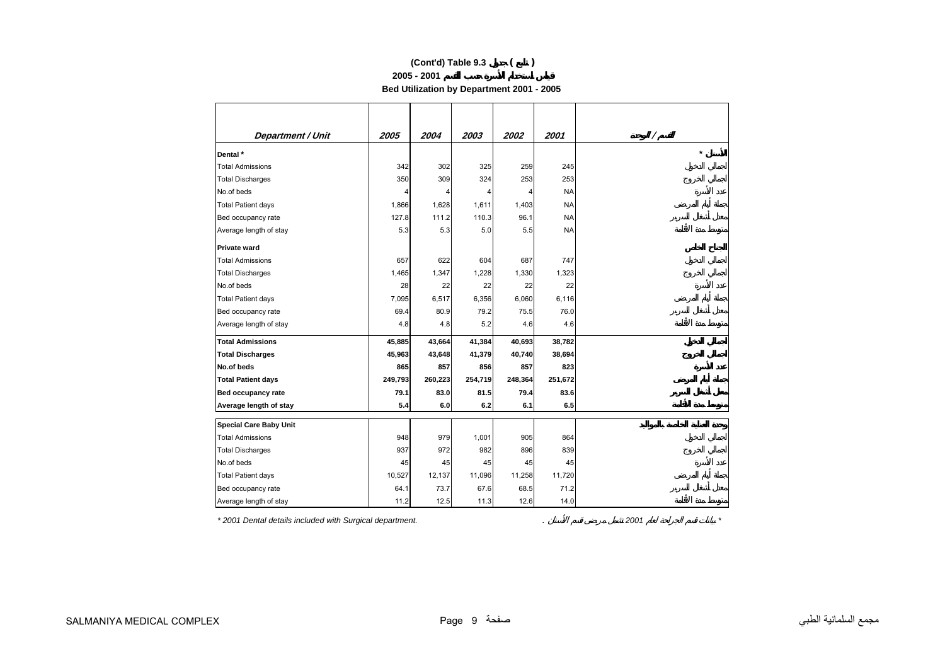**2005 - 2001**

**Bed Utilization by Department 2001 - 2005** 

| <b>Department / Unit</b>      | 2005    | 2004    | 2003    | 2002    | 2001      |           |
|-------------------------------|---------|---------|---------|---------|-----------|-----------|
| Dental*                       |         |         |         |         |           | $\lambda$ |
| <b>Total Admissions</b>       | 342     | 302     | 325     | 259     | 245       |           |
| <b>Total Discharges</b>       | 350     | 309     | 324     | 253     | 253       |           |
| No.of beds                    | 4       | 4       |         |         | <b>NA</b> |           |
| <b>Total Patient days</b>     | 1,866   | 1,628   | 1,611   | 1,403   | <b>NA</b> |           |
| Bed occupancy rate            | 127.8   | 111.2   | 110.3   | 96.1    | <b>NA</b> |           |
| Average length of stay        | 5.3     | 5.3     | 5.0     | 5.5     | <b>NA</b> |           |
| <b>Private ward</b>           |         |         |         |         |           |           |
| <b>Total Admissions</b>       | 657     | 622     | 604     | 687     | 747       |           |
| <b>Total Discharges</b>       | 1,465   | 1,347   | 1,228   | 1,330   | 1,323     |           |
| No.of beds                    | 28      | 22      | 22      | 22      | 22        |           |
| <b>Total Patient days</b>     | 7,095   | 6,517   | 6,356   | 6,060   | 6,116     |           |
| Bed occupancy rate            | 69.4    | 80.9    | 79.2    | 75.5    | 76.0      |           |
| Average length of stay        | 4.8     | 4.8     | 5.2     | 4.6     | 4.6       |           |
| <b>Total Admissions</b>       | 45,885  | 43,664  | 41,384  | 40,693  | 38,782    |           |
| <b>Total Discharges</b>       | 45,963  | 43,648  | 41,379  | 40,740  | 38,694    |           |
| No.of beds                    | 865     | 857     | 856     | 857     | 823       |           |
| <b>Total Patient days</b>     | 249,793 | 260,223 | 254,719 | 248,364 | 251,672   |           |
| <b>Bed occupancy rate</b>     | 79.1    | 83.0    | 81.5    | 79.4    | 83.6      |           |
| Average length of stay        | 5.4     | 6.0     | 6.2     | 6.1     | 6.5       |           |
| <b>Special Care Baby Unit</b> |         |         |         |         |           |           |
| <b>Total Admissions</b>       | 948     | 979     | 1,001   | 905     | 864       |           |
| <b>Total Discharges</b>       | 937     | 972     | 982     | 896     | 839       |           |
| No.of beds                    | 45      | 45      | 45      | 45      | 45        |           |
| <b>Total Patient days</b>     | 10,527  | 12,137  | 11,096  | 11,258  | 11,720    |           |
| Bed occupancy rate            | 64.1    | 73.7    | 67.6    | 68.5    | 71.2      |           |
| Average length of stay        | 11.2    | 12.5    | 11.3    | 12.6    | 14.0      |           |

*\* 2001 Dental details included with Surgical department.* . *2001 \**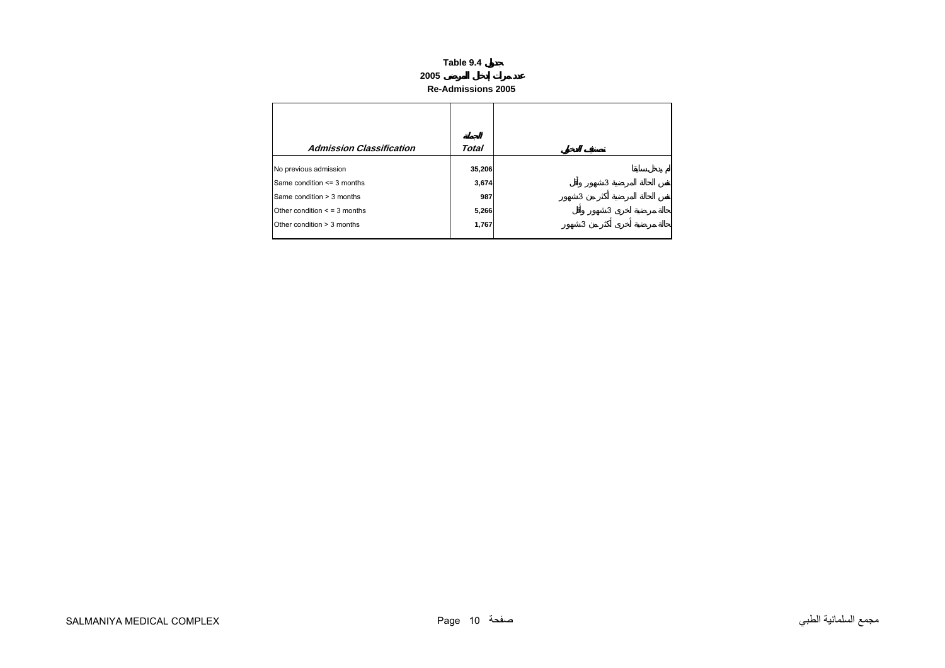**Re-Admissions 2005** 

<span id="page-9-0"></span>

| <b>Admission Classification</b>   | Total  |   |
|-----------------------------------|--------|---|
| No previous admission             | 35,206 |   |
| Same condition <= 3 months        | 3,674  | 3 |
| Same condition > 3 months         | 987    | 3 |
| Other condition $\leq$ = 3 months | 5,266  | 3 |
| Other condition > 3 months        | 1,767  | 3 |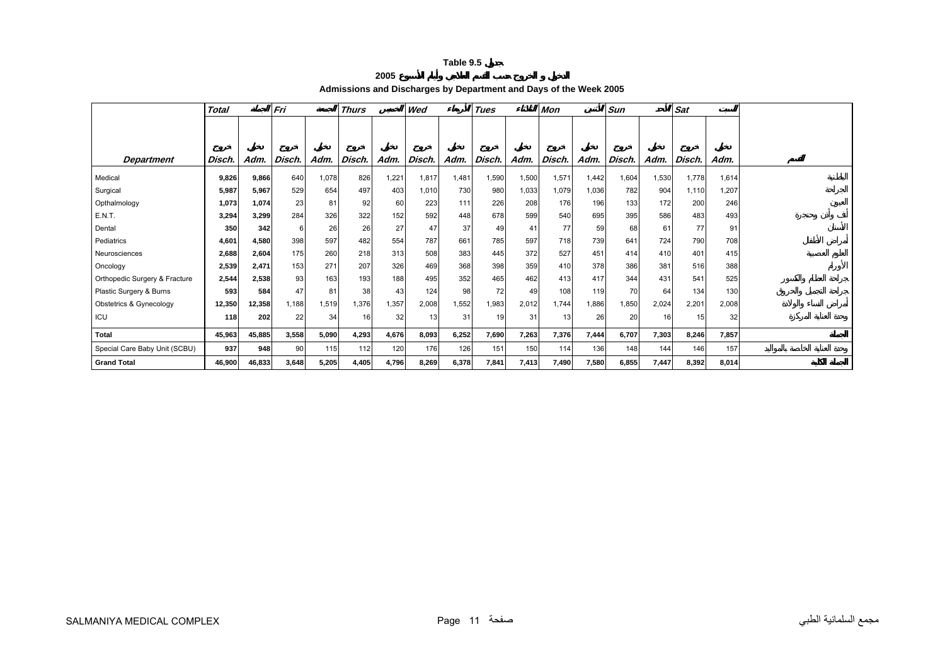#### **2005**

**Admissions and Discharges by Department and Days of the Week 2005** 

<span id="page-10-0"></span>

|                               | <b>Total</b> |        | Fri    |       | <b>Thurs</b> |       | Wed    |       | Tues   |       | Mon    |       | Sun    |       | <b>Sat</b> |       |  |
|-------------------------------|--------------|--------|--------|-------|--------------|-------|--------|-------|--------|-------|--------|-------|--------|-------|------------|-------|--|
|                               |              |        |        |       |              |       |        |       |        |       |        |       |        |       |            |       |  |
|                               |              |        |        |       |              |       |        |       |        |       |        |       |        |       |            |       |  |
| <b>Department</b>             | Disch.       | Adm.   | Disch. | Adm.  | Disch.       | Adm.  | Disch. | Adm.  | Disch. | Adm.  | Disch. | Adm.  | Disch. | Adm.  | Disch.     | Adm.  |  |
| Medical                       | 9,826        | 9,866  | 640    | 1,078 | 826          | 1,221 | 1,817  | 1,481 | 1,590  | 1,500 | 1,571  | 1,442 | 1,604  | 1,530 | 1.778      | 1,614 |  |
| Surgical                      | 5,987        | 5,967  | 529    | 654   | 497          | 403   | 1,010  | 730   | 980    | 1,033 | 1,079  | 1,036 | 782    | 904   | 1,110      | 1,207 |  |
| Opthalmology                  | 1,073        | 1.074  | 23     | 81    | 92           | 60    | 223    | 111   | 226    | 208   | 176    | 196   | 133    | 172   | 200        | 246   |  |
| E.N.T.                        | 3,294        | 3,299  | 284    | 326   | 322          | 152   | 592    | 448   | 678    | 599   | 540    | 695   | 395    | 586   | 483        | 493   |  |
| Dental                        | 350          | 342    | 6      | 26    | 26           | 27    | 47     | 37    | 49     | 41    | 77     | 59    | 68     | 61    | 77         | 91    |  |
| Pediatrics                    | 4,601        | 4,580  | 398    | 597   | 482          | 554   | 787    | 661   | 785    | 597   | 718    | 739   | 641    | 724   | 790        | 708   |  |
| Neurosciences                 | 2,688        | 2,604  | 175    | 260   | 218          | 313   | 508    | 383   | 445    | 372   | 527    | 451   | 414    | 410   | 401        | 415   |  |
| Oncology                      | 2,539        | 2,471  | 153    | 271   | 207          | 326   | 469    | 368   | 398    | 359   | 410    | 378   | 386    | 381   | 516        | 388   |  |
| Orthopedic Surgery & Fracture | 2,544        | 2,538  | 93     | 163   | 193          | 188   | 495    | 352   | 465    | 462   | 413    | 417   | 344    | 431   | 541        | 525   |  |
| Plastic Surgery & Burns       | 593          | 584    | 47     | 81    | 38           | 43    | 124    | 98    | 72     | 49    | 108    | 119   | 70     | 64    | 134        | 130   |  |
| Obstetrics & Gynecology       | 12,350       | 12,358 | 1,188  | 1,519 | 1,376        | 1,357 | 2,008  | 1,552 | 1,983  | 2,012 | 1,744  | 1,886 | 1,850  | 2,024 | 2,201      | 2,008 |  |
| ICU                           | 118          | 202    | 22     | 34    | 16           | 32    | 13     | 31    | 19     | 31    | 13     | 26    | 20     | 16    | 15         | 32    |  |
| Total                         | 45,963       | 45,885 | 3,558  | 5,090 | 4,293        | 4,676 | 8.093  | 6,252 | 7,690  | 7,263 | 7,376  | 7,444 | 6,707  | 7,303 | 8,246      | 7.857 |  |
| Special Care Baby Unit (SCBU) | 937          | 948    | 90     | 115   | 112          | 120   | 176    | 126   | 151    | 150   | 114    | 136   | 148    | 144   | 146        | 157   |  |
| <b>Grand Total</b>            | 46,900       | 46,833 | 3,648  | 5,205 | 4,405        | 4,796 | 8.269  | 6,378 | 7,841  | 7,413 | 7,490  | 7,580 | 6,855  | 7,447 | 8.392      | 8,014 |  |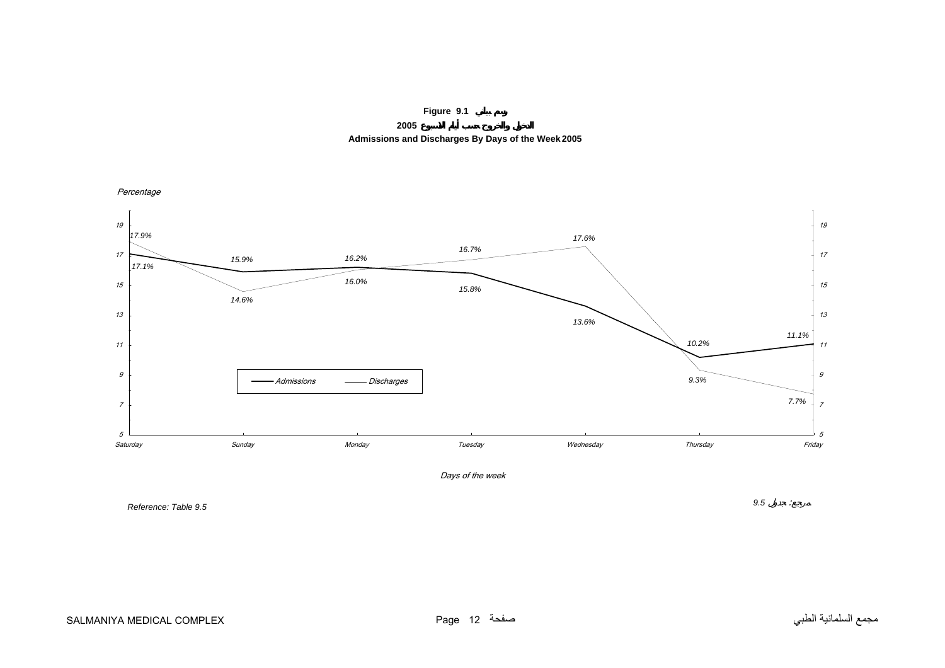

**2005 Admissions and Discharges By Days of the Week 2005**

<span id="page-11-0"></span>

*Reference: Table 9.5*

مجمع السلمانية الطبي صفحة 12 Page COMPLEX MEDICAL SALMANIYA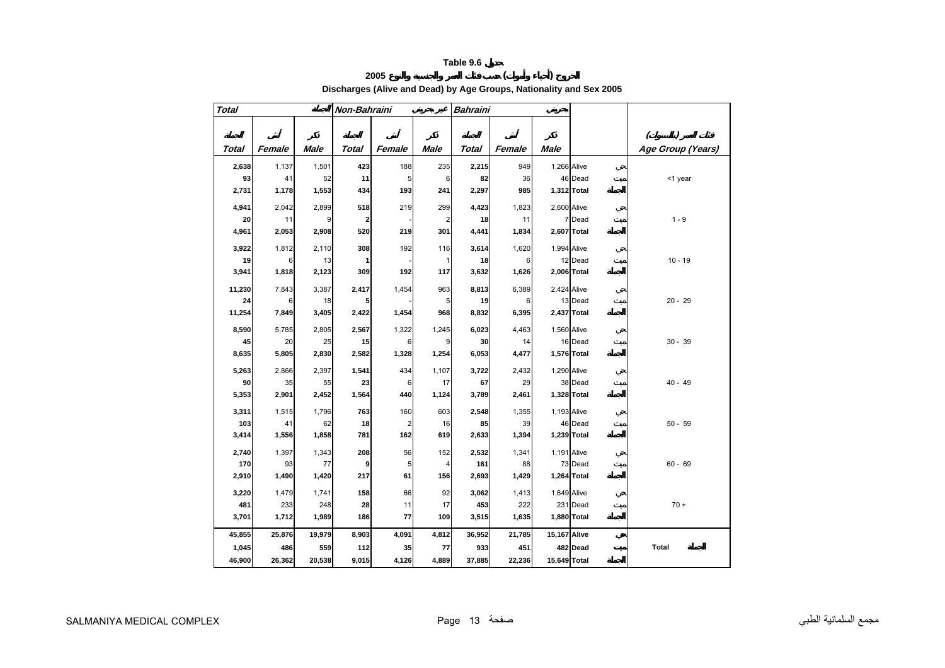# **2005 ( )**

**Discharges (Alive and Dead) by Age Groups, Nationality and Sex 2005** 

<span id="page-12-0"></span>

| <b>Total</b> |              |              | Non-Bahraini            |                                |                | <b>Bahraini</b> |              |              |                         |                   |
|--------------|--------------|--------------|-------------------------|--------------------------------|----------------|-----------------|--------------|--------------|-------------------------|-------------------|
|              |              |              |                         |                                |                |                 |              |              |                         |                   |
|              |              |              |                         |                                |                |                 |              |              |                         | C                 |
| <b>Total</b> | Female       | <b>Male</b>  | <b>Total</b>            | Female                         | <b>Male</b>    | Total           | Female       | <b>Male</b>  |                         | Age Group (Years) |
| 2,638        | 1,137        | 1,501        | 423                     | 188                            | 235            | 2,215           | 949          | 1,266 Alive  |                         |                   |
| 93           | 41           | 52           | 11                      | 5                              | 6              | 82              | 36           |              | 46 Dead                 | <1 year           |
| 2,731        | 1,178        | 1,553        | 434                     | 193                            | 241            | 2,297           | 985          |              | 1,312 Total             |                   |
| 4,941        | 2,042        | 2,899        | 518                     | 219                            | 299            | 4,423           | 1,823        | 2,600 Alive  |                         |                   |
| 20           | 11           | 9            | $\overline{\mathbf{2}}$ |                                | $\overline{2}$ | 18              | 11           |              | 7 Dead                  | $1 - 9$           |
| 4,961        | 2,053        | 2,908        | 520                     | 219                            | 301            | 4,441           | 1,834        |              | 2,607 Total             |                   |
| 3,922        | 1,812        | 2,110        | 308                     | 192                            | 116            | 3,614           | 1,620        | 1,994 Alive  |                         |                   |
| 19           | 6            | 13           | 1                       |                                | 1              | 18              | 6            |              | 12 Dead                 | $10 - 19$         |
| 3,941        | 1,818        | 2,123        | 309                     | 192                            | 117            | 3,632           | 1,626        |              | 2,006 Total             |                   |
| 11,230       | 7,843        | 3,387        | 2,417                   | 1,454                          | 963            | 8,813           | 6,389        | 2,424 Alive  |                         |                   |
| 24           | 6            | 18           | 5                       |                                | 5              | 19              | 6            |              | 13 Dead                 | $20 - 29$         |
| 11,254       | 7,849        | 3,405        | 2,422                   | 1,454                          | 968            | 8,832           | 6,395        |              | 2,437 Total             |                   |
| 8,590        | 5,785        | 2,805        | 2,567                   | 1,322                          | 1,245          | 6,023           | 4,463        | 1,560 Alive  |                         |                   |
| 45           | 20           | 25           | 15                      | 6                              | 9              | 30              | 14           |              | 16 Dead                 | $30 - 39$         |
| 8,635        | 5,805        | 2,830        | 2,582                   | 1,328                          | 1,254          | 6,053           | 4,477        |              | 1,576 Total             |                   |
| 5,263        | 2,866        | 2,397        | 1,541                   | 434                            | 1,107          | 3,722           | 2,432        | 1,290 Alive  |                         |                   |
| 90           | 35           | 55           | 23                      | 6                              | 17             | 67              | 29           |              | 38 Dead                 | $40 - 49$         |
| 5,353        | 2,901        | 2,452        | 1,564                   | 440                            | 1,124          | 3,789           | 2,461        |              | 1,328 Total             |                   |
|              |              |              |                         |                                |                |                 |              |              |                         |                   |
| 3,311<br>103 | 1,515<br>41  | 1,796<br>62  | 763<br>18               | 160<br>$\overline{\mathbf{c}}$ | 603<br>16      | 2,548<br>85     | 1,355<br>39  | 1,193 Alive  | 46 Dead                 | $50 - 59$         |
| 3,414        | 1,556        | 1,858        | 781                     | 162                            | 619            | 2,633           | 1,394        |              | 1,239 Total             |                   |
|              |              |              |                         |                                |                |                 |              |              |                         |                   |
| 2,740<br>170 | 1,397<br>93  | 1,343<br>77  | 208<br>9                | 56<br>5                        | 152            | 2,532<br>161    | 1,341<br>88  | 1,191 Alive  | 73 Dead                 | $60 - 69$         |
| 2,910        | 1,490        | 1,420        | 217                     | 61                             | 4<br>156       | 2,693           | 1,429        |              | 1,264 Total             |                   |
|              |              |              |                         |                                |                |                 |              |              |                         |                   |
| 3,220        | 1,479        | 1,741        | 158                     | 66                             | 92             | 3,062           | 1,413        | 1,649 Alive  |                         |                   |
| 481<br>3,701 | 233<br>1,712 | 248<br>1,989 | 28<br>186               | 11<br>77                       | 17<br>109      | 453<br>3,515    | 222<br>1,635 |              | 231 Dead<br>1,880 Total | $70 +$            |
|              |              |              |                         |                                |                |                 |              |              |                         |                   |
| 45,855       | 25,876       | 19,979       | 8,903                   | 4,091                          | 4,812          | 36,952          | 21,785       | 15,167 Alive |                         |                   |
| 1,045        | 486          | 559          | 112                     | 35                             | 77             | 933             | 451          |              | 482 Dead                | <b>Total</b>      |
| 46,900       | 26,362       | 20,538       | 9,015                   | 4,126                          | 4,889          | 37,885          | 22,236       | 15,649 Total |                         |                   |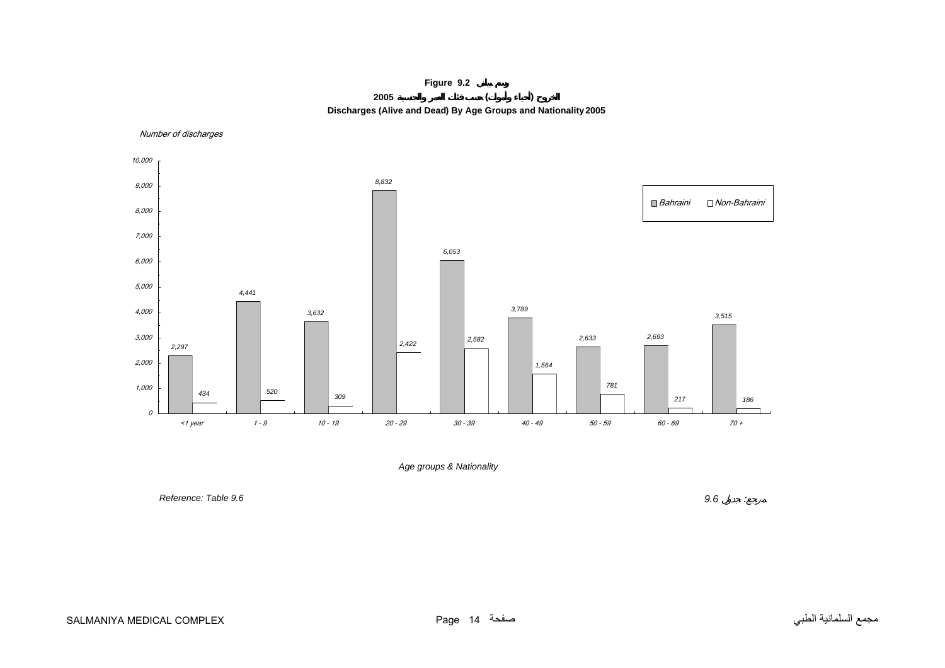

Number of discharges

<span id="page-13-0"></span>

*Age groups & Nationality*

*Reference: Table 9.6*

 *9.6* : $\sim$   $\pm$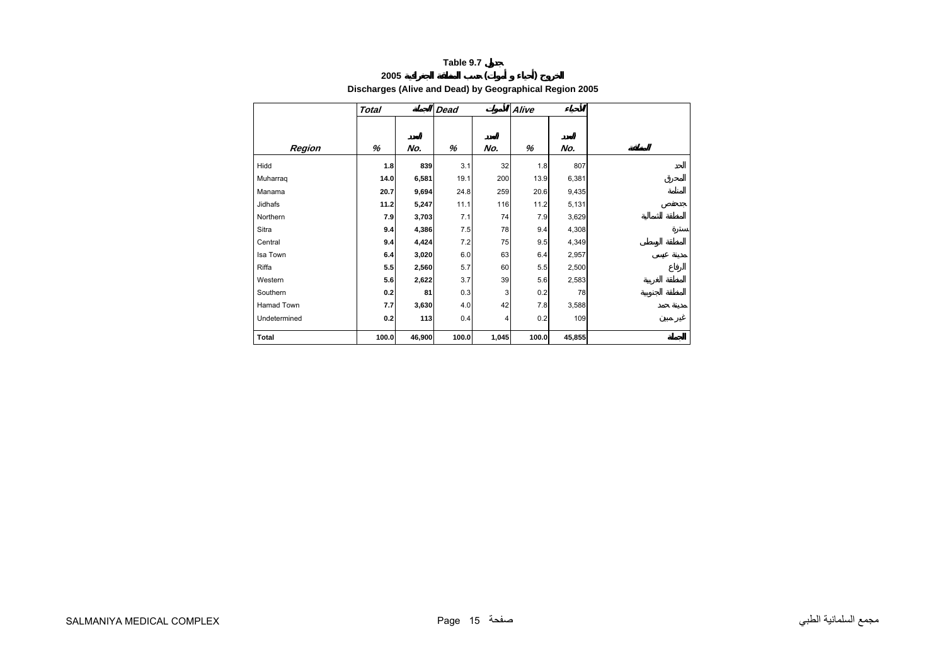<span id="page-14-0"></span>

|          | Discharges (Alive and Dead) by Geographical Region 2005 |       |      |     |       |       |  |  |  |  |  |  |  |  |
|----------|---------------------------------------------------------|-------|------|-----|-------|-------|--|--|--|--|--|--|--|--|
|          | <b>Total</b>                                            |       | Dead |     | Alive |       |  |  |  |  |  |  |  |  |
|          |                                                         |       |      |     |       |       |  |  |  |  |  |  |  |  |
| Region   | %                                                       | No.   | %    | No. | %     | No.   |  |  |  |  |  |  |  |  |
| Hidd     | 1.8                                                     | 839   | 3.1  | 32  | 1.8   | 807   |  |  |  |  |  |  |  |  |
| Muharrag | 14.0                                                    | 6,581 | 19.1 | 200 | 13.9  | 6,381 |  |  |  |  |  |  |  |  |
| Manama   | 20.7                                                    | 9,694 | 24.8 | 259 | 20.6  | 9,435 |  |  |  |  |  |  |  |  |
| Jidhafs  | 11.2                                                    | 5,247 | 11.1 | 116 | 11.2  | 5,131 |  |  |  |  |  |  |  |  |
| Northern | 7.9                                                     | 3,703 | 7.1  | 74  | 7.9   | 3,629 |  |  |  |  |  |  |  |  |

0.3 3 0.2 78

0.4 4 0.2 109

 Sitra **9.4 4,386** 7.5 78 9.4 4,308 Central **9.4 4,424** 7.2 75 9.5 4,349 Isa Town **6.4 3,020** 6.0 63 6.4 2,957 Riffa **5.5 2,560** 5.7 60 5.5 2,500 Western **5.6 2,622** 3.7 39 5.6 2,583

Hamad Town **7.7 3,630** 4.0 42 7.8 3,588

 **Total 100.0 46,900 100.0 1,045 100.0 45,855**

Southern **0.2 81**

Undetermined **0.2 113**

**2005 ( ) Discharges (Alive and Dead) by Geographical Region 2005**

Hidd **1.8 839**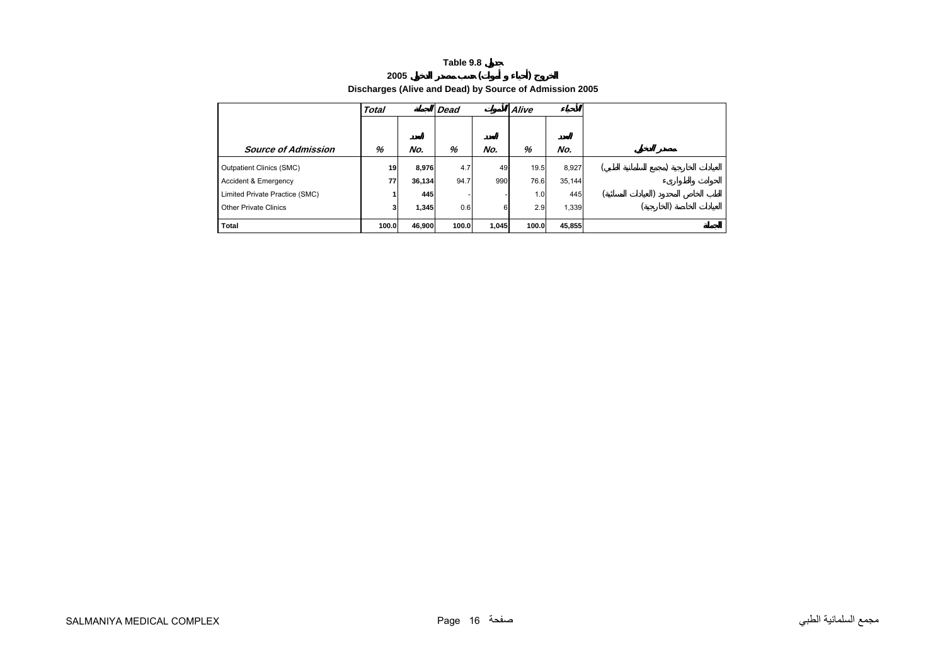#### **Table 9.8 2005 ( )**

<span id="page-15-0"></span>

|                                 | <b>Discrimingles (Allive and Dead) by Source of Admission 2005</b> |        |      |     |       |        |  |
|---------------------------------|--------------------------------------------------------------------|--------|------|-----|-------|--------|--|
|                                 | Total                                                              |        | Dead |     | Alive |        |  |
|                                 |                                                                    |        |      |     |       |        |  |
| <b>Source of Admission</b>      | %                                                                  | No.    | %    | No. | %     | No.    |  |
| <b>Outpatient Clinics (SMC)</b> | 19                                                                 | 8,976  | 4.7  | 49  | 19.5  | 8.927  |  |
| <b>Accident &amp; Emergency</b> | 77                                                                 | 36,134 | 94.7 | 990 | 76.6  | 35,144 |  |
| Limited Private Practice (SMC)  |                                                                    | 445    |      |     | 1.0   | 445    |  |

Other Private Clinics **<sup>3</sup> 1,345** 0.6 <sup>6</sup> 2.9 1,339 ( )

 **Total 100.0 46,900 100.0 1,045 100.0 45,855**

**Discharges (Alive and Dead) by Source of Admission 2005**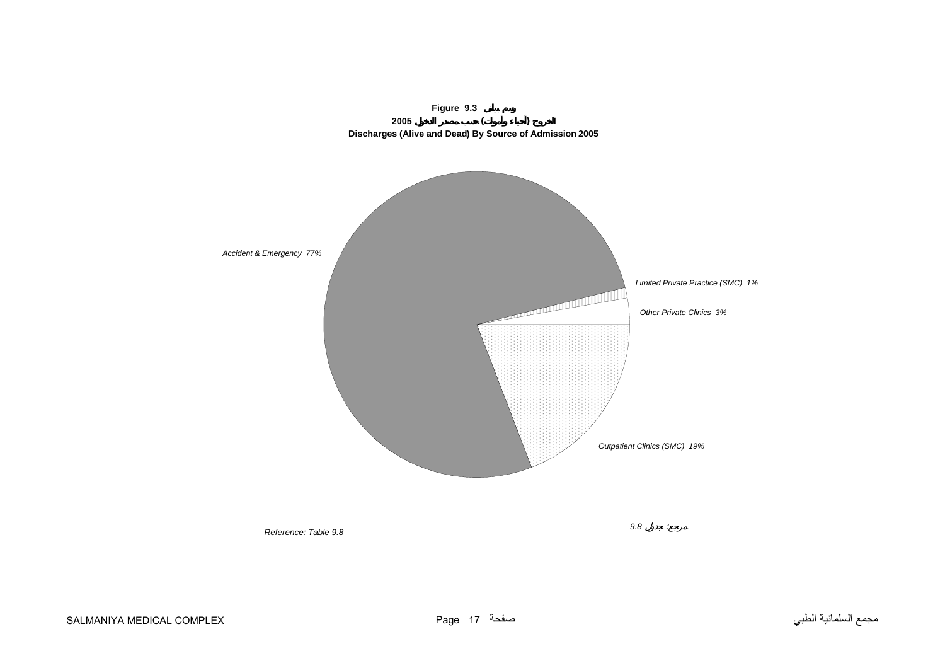<span id="page-16-0"></span>

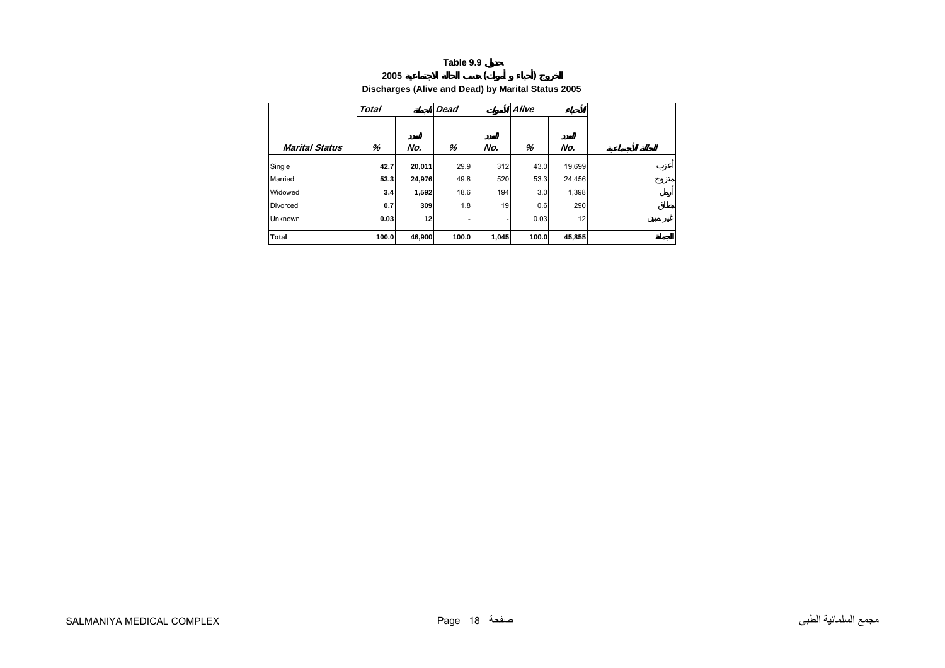#### **Table 9.9 2005 ( )**

<span id="page-17-0"></span>

|                       |              |        | Discharges (Alive and Dead) by Marital Status 2005 |       |       |        |
|-----------------------|--------------|--------|----------------------------------------------------|-------|-------|--------|
|                       | <b>Total</b> |        | Dead                                               |       | Alive |        |
| <b>Marital Status</b> | %            | No.    | %                                                  | No.   | %     | No.    |
| Single                | 42.7         | 20,011 | 29.9                                               | 312   | 43.0  | 19,699 |
| Married               | 53.3         | 24,976 | 49.8                                               | 520   | 53.3  | 24,456 |
| Widowed               | 3.4          | 1,592  | 18.6                                               | 194   | 3.0   | 1,398  |
| <b>Divorced</b>       | 0.7          | 309    | 1.8                                                | 19    | 0.6   | 290    |
| <b>Unknown</b>        | 0.03         | 12     |                                                    |       | 0.03  | 12     |
| <b>Total</b>          | 100.0        | 46,900 | 100.0                                              | 1,045 | 100.0 | 45,855 |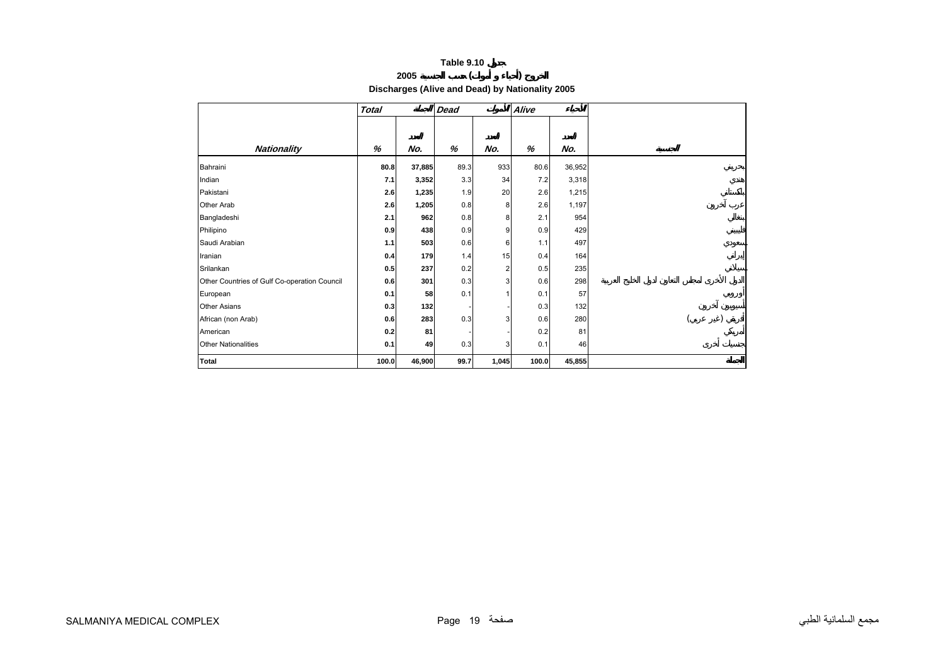### **2005 ( )**

**Discharges (Alive and Dead) by Nationality 2005** 

<span id="page-18-0"></span>

|                                              | <b>Total</b> |        | <b>Dead</b> |                | Alive |        |  |
|----------------------------------------------|--------------|--------|-------------|----------------|-------|--------|--|
|                                              |              |        |             |                |       |        |  |
|                                              |              |        |             |                |       |        |  |
| <b>Nationality</b>                           | %            | No.    | %           | No.            | $\%$  | No.    |  |
| Bahraini                                     | 80.8         | 37,885 | 89.3        | 933            | 80.6  | 36,952 |  |
| Indian                                       | 7.1          | 3,352  | 3.3         | 34             | 7.2   | 3,318  |  |
| Pakistani                                    | 2.6          | 1,235  | 1.9         | 20             | 2.6   | 1,215  |  |
| Other Arab                                   | 2.6          | 1,205  | 0.8         | 8              | 2.6   | 1,197  |  |
| Bangladeshi                                  | 2.1          | 962    | 0.8         | 8              | 2.1   | 954    |  |
| Philipino                                    | 0.9          | 438    | 0.9         | $9\,$          | 0.9   | 429    |  |
| Saudi Arabian                                | 1.1          | 503    | 0.6         | 6              | 1.1   | 497    |  |
| Iranian                                      | 0.4          | 179    | 1.4         | 15             | 0.4   | 164    |  |
| Srilankan                                    | 0.5          | 237    | 0.2         | $\overline{c}$ | 0.5   | 235    |  |
| Other Countries of Gulf Co-operation Council | 0.6          | 301    | 0.3         | 3 <sup>1</sup> | 0.6   | 298    |  |
| European                                     | 0.1          | 58     | 0.1         | 1              | 0.1   | 57     |  |
| <b>Other Asians</b>                          | 0.3          | 132    |             |                | 0.3   | 132    |  |
| African (non Arab)                           | 0.6          | 283    | 0.3         | 3 <sup>1</sup> | 0.6   | 280    |  |
| American                                     | 0.2          | 81     |             |                | 0.2   | 81     |  |
| <b>Other Nationalities</b>                   | 0.1          | 49     | 0.3         | 3 <sup>1</sup> | 0.1   | 46     |  |
| <b>Total</b>                                 | 100.0        | 46,900 | 99.7        | 1,045          | 100.0 | 45,855 |  |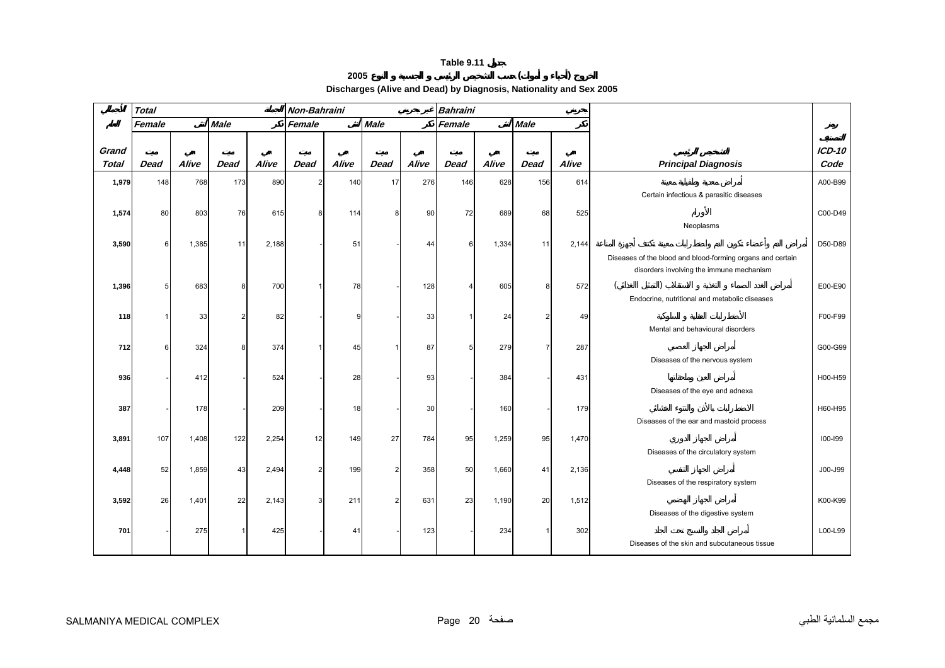# **2005 ( )**

**Discharges (Alive and Dead) by Diagnosis, Nationality and Sex 2005** 

<span id="page-19-0"></span>

|                       | <b>Total</b> |       |             |       | Non-Bahraini   |       |                |       | <b>Bahraini</b> |       |                |       |                                                            |                |
|-----------------------|--------------|-------|-------------|-------|----------------|-------|----------------|-------|-----------------|-------|----------------|-------|------------------------------------------------------------|----------------|
|                       | Female       |       | <b>Male</b> |       | Female         |       | <b>Male</b>    |       | Female          |       | <b>Male</b>    |       |                                                            |                |
|                       |              |       |             |       |                |       |                |       |                 |       |                |       |                                                            |                |
| Grand<br><b>Total</b> | <b>Dead</b>  | Alive | <b>Dead</b> | Alive | Dead           | Alive | <b>Dead</b>    | Alive | <b>Dead</b>     | Alive | <b>Dead</b>    | Alive | <b>Principal Diagnosis</b>                                 | ICD-10<br>Code |
|                       |              |       |             |       |                |       |                |       |                 |       |                |       |                                                            |                |
| 1,979                 | 148          | 768   | 173         | 890   | $\overline{2}$ | 140   | 17             | 276   | 146             | 628   | 156            | 614   |                                                            | A00-B99        |
|                       |              |       |             |       |                |       |                |       |                 |       |                |       | Certain infectious & parasitic diseases                    |                |
| 1,574                 | 80           | 803   | 76          | 615   | 8              | 114   | 8              | 90    | 72              | 689   | 68             | 525   |                                                            | C00-D49        |
|                       |              |       |             |       |                |       |                |       |                 |       |                |       | Neoplasms                                                  |                |
| 3,590                 | 6            | 1,385 | 11          | 2,188 |                | 51    |                | 44    | 6               | 1,334 | 11             | 2,144 |                                                            | D50-D89        |
|                       |              |       |             |       |                |       |                |       |                 |       |                |       | Diseases of the blood and blood-forming organs and certain |                |
|                       |              |       |             |       |                |       |                |       |                 |       |                |       | disorders involving the immune mechanism                   |                |
| 1,396                 |              | 683   | 8           | 700   |                | 78    |                | 128   | Δ               | 605   | 8              | 572   |                                                            | E00-E90        |
|                       |              |       |             |       |                |       |                |       |                 |       |                |       | Endocrine, nutritional and metabolic diseases              |                |
| 118                   |              | 33    |             | 82    |                | 9     |                | 33    |                 | 24    | $\overline{2}$ | 49    |                                                            | F00-F99        |
|                       |              |       |             |       |                |       |                |       |                 |       |                |       | Mental and behavioural disorders                           |                |
| 712                   | 6            | 324   | 8           | 374   |                | 45    |                | 87    | 5               | 279   | $\overline{7}$ | 287   |                                                            | G00-G99        |
|                       |              |       |             |       |                |       |                |       |                 |       |                |       | Diseases of the nervous system                             |                |
| 936                   |              | 412   |             | 524   |                | 28    |                | 93    |                 | 384   |                | 431   |                                                            | H00-H59        |
|                       |              |       |             |       |                |       |                |       |                 |       |                |       | Diseases of the eye and adnexa                             |                |
| 387                   |              | 178   |             | 209   |                | 18    |                | 30    |                 | 160   |                | 179   |                                                            | H60-H95        |
|                       |              |       |             |       |                |       |                |       |                 |       |                |       | Diseases of the ear and mastoid process                    |                |
| 3,891                 | 107          | 1,408 | 122         | 2,254 | 12             | 149   | 27             | 784   | 95              | 1,259 | 95             | 1,470 |                                                            | 100-199        |
|                       |              |       |             |       |                |       |                |       |                 |       |                |       | Diseases of the circulatory system                         |                |
|                       |              |       |             |       |                |       |                |       |                 |       |                |       |                                                            |                |
| 4,448                 | 52           | 1,859 | 43          | 2,494 | $\overline{2}$ | 199   | $\overline{2}$ | 358   | 50              | 1,660 | 41             | 2,136 | Diseases of the respiratory system                         | J00-J99        |
|                       |              |       |             |       |                |       |                |       |                 |       |                |       |                                                            |                |
| 3,592                 | 26           | 1,401 | 22          | 2,143 | 3              | 211   | $\overline{2}$ | 631   | 23              | 1,190 | 20             | 1,512 |                                                            | K00-K99        |
|                       |              |       |             |       |                |       |                |       |                 |       |                |       | Diseases of the digestive system                           |                |
| 701                   |              | 275   |             | 425   |                | 41    |                | 123   |                 | 234   | 1              | 302   |                                                            | L00-L99        |
|                       |              |       |             |       |                |       |                |       |                 |       |                |       | Diseases of the skin and subcutaneous tissue               |                |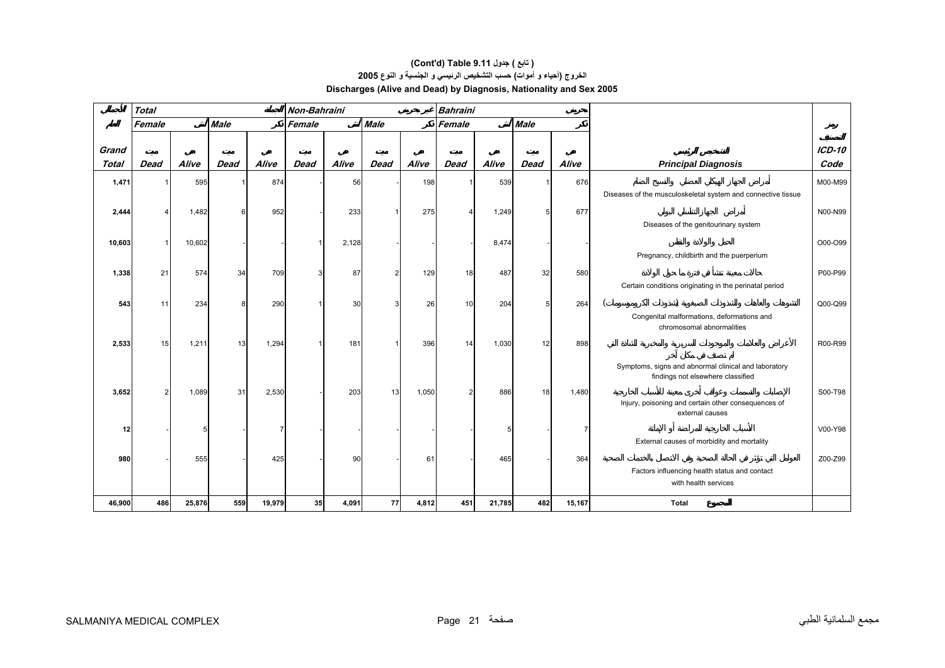#### **الخروج (أحياء <sup>و</sup> أموات) حسب التشخيص الرئيسي <sup>و</sup> الجنسية <sup>و</sup> النوع<sup>2005</sup> Discharges (Alive and Dead) by Diagnosis, Nationality and Sex 2005 (Cont'd) Table 9.11 جدول ) تابع(**

|                       | <b>Total</b> |        |             |                | Non-Bahraini |       |             |       | <b>Bahraini</b> |        |             |                |                                                                                           |                       |
|-----------------------|--------------|--------|-------------|----------------|--------------|-------|-------------|-------|-----------------|--------|-------------|----------------|-------------------------------------------------------------------------------------------|-----------------------|
|                       | Female       |        | <b>Male</b> |                | Female       |       | <b>Male</b> |       | Female          |        | <b>Male</b> |                |                                                                                           |                       |
| Grand<br><b>Total</b> | <b>Dead</b>  | Alive  | <b>Dead</b> | Alive          | <b>Dead</b>  | Alive | <b>Dead</b> | Alive | <b>Dead</b>     | Alive  | <b>Dead</b> | Alive          | <b>Principal Diagnosis</b>                                                                | <b>ICD-10</b><br>Code |
| 1,471                 |              | 595    |             | 874            |              | 56    |             | 198   |                 | 539    |             | 676            |                                                                                           | M00-M99               |
|                       |              |        |             |                |              |       |             |       |                 |        |             |                | Diseases of the musculoskeletal system and connective tissue                              |                       |
| 2,444                 |              | 1,482  | 6           | 952            |              | 233   |             | 275   |                 | 1,249  | 5           | 677            |                                                                                           | N00-N99               |
|                       |              |        |             |                |              |       |             |       |                 |        |             |                | Diseases of the genitourinary system                                                      |                       |
| 10,603                |              | 10,602 |             |                |              | 2,128 |             |       |                 | 8,474  |             |                |                                                                                           | O00-O99               |
|                       |              |        |             |                |              |       |             |       |                 |        |             |                | Pregnancy, childbirth and the puerperium                                                  |                       |
| 1,338                 | 21           | 574    | 34          | 709            |              | 87    |             | 129   | 18              | 487    | 32          | 580            |                                                                                           | P00-P99               |
|                       |              |        |             |                |              |       |             |       |                 |        |             |                | Certain conditions originating in the perinatal period                                    |                       |
| 543                   | 11           | 234    | 8           | 290            |              | 30    |             | 26    | 10              | 204    | 5           | 264            |                                                                                           | Q00-Q99               |
|                       |              |        |             |                |              |       |             |       |                 |        |             |                | Congenital malformations, deformations and<br>chromosomal abnormalities                   |                       |
| 2,533                 | 15           | 1,211  | 13          | 1,294          |              | 181   |             | 396   | 14              | 1,030  | 12          | 898            |                                                                                           | R00-R99               |
|                       |              |        |             |                |              |       |             |       |                 |        |             |                | Symptoms, signs and abnormal clinical and laboratory<br>findings not elsewhere classified |                       |
| 3,652                 | 2            | 1,089  | 31          | 2,530          |              | 203   | 13          | 1,050 | 2               | 886    | 18          | 1,480          |                                                                                           | S00-T98               |
|                       |              |        |             |                |              |       |             |       |                 |        |             |                | Injury, poisoning and certain other consequences of<br>external causes                    |                       |
| 12                    |              | 5      |             | $\overline{7}$ |              |       |             |       |                 |        |             | $\overline{7}$ |                                                                                           | V00-Y98               |
|                       |              |        |             |                |              |       |             |       |                 |        |             |                | External causes of morbidity and mortality                                                |                       |
| 980                   |              | 555    |             | 425            |              | 90    |             | 61    |                 | 465    |             | 364            |                                                                                           | Z00-Z99               |
|                       |              |        |             |                |              |       |             |       |                 |        |             |                | Factors influencing health status and contact<br>with health services                     |                       |
|                       |              |        |             |                |              |       |             |       |                 |        |             |                |                                                                                           |                       |
| 46,900                | 486          | 25,876 | 559         | 19,979         | 35           | 4,091 | 77          | 4,812 | 451             | 21,785 | 482         | 15,167         | <b>Total</b>                                                                              |                       |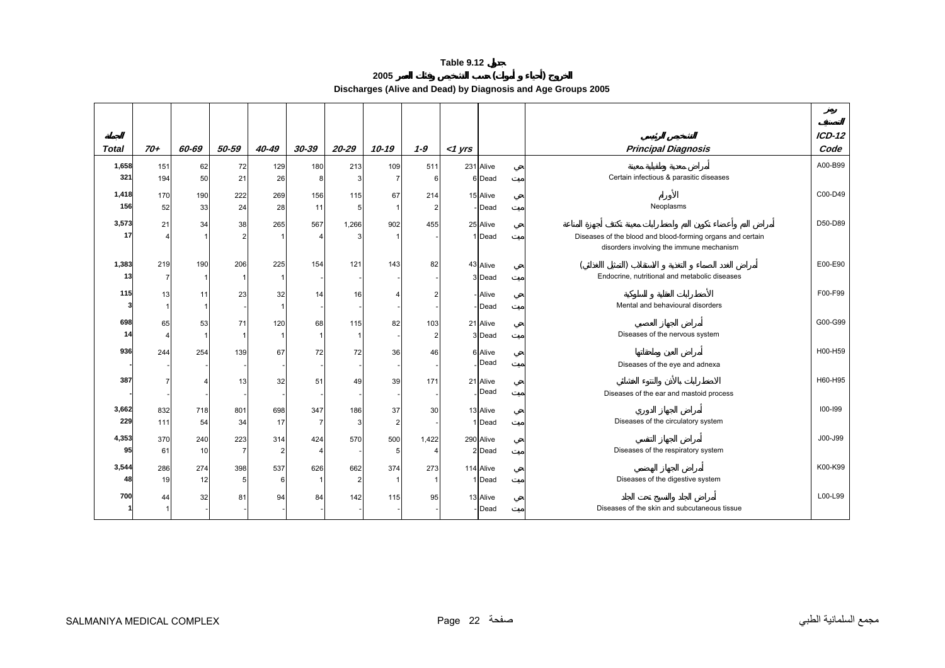**2005 ( ) Discharges (Alive and Dead) by Diagnosis and Age Groups 2005** 

<span id="page-21-0"></span>

|              |       |       |                |               |                |           |                |         |           |                    |                                                            | $ICD-12$ |  |
|--------------|-------|-------|----------------|---------------|----------------|-----------|----------------|---------|-----------|--------------------|------------------------------------------------------------|----------|--|
| <b>Total</b> | $70+$ | 60-69 | 50-59          | 40-49         | $30 - 39$      | $20 - 29$ | $10 - 19$      | $1 - 9$ | $<$ 1 yrs |                    | <b>Principal Diagnosis</b>                                 | Code     |  |
| 1,658        | 151   | 62    | 72             | 129           | 180            | 213       | 109            | 511     |           | 231 Alive          |                                                            | A00-B99  |  |
| 321          | 194   | 50    | 21             | 26            | 8              |           | 7              | 6       |           | 6 Dead             | Certain infectious & parasitic diseases                    |          |  |
| 1,418        | 170   | 190   | 222            | 269           | 156            | 115       | 67             | 214     |           | 15 Alive           |                                                            | C00-D49  |  |
| 156          | 52    | 33    | 24             | 28            | 11             | 5         | $\mathbf 1$    |         |           | - Dead             | Neoplasms                                                  |          |  |
| 3,573        | 21    | 34    | 38             | 265           | 567            | 1,266     | 902            | 455     |           | 25 Alive           |                                                            | D50-D89  |  |
| 17           |       |       | $\overline{2}$ |               | 4              |           |                |         |           | 1 Dead             | Diseases of the blood and blood-forming organs and certain |          |  |
|              |       |       |                |               |                |           |                |         |           |                    | disorders involving the immune mechanism                   |          |  |
| 1,383        | 219   | 190   | 206            | 225           | 154            | 121       | 143            | 82      |           | 43 Alive           |                                                            | E00-E90  |  |
| 13           | 7     |       |                |               |                |           |                |         |           | 3 Dead             | Endocrine, nutritional and metabolic diseases              |          |  |
|              |       |       |                |               |                |           |                |         |           |                    |                                                            | F00-F99  |  |
| 115          | 13    | 11    | 23             | 32            | 14             | 16        | 4              |         |           | - Alive<br>- Dead  | Mental and behavioural disorders                           |          |  |
|              |       |       |                |               |                |           |                |         |           |                    |                                                            |          |  |
| 698          | 65    | 53    | 71             | 120           | 68             | 115       | 82             | 103     |           | 21 Alive           |                                                            | G00-G99  |  |
| 14           | 4     |       |                |               | $\mathbf{1}$   |           |                |         |           | 3 Dead             | Diseases of the nervous system                             |          |  |
| 936          | 244   | 254   | 139            | 67            | 72             | 72        | 36             | 46      |           | 6 Alive            |                                                            | H00-H59  |  |
|              |       |       |                |               |                |           |                |         |           | Dead               | Diseases of the eye and adnexa                             |          |  |
| 387          | 7     |       | 13             | 32            | 51             | 49        | 39             | 171     |           | 21 Alive           |                                                            | H60-H95  |  |
|              |       |       |                |               |                |           |                |         |           | Dead               | Diseases of the ear and mastoid process                    |          |  |
| 3,662        | 832   | 718   | 801            | 698           | 347            | 186       | 37             | 30      |           | 13 Alive           |                                                            | 100-199  |  |
| 229          | 111   | 54    | 34             | 17            | $\overline{7}$ | 3         | $\overline{2}$ |         |           | 1 Dead             | Diseases of the circulatory system                         |          |  |
| 4,353        | 370   | 240   | 223            | 314           | 424            | 570       | 500            | 1,422   |           | 290 Alive          |                                                            | J00-J99  |  |
| 95           | 61    | 10    | $\overline{7}$ | $\mathcal{P}$ | 4              |           | 5              |         |           | 2 Dead             | Diseases of the respiratory system                         |          |  |
| 3,544        | 286   | 274   | 398            | 537           | 626            | 662       | 374            | 273     |           | 114 Alive          |                                                            | K00-K99  |  |
| 48           | 19    | 12    | 5              | 6             | $\mathbf{1}$   | 2         |                |         |           | 1 Dead             | Diseases of the digestive system                           |          |  |
| 700          |       |       |                |               |                |           |                |         |           |                    |                                                            | L00-L99  |  |
|              | 44    | 32    | 81             | 94            | 84             | 142       | 115            | 95      |           | 13 Alive<br>- Dead | Diseases of the skin and subcutaneous tissue               |          |  |
|              |       |       |                |               |                |           |                |         |           |                    |                                                            |          |  |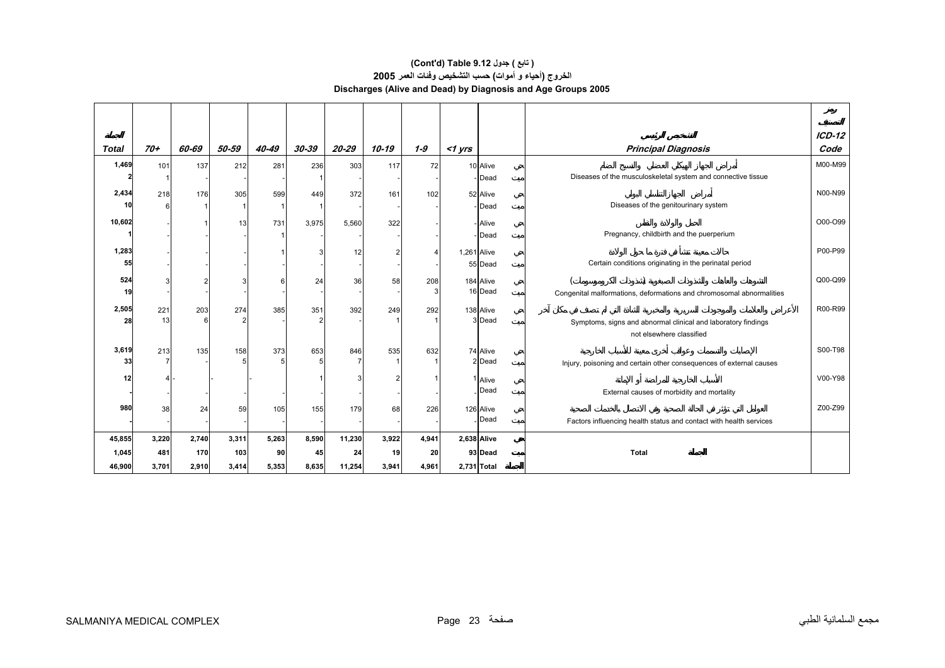#### **الخروج (أحياء <sup>و</sup> أموات) حسب التشخيص وفئات العمر<sup>2005</sup> Discharges (Alive and Dead) by Diagnosis and Age Groups 2005 (Cont'd) Table 9.12 جدول ) تابع(**

|              |       |       |       |       |       |        |       |         |             |                    |                                                                      | $ICD-12$ |
|--------------|-------|-------|-------|-------|-------|--------|-------|---------|-------------|--------------------|----------------------------------------------------------------------|----------|
| <b>Total</b> | $70+$ | 60-69 | 50-59 | 40-49 | 30-39 | 20-29  | 10-19 | $1 - 9$ | $<$ 1 yrs   |                    | <b>Principal Diagnosis</b>                                           | Code     |
| 1,469        | 101   | 137   | 212   | 281   | 236   | 303    | 117   | 72      |             | 10 Alive           |                                                                      | M00-M99  |
|              |       |       |       |       |       |        |       |         |             | Dead               | Diseases of the musculoskeletal system and connective tissue         |          |
| 2,434        | 218   | 176   | 305   | 599   | 449   | 372    | 161   | 102     |             | 52 Alive           |                                                                      | N00-N99  |
| 10           |       |       |       |       |       |        |       |         |             | Dead               | Diseases of the genitourinary system                                 |          |
| 10,602       |       |       | 13    | 731   | 3,975 | 5,560  | 322   |         |             | - Alive            |                                                                      | O00-O99  |
|              |       |       |       |       |       |        |       |         |             | Dead               | Pregnancy, childbirth and the puerperium                             |          |
| 1,283        |       |       |       |       | 3     | 12     | 2     |         | 1,261 Alive |                    |                                                                      | P00-P99  |
| 55           |       |       |       |       |       |        |       |         |             | 55 Dead            | Certain conditions originating in the perinatal period               |          |
| 524          | 3     |       | 3     |       | 24    | 36     | 58    | 208     |             | 184 Alive          |                                                                      | Q00-Q99  |
| 19           |       |       |       |       |       |        |       |         |             | 16 Dead            | Congenital malformations, deformations and chromosomal abnormalities |          |
| 2,505        | 221   | 203   | 274   | 385   | 351   | 392    | 249   | 292     |             | 138 Alive          |                                                                      | R00-R99  |
| 28           | 13    |       | 2     |       | 2     |        |       |         |             | 3 Dead             | Symptoms, signs and abnormal clinical and laboratory findings        |          |
|              |       |       |       |       |       |        |       |         |             |                    | not elsewhere classified                                             |          |
| 3,619        | 213   | 135   | 158   | 373   | 653   | 846    | 535   | 632     |             | 74 Alive           |                                                                      | S00-T98  |
| 33           |       |       |       |       | 5     |        |       |         |             | 2 Dead             | Injury, poisoning and certain other consequences of external causes  |          |
| 12           | 41    |       |       |       |       |        |       |         |             | <sup>1</sup> Alive |                                                                      | V00-Y98  |
|              |       |       |       |       |       |        |       |         |             | Dead               | External causes of morbidity and mortality                           |          |
| 980          | 38    | 24    | 59    | 105   | 155   | 179    | 68    | 226     |             | 126 Alive          |                                                                      | Z00-Z99  |
|              |       |       |       |       |       |        |       |         |             | Dead               | Factors influencing health status and contact with health services   |          |
| 45,855       | 3,220 | 2,740 | 3,311 | 5,263 | 8,590 | 11,230 | 3,922 | 4,941   |             | 2,638 Alive        |                                                                      |          |
| 1,045        | 481   | 170   | 103   | 90    | 45    | 24     | 19    | 20      |             | 93 Dead            | Total                                                                |          |
| 46,900       | 3,701 | 2,910 | 3,414 | 5,353 | 8,635 | 11,254 | 3,941 | 4,961   | 2,731 Total |                    |                                                                      |          |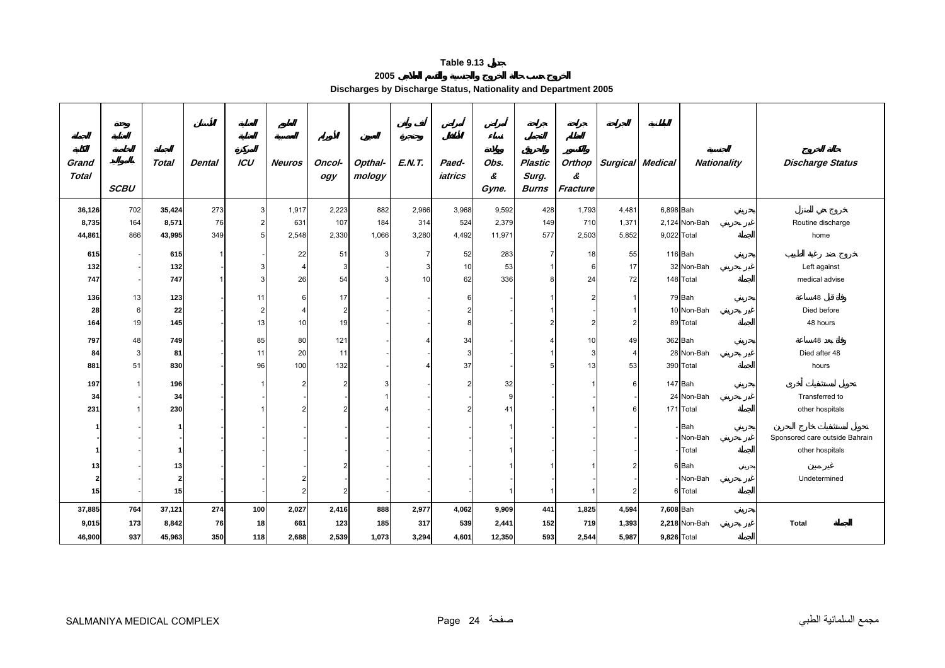#### **2005**

**Discharges by Discharge Status, Nationality and Department 2005** 

<span id="page-23-0"></span>

| Grand        |             | Total                    | <b>Dental</b> | ICU            | <b>Neuros</b>  | Oncol-         | Opthal- | <b>E.N.T.</b> | Paed-   | Obs.       | <b>Plastic</b>          |                | Orthop   Surgical Medical |             | <b>Nationality</b> | <b>Discharge Status</b>        |
|--------------|-------------|--------------------------|---------------|----------------|----------------|----------------|---------|---------------|---------|------------|-------------------------|----------------|---------------------------|-------------|--------------------|--------------------------------|
| <b>Total</b> | <b>SCBU</b> |                          |               |                |                | ogy            | mology  |               | iatrics | &<br>Gyne. | Surg.<br><b>Burns</b>   | &<br>Fracture  |                           |             |                    |                                |
| 36,126       | 702         | 35,424                   | 273           | 3              | 1,917          | 2,223          | 882     | 2,966         | 3,968   | 9,592      | 428                     | 1,793          | 4,481                     | 6,898 Bah   |                    |                                |
| 8,735        | 164         | 8,571                    | 76            | $\overline{2}$ | 631            | 107            | 184     | 314           | 524     | 2,379      | 149                     | 710            | 1,371                     |             | 2,124 Non-Bah      | Routine discharge              |
| 44,861       | 866         | 43,995                   | 349           | 5              | 2,548          | 2,330          | 1,066   | 3,280         | 4,492   | 11,971     | 577                     | 2,503          | 5,852                     | 9,022 Total |                    | home                           |
| 615          |             | 615                      |               |                | 22             | 51             | 3       |               | 52      | 283        | $\overline{7}$          | 18             | 55                        |             | 116 Bah            |                                |
| 132          |             | 132                      |               |                | $\overline{4}$ | З              |         |               | 10      | 53         | $\overline{\mathbf{1}}$ | 6              | 17                        |             | 32 Non-Bah         | Left against                   |
| 747          |             | 747                      |               | 3              | 26             | 54             | 3       | 10            | 62      | 336        | 8                       | 24             | 72                        |             | 148 Total          | medical advise                 |
| 136          | 13          | 123                      |               | 11             | 6              | 17             |         |               |         |            |                         | $\overline{2}$ | $\overline{1}$            |             | 79 Bah             | 48                             |
| 28           | 6           | 22                       |               | $\overline{2}$ | 4              | $\overline{2}$ |         |               |         |            |                         |                |                           |             | 10 Non-Bah         | Died before                    |
| 164          | 19          | 145                      |               | 13             | 10             | 19             |         |               |         |            | 2                       | $\overline{2}$ | 2                         |             | 89 Total           | 48 hours                       |
| 797          | 48          | 749                      |               | 85             | 80             | 121            |         |               | 34      |            | 4                       | 10             | 49                        |             | 362 Bah            | 48                             |
| 84           | 3           | 81                       |               | 11             | 20             | 11             |         |               | 3       |            |                         | 3              | $\overline{4}$            |             | 28 Non-Bah         | Died after 48                  |
| 881          | 51          | 830                      |               | 96             | 100            | 132            |         |               | 37      |            | 5                       | 13             | 53                        |             | 390 Total          | hours                          |
| 197          |             | 196                      |               |                | 2              |                | 3       |               |         | 32         |                         |                | 6                         |             | 147 Bah            |                                |
| 34           |             | 34                       |               |                |                |                |         |               |         |            |                         |                |                           |             | 24 Non-Bah         | Transferred to                 |
| 231          |             | 230                      |               |                |                |                |         |               |         | 41         |                         |                | F                         |             | 171 Total          | other hospitals                |
|              |             |                          |               |                |                |                |         |               |         |            |                         |                |                           |             | Bah                |                                |
|              |             |                          |               |                |                |                |         |               |         |            |                         |                |                           |             | Non-Bah            | Sponsored care outside Bahrain |
|              |             |                          |               |                |                |                |         |               |         |            |                         |                |                           |             | Total              | other hospitals                |
| 13           |             | 13                       |               |                |                |                |         |               |         |            |                         |                | 2                         |             | 6 Bah              |                                |
| 2            |             | $\overline{\phantom{a}}$ |               |                |                |                |         |               |         |            |                         |                |                           |             | Non-Bah            | Undetermined                   |
| 15           |             | 15                       |               |                | 2              |                |         |               |         |            |                         |                | $\overline{2}$            |             | 6 Total            |                                |
| 37,885       | 764         | 37,121                   | 274           | 100            | 2,027          | 2,416          | 888     | 2,977         | 4,062   | 9,909      | 441                     | 1,825          | 4,594                     | 7,608 Bah   |                    |                                |
| 9,015        | 173         | 8,842                    | 76            | 18             | 661            | 123            | 185     | 317           | 539     | 2,441      | 152                     | 719            | 1,393                     |             | 2,218 Non-Bah      | <b>Total</b>                   |
| 46,900       | 937         | 45,963                   | 350           | 118            | 2,688          | 2,539          | 1,073   | 3,294         | 4,601   | 12,350     | 593                     | 2,544          | 5,987                     | 9,826 Total |                    |                                |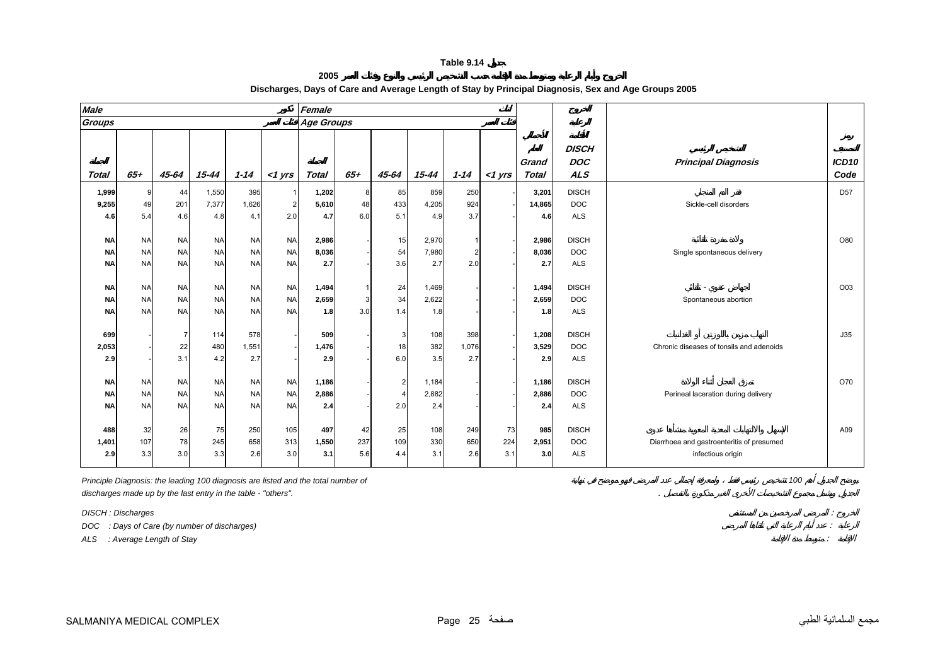**2005**

<span id="page-24-0"></span>

|                                     |                                     |                                     |                                     |                                     | Female                |                  |                        |                       |                     |             |                       |                                          |                                                                |                           |
|-------------------------------------|-------------------------------------|-------------------------------------|-------------------------------------|-------------------------------------|-----------------------|------------------|------------------------|-----------------------|---------------------|-------------|-----------------------|------------------------------------------|----------------------------------------------------------------|---------------------------|
|                                     |                                     |                                     |                                     |                                     |                       |                  |                        |                       |                     |             |                       |                                          |                                                                |                           |
| $65 +$                              | 45-64                               | $15 - 44$                           | $1 - 14$                            | $<$ 1 yrs                           | <b>Total</b>          | $65 +$           | 45-64                  | $15 - 44$             | $1 - 14$            | $<$ 1 $Vrs$ | Grand<br><b>Total</b> | <b>DISCH</b><br><b>DOC</b><br><b>ALS</b> | <b>Principal Diagnosis</b>                                     | ICD <sub>10</sub><br>Code |
| <b>q</b>                            |                                     |                                     |                                     | $\overline{1}$                      |                       |                  |                        |                       |                     |             |                       |                                          |                                                                | D <sub>57</sub>           |
| 49                                  | 201                                 | 7,377                               | 1,626                               | $\overline{2}$                      | 5,610                 | 48               | 433                    | 4,205                 | 924                 |             | 14,865                | <b>DOC</b>                               | Sickle-cell disorders                                          |                           |
| 5.4                                 | 4.6                                 | 4.8                                 | 4.1                                 | 2.0                                 | 4.7                   | 6.0              | 5.1                    | 4.9                   | 3.7                 |             | 4.6                   | <b>ALS</b>                               |                                                                |                           |
| <b>NA</b><br><b>NA</b><br><b>NA</b> | <b>NA</b><br><b>NA</b><br><b>NA</b> | <b>NA</b><br><b>NA</b><br><b>NA</b> | <b>NA</b><br><b>NA</b><br><b>NA</b> | <b>NA</b><br><b>NA</b><br><b>NA</b> | 2,986<br>8,036<br>2.7 |                  | 15<br>54<br>3.6        | 2,970<br>7,980<br>2.7 | 2<br>2.0            |             | 2,986<br>8,036<br>2.7 | <b>DISCH</b><br><b>DOC</b><br><b>ALS</b> | Single spontaneous delivery                                    | O80                       |
| <b>NA</b>                           | <b>NA</b>                           | <b>NA</b>                           | <b>NA</b>                           | <b>NA</b>                           | 1,494                 | $\mathbf{1}$     | 24                     | 1,469                 |                     |             | 1,494                 | <b>DISCH</b>                             |                                                                | O03                       |
| <b>NA</b>                           | <b>NA</b>                           | <b>NA</b>                           | <b>NA</b>                           | <b>NA</b>                           | 2,659                 | $\mathbf{3}$     | 34                     | 2,622                 |                     |             | 2,659                 | <b>DOC</b>                               | Spontaneous abortion                                           |                           |
| <b>NA</b>                           | <b>NA</b>                           | <b>NA</b>                           | <b>NA</b>                           | <b>NA</b>                           | 1.8                   | 3.0              | 1.4                    | 1.8                   |                     |             | 1.8                   | <b>ALS</b>                               |                                                                |                           |
|                                     | 22<br>3.1                           | 114<br>480<br>4.2                   | 578<br>1,551<br>2.7                 |                                     | 509<br>1,476<br>2.9   |                  | 3<br>18<br>6.0         | 108<br>382<br>3.5     | 398<br>1,076<br>2.7 |             | 1,208<br>3,529<br>2.9 | <b>DISCH</b><br><b>DOC</b><br><b>ALS</b> | Chronic diseases of tonsils and adenoids                       | J35                       |
| <b>NA</b><br><b>NA</b>              | <b>NA</b><br><b>NA</b><br><b>NA</b> | <b>NA</b><br><b>NA</b>              | <b>NA</b><br><b>NA</b>              | <b>NA</b><br><b>NA</b><br><b>NA</b> | 1,186<br>2,886        |                  | $\overline{2}$         | 1,184<br>2,882        |                     |             | 1,186<br>2,886        | <b>DISCH</b><br><b>DOC</b>               | Perineal laceration during delivery                            | O70                       |
| 32<br>107<br>3.3                    | 26<br>78<br>3.0                     | 75<br>245<br>3.3                    | 250<br>658<br>2.6                   | 105<br>313<br>3.0                   | 497<br>1,550<br>3.1   | 42<br>237<br>5.6 | 25<br>109<br>4.4       | 108<br>330<br>3.1     | 249<br>650<br>2.6   | 3.1         | 985<br>2,951<br>3.0   | <b>DISCH</b><br><b>DOC</b><br><b>ALS</b> | Diarrhoea and gastroenteritis of presumed<br>infectious origin | A09                       |
|                                     | <b>NA</b>                           | 44                                  | 1,550<br><b>NA</b>                  | 395<br><b>NA</b>                    |                       | 1,202<br>2.4     | <b>Age Groups</b><br>8 | 85<br>2.0             | 859<br>2.4          | 250         |                       | 3,201<br>2.4<br>73<br>224                | <b>DISCH</b><br><b>ALS</b>                                     |                           |

#### **Discharges, Days of Care and Average Length of Stay by Principal Diagnosis, Sex and Age Groups 2005**

*Principle Diagnosis: the leading 100 diagnosis are listed and the total number of 100 discharges made up by the last entry in the table - "others".* .

*DISCH : Discharges* :

*DOC : Days of Care (by number of discharges)* :

*ALS : Average Length of Stay* :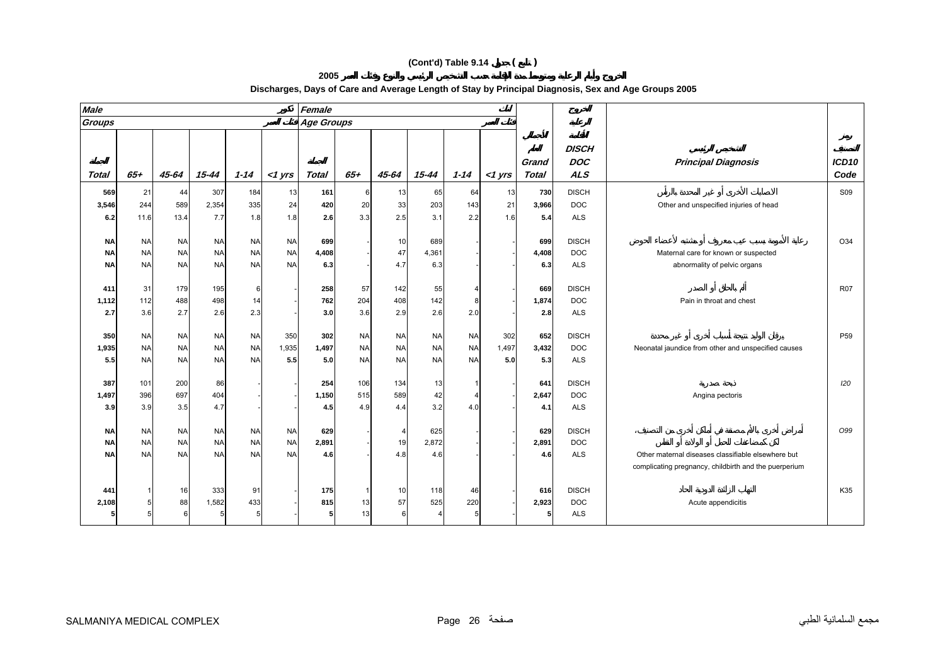**2005** 

| <b>Male</b>                         |                                     |                                     |                                     |                                     |                                     | Female              |                                     |                                     |                                     |                                     |                     |                       |                                          |                                                                             |                           |
|-------------------------------------|-------------------------------------|-------------------------------------|-------------------------------------|-------------------------------------|-------------------------------------|---------------------|-------------------------------------|-------------------------------------|-------------------------------------|-------------------------------------|---------------------|-----------------------|------------------------------------------|-----------------------------------------------------------------------------|---------------------------|
| Groups                              |                                     |                                     |                                     |                                     |                                     | <b>Age Groups</b>   |                                     |                                     |                                     |                                     |                     |                       |                                          |                                                                             |                           |
| Total                               | $65+$                               | $45 - 64$                           | $15 - 44$                           | $1 - 14$                            | $<$ 1 $Vrs$                         | <b>Total</b>        | $65 +$                              | 45-64                               | $15 - 44$                           | $1 - 14$                            | $<$ 1 yrs           | Grand<br><b>Total</b> | <b>DISCH</b><br><b>DOC</b><br><b>ALS</b> | <b>Principal Diagnosis</b>                                                  | ICD <sub>10</sub><br>Code |
| 569                                 | 21                                  | 44                                  | 307                                 | 184                                 | 13                                  | 161                 | 6                                   | 13                                  | 65                                  | 64                                  | 13                  | 730                   | <b>DISCH</b>                             |                                                                             | <b>S09</b>                |
| 3,546                               | 244                                 | 589                                 | 2,354                               | 335                                 | 24                                  | 420                 | 20                                  | 33                                  | 203                                 | 143                                 | 21                  | 3,966                 | <b>DOC</b>                               | Other and unspecified injuries of head                                      |                           |
| 6.2                                 | 11.6                                | 13.4                                | 7.7                                 | 1.8                                 | 1.8                                 | 2.6                 | 3.3                                 | 2.5                                 | 3.1                                 | 2.2                                 | 1.6                 | 5.4                   | <b>ALS</b>                               |                                                                             |                           |
| <b>NA</b><br><b>NA</b><br><b>NA</b> | <b>NA</b><br><b>NA</b><br><b>NA</b> | <b>NA</b><br><b>NA</b><br><b>NA</b> | <b>NA</b><br><b>NA</b><br><b>NA</b> | <b>NA</b><br><b>NA</b><br><b>NA</b> | <b>NA</b><br><b>NA</b><br><b>NA</b> | 699<br>4,408<br>6.3 |                                     | 10<br>47<br>4.7                     | 689<br>4,361<br>6.3                 |                                     |                     | 699<br>4,408<br>6.3   | <b>DISCH</b><br><b>DOC</b><br><b>ALS</b> | Maternal care for known or suspected<br>abnormality of pelvic organs        | O34                       |
| 411<br>1,112<br>2.7                 | 31<br>112<br>3.6                    | 179<br>488<br>2.7                   | 195<br>498<br>2.6                   | 6<br>14<br>2.3                      |                                     | 258<br>762<br>3.0   | 57<br>204<br>3.6                    | 142<br>408<br>2.9                   | 55<br>142<br>2.6                    | 2.0                                 |                     | 669<br>1,874<br>2.8   | <b>DISCH</b><br><b>DOC</b><br><b>ALS</b> | Pain in throat and chest                                                    | <b>R07</b>                |
| 350<br>1,935<br>5.5                 | <b>NA</b><br><b>NA</b><br><b>NA</b> | <b>NA</b><br><b>NA</b><br><b>NA</b> | <b>NA</b><br><b>NA</b><br><b>NA</b> | <b>NA</b><br><b>NA</b><br><b>NA</b> | 350<br>1,935<br>5.5                 | 302<br>1,497<br>5.0 | <b>NA</b><br><b>NA</b><br><b>NA</b> | <b>NA</b><br><b>NA</b><br><b>NA</b> | <b>NA</b><br><b>NA</b><br><b>NA</b> | <b>NA</b><br><b>NA</b><br><b>NA</b> | 302<br>1,497<br>5.0 | 652<br>3,432<br>5.3   | <b>DISCH</b><br><b>DOC</b><br><b>ALS</b> | Neonatal jaundice from other and unspecified causes                         | P <sub>59</sub>           |
| 387<br>1,497<br>3.9                 | 101<br>396<br>3.9                   | 200<br>697<br>3.5                   | 86<br>404<br>4.7                    |                                     |                                     | 254<br>1,150<br>4.5 | 106<br>515<br>4.9                   | 134<br>589<br>4.4                   | 13<br>42<br>3.2                     | 4.0                                 |                     | 641<br>2,647<br>4.1   | <b>DISCH</b><br><b>DOC</b><br><b>ALS</b> | Angina pectoris                                                             | 120                       |
| <b>NA</b><br>ΝA<br><b>NA</b>        | <b>NA</b><br><b>NA</b><br><b>NA</b> | <b>NA</b><br><b>NA</b><br><b>NA</b> | <b>NA</b><br><b>NA</b><br><b>NA</b> | <b>NA</b><br><b>NA</b><br><b>NA</b> | <b>NA</b><br><b>NA</b><br><b>NA</b> | 629<br>2,891<br>4.6 |                                     | 4<br>19<br>4.8                      | 625<br>2,872<br>4.6                 |                                     |                     | 629<br>2,891<br>4.6   | <b>DISCH</b><br><b>DOC</b><br><b>ALS</b> | Other maternal diseases classifiable elsewhere but                          | O99                       |
| 441<br>2,108                        | 5                                   | 16<br>88<br>6                       | 333<br>1,582<br>-5                  | 91<br>433<br>5                      |                                     | 175<br>815<br>5     | 13<br>13                            | 10<br>57<br>6                       | 118<br>525                          | 46<br>220                           |                     | 616<br>2,923<br>5     | <b>DISCH</b><br><b>DOC</b><br><b>ALS</b> | complicating pregnancy, childbirth and the puerperium<br>Acute appendicitis | K35                       |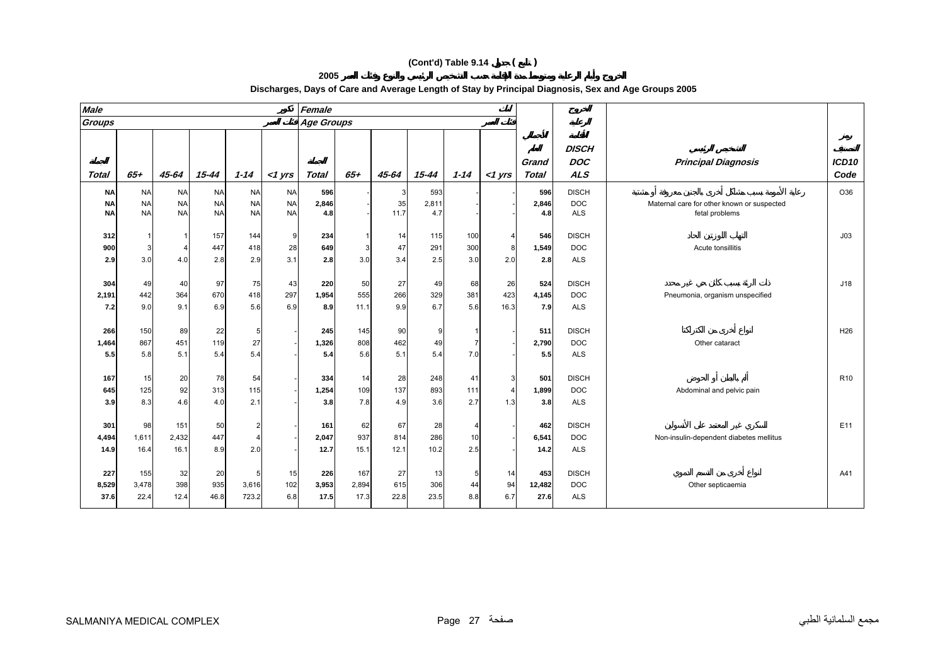**2005** 

| <b>Male</b>                         |                                     |                                     |                                     |                                         |                                     | Female               |                      |                   |                     |                   |                   |                       |                                          |                                                              |                           |
|-------------------------------------|-------------------------------------|-------------------------------------|-------------------------------------|-----------------------------------------|-------------------------------------|----------------------|----------------------|-------------------|---------------------|-------------------|-------------------|-----------------------|------------------------------------------|--------------------------------------------------------------|---------------------------|
| <b>Groups</b>                       |                                     |                                     |                                     |                                         |                                     | <b>Age Groups</b>    |                      |                   |                     |                   |                   |                       |                                          |                                                              |                           |
| Total                               | $65 +$                              | 45-64                               | $15 - 44$                           | $1 - 14$                                | $<$ 1 $Vrs$                         | Total                | $65+$                | 45-64             | 15-44               | $1 - 14$          | $<$ 1 $Vrs$       | Grand<br>Total        | <b>DISCH</b><br><b>DOC</b><br><b>ALS</b> | <b>Principal Diagnosis</b>                                   | ICD <sub>10</sub><br>Code |
| <b>NA</b><br><b>NA</b><br><b>NA</b> | <b>NA</b><br><b>NA</b><br><b>NA</b> | <b>NA</b><br><b>NA</b><br><b>NA</b> | <b>NA</b><br><b>NA</b><br><b>NA</b> | <b>NA</b><br><b>NA</b><br><b>NA</b>     | <b>NA</b><br><b>NA</b><br><b>NA</b> | 596<br>2,846<br>4.8  |                      | 3<br>35<br>11.7   | 593<br>2,811<br>4.7 |                   |                   | 596<br>2,846<br>4.8   | <b>DISCH</b><br><b>DOC</b><br><b>ALS</b> | Maternal care for other known or suspected<br>fetal problems | O36                       |
| 312<br>900<br>2.9                   | 3<br>3.0                            | $\Delta$<br>4.0                     | 157<br>447<br>2.8                   | 144<br>418<br>2.9                       | 9<br>28<br>3.1                      | 234<br>649<br>2.8    | 3<br>3.0             | 14<br>47<br>3.4   | 115<br>291<br>2.5   | 100<br>300<br>3.0 | Δ<br>2.0          | 546<br>1,549<br>2.8   | <b>DISCH</b><br><b>DOC</b><br><b>ALS</b> | Acute tonsillitis                                            | J03                       |
| 304<br>2,191<br>7.2                 | 49<br>442<br>9.0                    | 40<br>364<br>9.1                    | 97<br>670<br>6.9                    | 75<br>418<br>5.6                        | 43<br>297<br>6.9                    | 220<br>1,954<br>8.9  | 50<br>555<br>11.1    | 27<br>266<br>9.9  | 49<br>329<br>6.7    | 68<br>381<br>5.6  | 26<br>423<br>16.3 | 524<br>4,145<br>7.9   | <b>DISCH</b><br><b>DOC</b><br><b>ALS</b> | Pneumonia, organism unspecified                              | J18                       |
| 266<br>1,464<br>5.5                 | 150<br>867<br>5.8                   | 89<br>451<br>5.1                    | 22<br>119<br>5.4                    | 5<br>27<br>5.4                          |                                     | 245<br>1,326<br>5.4  | 145<br>808<br>5.6    | 90<br>462<br>5.1  | 9<br>49<br>5.4      | 7.0               |                   | 511<br>2,790<br>5.5   | <b>DISCH</b><br><b>DOC</b><br><b>ALS</b> | Other cataract                                               | H <sub>26</sub>           |
| 167<br>645<br>3.9                   | 15<br>125<br>8.3                    | 20<br>92<br>4.6                     | 78<br>313<br>4.0                    | 54<br>115<br>2.1                        |                                     | 334<br>1,254<br>3.8  | 14<br>109<br>7.8     | 28<br>137<br>4.9  | 248<br>893<br>3.6   | 41<br>111<br>2.7  | Δ<br>1.3          | 501<br>1,899<br>3.8   | <b>DISCH</b><br><b>DOC</b><br><b>ALS</b> | Abdominal and pelvic pain                                    | R <sub>10</sub>           |
| 301<br>4,494<br>14.9                | 98<br>1,611<br>16.4                 | 151<br>2,432<br>16.1                | 50<br>447<br>8.9                    | $\overline{2}$<br>$\overline{4}$<br>2.0 |                                     | 161<br>2,047<br>12.7 | 62<br>937<br>15.1    | 67<br>814<br>12.1 | 28<br>286<br>10.2   | 10<br>2.5         |                   | 462<br>6,541<br>14.2  | <b>DISCH</b><br><b>DOC</b><br><b>ALS</b> | Non-insulin-dependent diabetes mellitus                      | E11                       |
| 227<br>8,529<br>37.6                | 155<br>3,478<br>22.4                | 32<br>398<br>12.4                   | 20<br>935<br>46.8                   | 5<br>3,616<br>723.2                     | 15<br>102<br>6.8                    | 226<br>3,953<br>17.5 | 167<br>2,894<br>17.3 | 27<br>615<br>22.8 | 13<br>306<br>23.5   | 44<br>8.8         | 14<br>94<br>6.7   | 453<br>12,482<br>27.6 | <b>DISCH</b><br><b>DOC</b><br><b>ALS</b> | Other septicaemia                                            | A41                       |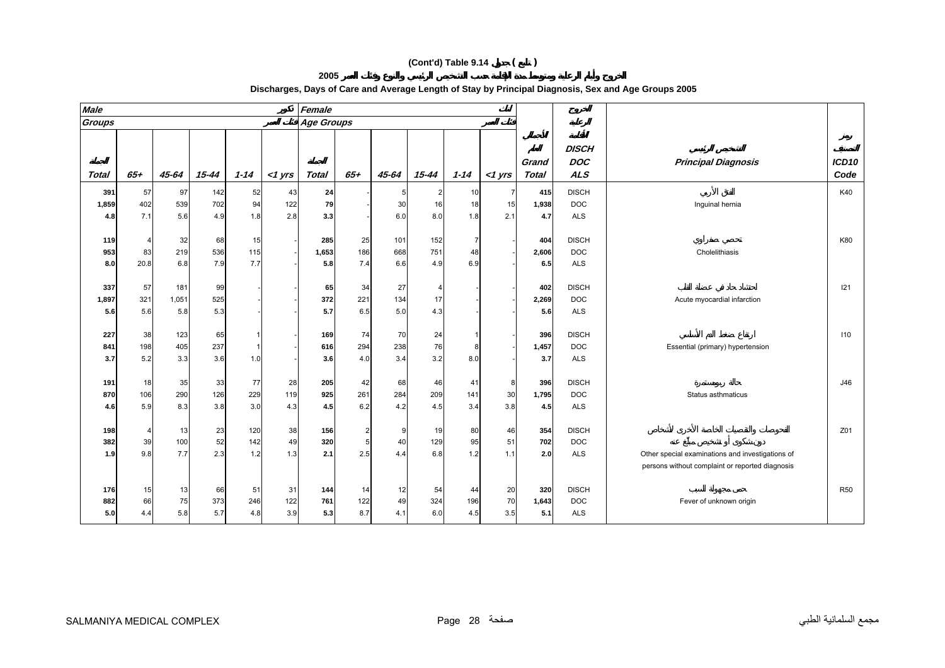**2005** 

| <b>Male</b>       |                              |                  |                  |                  |             | Female              |                  |                   |                   |                |                |                     |                                          |                                                  |                   |
|-------------------|------------------------------|------------------|------------------|------------------|-------------|---------------------|------------------|-------------------|-------------------|----------------|----------------|---------------------|------------------------------------------|--------------------------------------------------|-------------------|
| Groups            |                              |                  |                  |                  |             | <b>Age Groups</b>   |                  |                   |                   |                |                |                     |                                          |                                                  |                   |
|                   |                              |                  |                  |                  |             |                     |                  |                   |                   |                |                | Grand               | <b>DISCH</b><br><b>DOC</b>               | <b>Principal Diagnosis</b>                       | ICD <sub>10</sub> |
| <b>Total</b>      | $65 +$                       | 45-64            | $15 - 44$        | $1 - 14$         | $<$ 1 $Vrs$ | Total               | $65 +$           | $45 - 64$         | 15-44             | $1 - 14$       | $<$ 1 yrs      | Total               | <b>ALS</b>                               |                                                  | Code              |
| 391               | 57                           | 97               | 142              | 52               | 43          | 24                  |                  |                   | $\overline{2}$    | 10             | $\overline{7}$ | 415                 | <b>DISCH</b>                             |                                                  | K40               |
| 1,859             | 402                          | 539              | 702              | 94               | 122         | 79                  |                  | 30                | 16                | 18             | 15             | 1,938               | <b>DOC</b>                               | Inguinal hernia                                  |                   |
| 4.8               | 7.1                          | 5.6              | 4.9              | 1.8              | 2.8         | 3.3                 |                  | 6.0               | 8.0               | 1.8            | 2.1            | 4.7                 | <b>ALS</b>                               |                                                  |                   |
| 119<br>953<br>8.0 | $\overline{4}$<br>83<br>20.8 | 32<br>219<br>6.8 | 68<br>536<br>7.9 | 15<br>115<br>7.7 |             | 285<br>1,653<br>5.8 | 25<br>186<br>7.4 | 101<br>668<br>6.6 | 152<br>751<br>4.9 | 7<br>48<br>6.9 |                | 404<br>2,606<br>6.5 | <b>DISCH</b><br><b>DOC</b><br><b>ALS</b> | Cholelithiasis                                   | K80               |
|                   |                              |                  |                  |                  |             |                     |                  |                   |                   |                |                |                     |                                          |                                                  |                   |
| 337               | 57                           | 181              | 99               |                  |             | 65                  | 34               | 27                | 4                 |                |                | 402                 | <b>DISCH</b>                             |                                                  | 121               |
| 1,897             | 321                          | 1,051            | 525              |                  |             | 372                 | 221              | 134               | 17                |                |                | 2,269               | <b>DOC</b>                               | Acute myocardial infarction                      |                   |
| 5.6               | 5.6                          | 5.8              | 5.3              |                  |             | 5.7                 | 6.5              | 5.0               | 4.3               |                |                | 5.6                 | <b>ALS</b>                               |                                                  |                   |
|                   |                              |                  |                  |                  |             |                     |                  |                   |                   |                |                |                     |                                          |                                                  |                   |
| 227               | 38                           | 123              | 65               |                  |             | 169                 | 74               | 70                | 24                |                |                | 396                 | <b>DISCH</b>                             |                                                  | 110               |
| 841               | 198                          | 405              | 237              | $\mathbf 1$      |             | 616                 | 294              | 238               | 76                | 8              |                | 1,457               | <b>DOC</b>                               | Essential (primary) hypertension                 |                   |
| 3.7               | 5.2                          | 3.3              | 3.6              | 1.0              |             | 3.6                 | 4.0              | 3.4               | 3.2               | 8.0            |                | 3.7                 | <b>ALS</b>                               |                                                  |                   |
|                   |                              |                  |                  |                  |             |                     |                  |                   |                   |                |                |                     |                                          |                                                  |                   |
| 191               | 18                           | 35               | 33               | 77               | 28          | 205                 | 42               | 68                | 46                | 41             | 8              | 396                 | <b>DISCH</b>                             |                                                  | J46               |
| 870               | 106                          | 290              | 126              | 229              | 119         | 925                 | 261              | 284               | 209               | 141            | 30             | 1,795               | <b>DOC</b>                               | Status asthmaticus                               |                   |
| 4.6               | 5.9                          | 8.3              | 3.8              | 3.0              | 4.3         | 4.5                 | 6.2              | 4.2               | 4.5               | 3.4            | 3.8            | 4.5                 | <b>ALS</b>                               |                                                  |                   |
| 198               | $\overline{4}$               | 13               | 23               | 120              | 38          | 156                 |                  | <b>g</b>          |                   | 80             |                | 354                 | <b>DISCH</b>                             |                                                  | Z01               |
| 382               | 39                           | 100              | 52               | 142              | 49          | 320                 |                  | 40                | 19<br>129         | 95             | 46<br>51       | 702                 | <b>DOC</b>                               |                                                  |                   |
| 1.9               | 9.8                          | 7.7              | 2.3              | 1.2              | 1.3         | 2.1                 | 2.5              | 4.4               | 6.8               | 1.2            | 1.1            | 2.0                 | <b>ALS</b>                               | Other special examinations and investigations of |                   |
|                   |                              |                  |                  |                  |             |                     |                  |                   |                   |                |                |                     |                                          | persons without complaint or reported diagnosis  |                   |
|                   |                              |                  |                  |                  |             |                     |                  |                   |                   |                |                |                     |                                          |                                                  |                   |
| 176               | 15                           | 13               | 66               | 51               | 31          | 144                 | 14               | 12                | 54                | 44             | 20             | 320                 | <b>DISCH</b>                             |                                                  | <b>R50</b>        |
| 882               | 66                           | 75               | 373              | 246              | 122         | 761                 | 122              | 49                | 324               | 196            | 70             | 1,643               | <b>DOC</b>                               | Fever of unknown origin                          |                   |
| 5.0               | 4.4                          | 5.8              | 5.7              | 4.8              | 3.9         | 5.3                 | 8.7              | 4.1               | 6.0               | 4.5            | 3.5            | 5.1                 | <b>ALS</b>                               |                                                  |                   |
|                   |                              |                  |                  |                  |             |                     |                  |                   |                   |                |                |                     |                                          |                                                  |                   |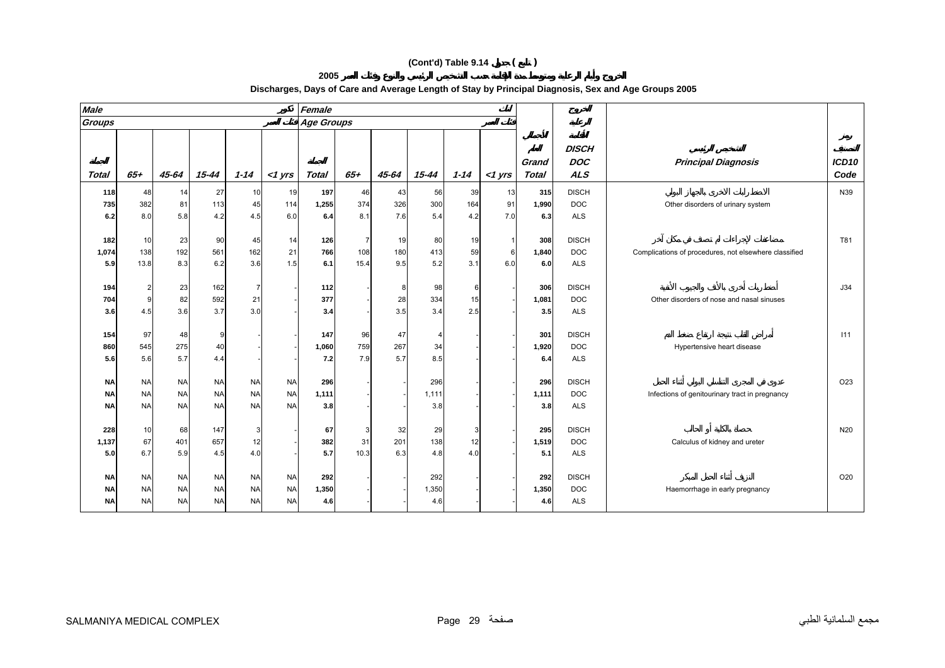**2005 Discharges, Days of Care and Average Length of Stay by Principal Diagnosis, Sex and Age Groups 2005**

| <b>Male</b>  |                |            |           |                |           | Female            |                |           |           |          |              |                |                          |                                                       |                 |
|--------------|----------------|------------|-----------|----------------|-----------|-------------------|----------------|-----------|-----------|----------|--------------|----------------|--------------------------|-------------------------------------------------------|-----------------|
| Groups       |                |            |           |                |           | <b>Age Groups</b> |                |           |           |          |              |                |                          |                                                       |                 |
|              |                |            |           |                |           |                   |                |           |           |          |              |                | <b>DISCH</b>             |                                                       |                 |
| <b>Total</b> | $65 +$         | $45 - 64$  | $15 - 44$ | $1 - 14$       | $<$ 1 yrs | <b>Total</b>      | $65 +$         | $45 - 64$ | $15 - 44$ | $1 - 14$ | $<$ 1 yrs    | Grand<br>Total | <b>DOC</b><br><b>ALS</b> | <b>Principal Diagnosis</b>                            | ICD10<br>Code   |
| 118          | 48             | 14         | 27        | 10             | 19        | 197               | 46             | 43        | 56        | 39       | 13           | 315            | <b>DISCH</b>             |                                                       | N39             |
| 735          | 382            | 81         | 113       | 45             | 114       | 1,255             | 374            | 326       | 300       | 164      | 91           | 1,990          | <b>DOC</b>               | Other disorders of urinary system                     |                 |
| 6.2          | 8.0            | 5.8        | 4.2       | 4.5            | 6.0       | 6.4               | 8.1            | 7.6       | 5.4       | 4.2      | 7.0          | 6.3            | <b>ALS</b>               |                                                       |                 |
|              |                |            |           |                |           |                   |                |           |           |          |              |                |                          |                                                       |                 |
| 182          | 10             | 23         | 90        | 45             | 14        | 126               | $\overline{7}$ | 19        | 80        | 19       | $\mathbf{1}$ | 308            | <b>DISCH</b>             |                                                       | T81             |
| 1,074        | 138            | 192        | 561       | 162            | 21        | 766               | 108            | 180       | 413       | 59       | 6            | 1,840          | <b>DOC</b>               | Complications of procedures, not elsewhere classified |                 |
| 5.9          | 13.8           | 8.3        | 6.2       | 3.6            | 1.5       | 6.1               | 15.4           | 9.5       | 5.2       | 3.1      | 6.0          | 6.0            | <b>ALS</b>               |                                                       |                 |
|              |                |            |           |                |           |                   |                |           |           |          |              |                |                          |                                                       |                 |
| 194          | $\overline{2}$ | 23         | 162       | $\overline{7}$ |           | 112               |                | 8         | 98        | 6        |              | 306            | <b>DISCH</b>             |                                                       | J34             |
| 704          | 9              | 82         | 592       | 21             |           | 377               |                | 28        | 334       | 15       |              | 1,081          | <b>DOC</b>               | Other disorders of nose and nasal sinuses             |                 |
| 3.6          | 4.5            | 3.6        | 3.7       | 3.0            |           | 3.4               |                | 3.5       | 3.4       | 2.5      |              | 3.5            | <b>ALS</b>               |                                                       |                 |
|              |                |            |           |                |           |                   |                |           |           |          |              |                |                          |                                                       |                 |
| 154          | 97<br>545      | 48         | 9         |                |           | 147               | 96<br>759      | 47<br>267 | 4         |          |              | 301            | <b>DISCH</b>             |                                                       | 111             |
| 860<br>5.6   | 5.6            | 275<br>5.7 | 40<br>4.4 |                |           | 1,060<br>7.2      | 7.9            | 5.7       | 34<br>8.5 |          |              | 1,920<br>6.4   | <b>DOC</b><br><b>ALS</b> | Hypertensive heart disease                            |                 |
|              |                |            |           |                |           |                   |                |           |           |          |              |                |                          |                                                       |                 |
| <b>NA</b>    | <b>NA</b>      | <b>NA</b>  | <b>NA</b> | <b>NA</b>      | <b>NA</b> | 296               |                |           | 296       |          |              | 296            | <b>DISCH</b>             |                                                       | O <sub>23</sub> |
| <b>NA</b>    | <b>NA</b>      | <b>NA</b>  | <b>NA</b> | <b>NA</b>      | <b>NA</b> | 1,111             |                |           | 1,111     |          |              | 1,111          | <b>DOC</b>               | Infections of genitourinary tract in pregnancy        |                 |
| <b>NA</b>    | <b>NA</b>      | <b>NA</b>  | <b>NA</b> | <b>NA</b>      | <b>NA</b> | 3.8               |                |           | 3.8       |          |              | 3.8            | <b>ALS</b>               |                                                       |                 |
|              |                |            |           |                |           |                   |                |           |           |          |              |                |                          |                                                       |                 |
| 228          | 10             | 68         | 147       | 3              |           | 67                |                | 32        | 29        | 3        |              | 295            | <b>DISCH</b>             |                                                       | N20             |
| 1,137        | 67             | 401        | 657       | 12             |           | 382               | 31             | 201       | 138       | 12       |              | 1,519          | <b>DOC</b>               | Calculus of kidney and ureter                         |                 |
| 5.0          | 6.7            | 5.9        | 4.5       | 4.0            |           | 5.7               | 10.3           | 6.3       | 4.8       | 4.0      |              | 5.1            | <b>ALS</b>               |                                                       |                 |
|              |                |            |           |                |           |                   |                |           |           |          |              |                |                          |                                                       |                 |
| <b>NA</b>    | <b>NA</b>      | <b>NA</b>  | <b>NA</b> | <b>NA</b>      | <b>NA</b> | 292               |                |           | 292       |          |              | 292            | <b>DISCH</b>             |                                                       | O20             |
| <b>NA</b>    | <b>NA</b>      | <b>NA</b>  | <b>NA</b> | <b>NA</b>      | <b>NA</b> | 1,350             |                |           | 1,350     |          |              | 1,350          | <b>DOC</b>               | Haemorrhage in early pregnancy                        |                 |
| <b>NA</b>    | <b>NA</b>      | <b>NA</b>  | <b>NA</b> | <b>NA</b>      | <b>NA</b> | 4.6               |                |           | 4.6       |          |              | 4.6            | <b>ALS</b>               |                                                       |                 |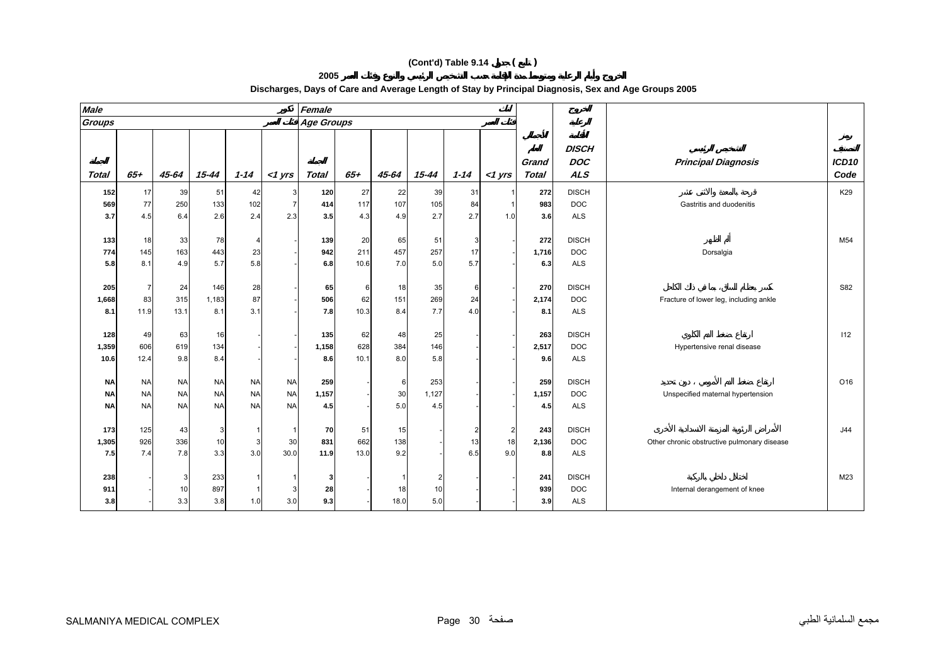| <b>Male</b>  |                |           |           |                       |                | Female            |        |       |                |                |                |                |                                          |                                             |                           |
|--------------|----------------|-----------|-----------|-----------------------|----------------|-------------------|--------|-------|----------------|----------------|----------------|----------------|------------------------------------------|---------------------------------------------|---------------------------|
| Groups       |                |           |           |                       |                | <b>Age Groups</b> |        |       |                |                |                |                |                                          |                                             |                           |
| <b>Total</b> | $65 +$         | $45 - 64$ | $15 - 44$ | $1 - 14$              | $<$ 1 yrs      | <b>Total</b>      | $65 +$ | 45-64 | 15-44          | $1 - 14$       | $<$ 1 yrs      | Grand<br>Total | <b>DISCH</b><br><b>DOC</b><br><b>ALS</b> | <b>Principal Diagnosis</b>                  | ICD <sub>10</sub><br>Code |
| 152          | 17             | 39        | 51        | 42                    | 3              | 120               | 27     | 22    | 39             | 31             |                | 272            | <b>DISCH</b>                             |                                             | K29                       |
| 569          | 77             | 250       | 133       | 102                   | $\overline{7}$ | 414               | 117    | 107   | 105            | 84             |                | 983            | <b>DOC</b>                               | Gastritis and duodenitis                    |                           |
| 3.7          | 4.5            | 6.4       | 2.6       | 2.4                   | 2.3            | 3.5               | 4.3    | 4.9   | 2.7            | 2.7            | 1.0            | 3.6            | <b>ALS</b>                               |                                             |                           |
|              |                |           |           |                       |                |                   |        |       |                |                |                |                |                                          |                                             |                           |
| 133          | 18             | 33        | 78        | $\boldsymbol{\Delta}$ |                | 139               | 20     | 65    | 51             | 3              |                | 272            | <b>DISCH</b>                             |                                             | M54                       |
| 774          | 145            | 163       | 443       | 23                    |                | 942               | 211    | 457   | 257            | 17             |                | 1,716          | <b>DOC</b>                               | Dorsalgia                                   |                           |
| 5.8          | 8.1            | 4.9       | 5.7       | 5.8                   |                | 6.8               | 10.6   | 7.0   | 5.0            | 5.7            |                | 6.3            | <b>ALS</b>                               |                                             |                           |
|              |                |           |           |                       |                |                   |        |       |                |                |                |                |                                          |                                             |                           |
| 205          | $\overline{7}$ | 24        | 146       | 28                    |                | 65                | 6      | 18    | 35             | 6              |                | 270            | <b>DISCH</b>                             |                                             | S82                       |
| 1,668        | 83             | 315       | 1,183     | 87                    |                | 506               | 62     | 151   | 269            | 24             |                | 2,174          | <b>DOC</b>                               | Fracture of lower leg, including ankle      |                           |
| 8.1          | 11.9           | 13.1      | 8.1       | 3.1                   |                | 7.8               | 10.3   | 8.4   | 7.7            | 4.0            |                | 8.1            | <b>ALS</b>                               |                                             |                           |
|              |                |           |           |                       |                |                   |        |       |                |                |                |                |                                          |                                             |                           |
| 128          | 49             | 63        | 16        |                       |                | 135               | 62     | 48    | 25             |                |                | 263            | <b>DISCH</b>                             |                                             | 112                       |
| 1,359        | 606            | 619       | 134       |                       |                | 1,158             | 628    | 384   | 146            |                |                | 2,517          | <b>DOC</b>                               | Hypertensive renal disease                  |                           |
| 10.6         | 12.4           | 9.8       | 8.4       |                       |                | 8.6               | 10.1   | 8.0   | 5.8            |                |                | 9.6            | <b>ALS</b>                               |                                             |                           |
|              |                |           |           |                       |                |                   |        |       |                |                |                |                |                                          |                                             |                           |
| <b>NA</b>    | <b>NA</b>      | <b>NA</b> | <b>NA</b> | <b>NA</b>             | <b>NA</b>      | 259               |        | 6     | 253            |                |                | 259            | <b>DISCH</b>                             |                                             | O16                       |
| <b>NA</b>    | <b>NA</b>      | <b>NA</b> | <b>NA</b> | <b>NA</b>             | <b>NA</b>      | 1,157             |        | 30    | 1,127          |                |                | 1,157          | <b>DOC</b>                               | Unspecified maternal hypertension           |                           |
| <b>NA</b>    | <b>NA</b>      | <b>NA</b> | <b>NA</b> | <b>NA</b>             | <b>NA</b>      | 4.5               |        | 5.0   | 4.5            |                |                | 4.5            | <b>ALS</b>                               |                                             |                           |
|              |                |           |           |                       |                |                   |        |       |                |                |                |                |                                          |                                             |                           |
| 173          | 125            | 43        | 3         |                       | -1             | 70                | 51     | 15    |                | $\overline{2}$ | $\overline{2}$ | 243            | <b>DISCH</b>                             |                                             | J44                       |
| 1,305        | 926            | 336       | 10        | 3                     | 30             | 831               | 662    | 138   |                | 13             | 18             | 2,136          | <b>DOC</b>                               | Other chronic obstructive pulmonary disease |                           |
| 7.5          | 7.4            | 7.8       | 3.3       | 3.0                   | 30.0           | 11.9              | 13.0   | 9.2   |                | 6.5            | 9.0            | 8.8            | <b>ALS</b>                               |                                             |                           |
|              |                |           |           |                       |                |                   |        |       |                |                |                |                |                                          |                                             |                           |
| 238          |                | 3         | 233       |                       |                | 3                 |        |       | $\overline{2}$ |                |                | 241            | <b>DISCH</b>                             |                                             | M23                       |
| 911          |                | 10        | 897       |                       | 3              | 28                |        | 18    | 10             |                |                | 939            | <b>DOC</b>                               | Internal derangement of knee                |                           |
| 3.8          |                | 3.3       | 3.8       | 1.0                   | 3.0            | 9.3               |        | 18.0  | 5.0            |                |                | 3.9            | <b>ALS</b>                               |                                             |                           |

#### **Discharges, Days of Care and Average Length of Stay by Principal Diagnosis, Sex and Age Groups 2005**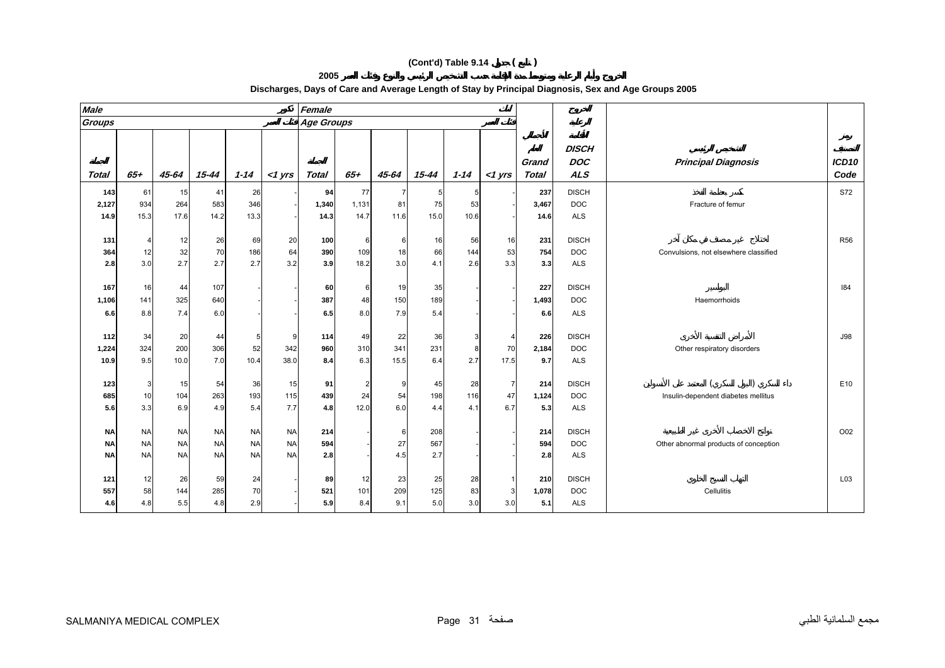**2005** 

| <b>Male</b>   |                         |           |           |           |           | Female            |       |       |           |          |                |                       |                                          |                                       |               |
|---------------|-------------------------|-----------|-----------|-----------|-----------|-------------------|-------|-------|-----------|----------|----------------|-----------------------|------------------------------------------|---------------------------------------|---------------|
| <b>Groups</b> |                         |           |           |           |           | <b>Age Groups</b> |       |       |           |          |                |                       |                                          |                                       |               |
| <b>Total</b>  | $65+$                   | 45-64     | 15-44     | $1 - 14$  | $<$ 1 yrs | <b>Total</b>      | $65+$ | 45-64 | $15 - 44$ | $1 - 14$ | $<$ 1 yrs      | Grand<br><b>Total</b> | <b>DISCH</b><br><b>DOC</b><br><b>ALS</b> | <b>Principal Diagnosis</b>            | ICD10<br>Code |
| 143           | 61                      | 15        | 41        | 26        |           | 94                | 77    |       | 5         | 5        |                | 237                   | <b>DISCH</b>                             |                                       | <b>S72</b>    |
| 2,127         | 934                     | 264       | 583       | 346       |           | 1,340             | 1,131 | 81    | 75        | 53       |                | 3,467                 | <b>DOC</b>                               | Fracture of femur                     |               |
| 14.9          | 15.3                    | 17.6      | 14.2      | 13.3      |           | 14.3              | 14.7  | 11.6  | 15.0      | 10.6     |                | 14.6                  | <b>ALS</b>                               |                                       |               |
|               |                         |           |           |           |           |                   |       |       |           |          |                |                       |                                          |                                       |               |
| 131           | $\overline{\mathbf{4}}$ | 12        | 26        | 69        | 20        | 100               | 6     | 6     | 16        | 56       | 16             | 231                   | <b>DISCH</b>                             |                                       | <b>R56</b>    |
| 364           | 12                      | 32        | 70        | 186       | 64        | 390               | 109   | 18    | 66        | 144      | 53             | 754                   | <b>DOC</b>                               | Convulsions, not elsewhere classified |               |
| 2.8           | 3.0                     | 2.7       | 2.7       | 2.7       | 3.2       | 3.9               | 18.2  | 3.0   | 4.1       | 2.6      | 3.3            | 3.3                   | <b>ALS</b>                               |                                       |               |
|               |                         |           |           |           |           |                   |       |       |           |          |                |                       |                                          |                                       |               |
| 167           | 16                      | 44        | 107       |           |           | 60                | 6     | 19    | 35        |          |                | 227                   | <b>DISCH</b>                             |                                       | 184           |
| 1,106         | 141                     | 325       | 640       |           |           | 387               | 48    | 150   | 189       |          |                | 1,493                 | <b>DOC</b>                               | Haemorrhoids                          |               |
| 6.6           | 8.8                     | 7.4       | 6.0       |           |           | 6.5               | 8.0   | 7.9   | 5.4       |          |                | 6.6                   | <b>ALS</b>                               |                                       |               |
|               |                         |           |           |           |           |                   |       |       |           |          |                |                       |                                          |                                       |               |
| 112           | 34                      | 20        | 44        |           |           | 114               | 49    | 22    | 36        |          |                | 226                   | <b>DISCH</b>                             |                                       | <b>J98</b>    |
| 1,224         | 324                     | 200       | 306       | 52        | 342       | 960               | 310   | 341   | 231       |          | 70             | 2,184                 | <b>DOC</b>                               | Other respiratory disorders           |               |
| 10.9          | 9.5                     | 10.0      | 7.0       | 10.4      | 38.0      | 8.4               | 6.3   | 15.5  | 6.4       | 2.7      | 17.5           | 9.7                   | <b>ALS</b>                               |                                       |               |
|               |                         |           |           |           |           |                   |       |       |           |          |                |                       |                                          |                                       |               |
| 123           | 3                       | 15        | 54        | 36        | 15        | 91                |       | 9     | 45        | 28       | $\overline{7}$ | 214                   | <b>DISCH</b>                             |                                       | E10           |
| 685           | 10                      | 104       | 263       | 193       | 115       | 439               | 24    | 54    | 198       | 116      | 47             | 1,124                 | <b>DOC</b>                               | Insulin-dependent diabetes mellitus   |               |
| 5.6           | 3.3                     | 6.9       | 4.9       | 5.4       | 7.7       | 4.8               | 12.0  | 6.0   | 4.4       | 4.1      | 6.7            | 5.3                   | <b>ALS</b>                               |                                       |               |
|               |                         |           |           |           |           |                   |       |       |           |          |                |                       |                                          |                                       |               |
| <b>NA</b>     | <b>NA</b>               | <b>NA</b> | <b>NA</b> | <b>NA</b> | <b>NA</b> | 214               |       | 6     | 208       |          |                | 214                   | <b>DISCH</b>                             |                                       | O02           |
| <b>NA</b>     | <b>NA</b>               | <b>NA</b> | <b>NA</b> | <b>NA</b> | <b>NA</b> | 594               |       | 27    | 567       |          |                | 594                   | <b>DOC</b>                               | Other abnormal products of conception |               |
| <b>NA</b>     | <b>NA</b>               | <b>NA</b> | <b>NA</b> | <b>NA</b> | <b>NA</b> | 2.8               |       | 4.5   | 2.7       |          |                | 2.8                   | <b>ALS</b>                               |                                       |               |
|               |                         |           |           |           |           |                   |       |       |           |          |                |                       |                                          |                                       |               |
| 121           | 12                      | 26        | 59        | 24        |           | 89                | 12    | 23    | 25        | 28       |                | 210                   | <b>DISCH</b>                             |                                       | L03           |
| 557           | 58                      | 144       | 285       | 70        |           | 521               | 101   | 209   | 125       | 83       | 3              | 1,078                 | <b>DOC</b>                               | Cellulitis                            |               |
| 4.6           | 4.8                     | 5.5       | 4.8       | 2.9       |           | 5.9               | 8.4   | 9.1   | 5.0       | 3.0      | 3.0            | 5.1                   | <b>ALS</b>                               |                                       |               |
|               |                         |           |           |           |           |                   |       |       |           |          |                |                       |                                          |                                       |               |

**Discharges, Days of Care and Average Length of Stay by Principal Diagnosis, Sex and Age Groups 2005**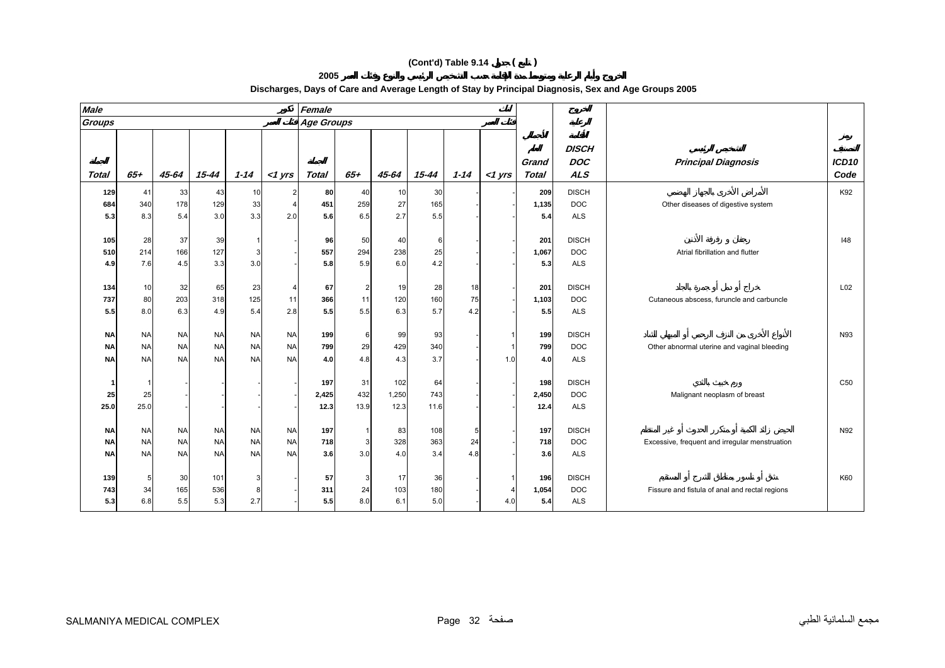#### **Male Female Groups Age Groups DISCHGrand DOC Principal Diagnosis** *ICD10* **Total 65+ 45-64 15-44 1-14 <1 yrs Total 65+ 45-64 15-44 1-14 <1 yrs Total ALS** *Code* **129** 41 33 43 10 2 **80** 40 10 30 - - **209** DISCH K92 **684** 340 178 129 33 4 **451** 259 27 165 - - **1,135** DOC Other diseases of digestive system **5.3** 8.3 5.4 3.0 3.3 2.0 **5.6** 6.5 2.7 5.5 - - **5.4** ALS **105** 28 37 39 1 - **96** 50 40 6 - - **201** DISCH I48 **510**0 214 166 127 3 - **557** 294 238 25 - **1,067** DOC Matrial fibrillation and flutter that i **4.9** 7.6 4.5 3.3 3.0 - **5.8** 5.9 6.0 4.2 - - **5.3** ALS **134** 10 32 65 23 4 **67** 2 19 28 18 - **201** DISCH L02 **737** 80 203 318 125 11 **366** 11 120 160 75 - **1,103** DOC Cutaneous abscess, furuncle and carbuncle **5.5** 8.0 6.3 4.9 5.4 2.8 **5.5** 5.5 6.3 5.7 4.2 - **5.5** ALS **NA** NA NA NA NA NA **199** 6 99 93 - 1 **199** DISCH N93 **NA** NA NA NA NA NA **799** 29 429 340 - 1 **799** DOC Other abnormal uterine and vaginal bleeding **NA**NA NA NA NA NA **4.0** 4.8 4.3 3.7 - 1.0 **4.0** ALS

**Discharges, Days of Care and Average Length of Stay by Principal Diagnosis, Sex and Age Groups 2005**

**1**

**25**

**25.0**

**NA**

**NA**

**NA**

**139**

**743**

**5.3**

1---- **197** 31 102 64 - - **198** DISCH C50

NA NA NA NA NA **197** 1 83 108 5 - **197** DISCH N92

5 30 101 3 - **57** 3 17 36 - 1 **196** DISCH K60

NA NA NA NA NA **718** 3 328 363 24 - **718** DOC Excessive, frequent and irregular menstruation

34 165 536 8 - **311** 24 103 180 - 4 **1,054** DOC Fissure and fistula of anal and rectal regions

25 - - - - **2,425** 432 1,250 743 - - **2,450** DOC Malignant neoplasm of breast

25.0 ---- **12.3** 13.9 12.3 11.6 - - **12.4** ALS

**2005** 

NA NA NA NA NA **3.6** 3.0 4.0 3.4 4.8 - **3.6** ALS

6.8 5.5 5.3 2.7 - **5.5** 8.0 6.1 5.0 - 4.0 **5.4** ALS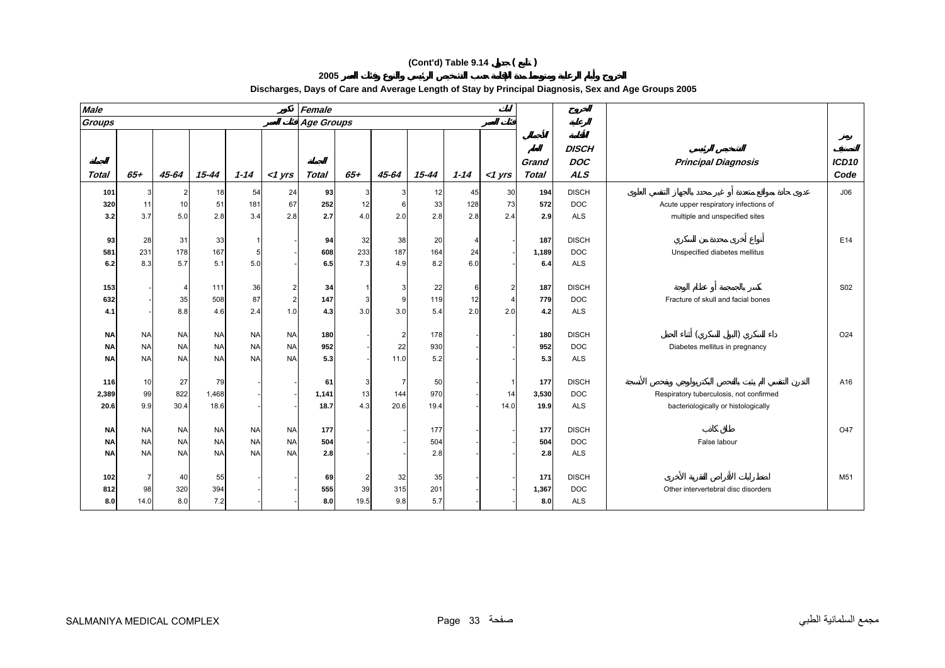| <b>Male</b>                         |                                     |                                     |                                     |                                     |                                      | Female              |                  |                  |                   |                  |                 |                       |                                          |                                                                                |                           |
|-------------------------------------|-------------------------------------|-------------------------------------|-------------------------------------|-------------------------------------|--------------------------------------|---------------------|------------------|------------------|-------------------|------------------|-----------------|-----------------------|------------------------------------------|--------------------------------------------------------------------------------|---------------------------|
| Groups                              |                                     |                                     |                                     |                                     |                                      | <b>Age Groups</b>   |                  |                  |                   |                  |                 |                       |                                          |                                                                                |                           |
| Total                               | $65+$                               | $45 - 64$                           | $15 - 44$                           | $1 - 14$                            | $<$ 1 $Vrs$                          | <b>Total</b>        | $65+$            | 45-64            | $15 - 44$         | $1 - 14$         | $<$ 1 $Vrs$     | Grand<br><b>Total</b> | <b>DISCH</b><br><b>DOC</b><br><b>ALS</b> | <b>Principal Diagnosis</b>                                                     | ICD <sub>10</sub><br>Code |
| 101<br>320<br>3.2                   | 3<br>11<br>3.7                      | $\overline{2}$<br>10<br>5.0         | 18<br>51<br>2.8                     | 54<br>181<br>3.4                    | 24<br>67<br>2.8                      | 93<br>252<br>2.7    | 3<br>12<br>4.0   | 6<br>2.0         | 12<br>33<br>2.8   | 45<br>128<br>2.8 | 30<br>73<br>2.4 | 194<br>572<br>2.9     | <b>DISCH</b><br><b>DOC</b><br><b>ALS</b> | Acute upper respiratory infections of<br>multiple and unspecified sites        | J06                       |
| 93<br>581<br>6.2                    | 28<br>231<br>8.3                    | 31<br>178<br>5.7                    | 33<br>167<br>5.1                    | -5<br>5.0                           |                                      | 94<br>608<br>6.5    | 32<br>233<br>7.3 | 38<br>187<br>4.9 | 20<br>164<br>8.2  | 24<br>6.0        |                 | 187<br>1,189<br>6.4   | <b>DISCH</b><br><b>DOC</b><br><b>ALS</b> | Unspecified diabetes mellitus                                                  | E14                       |
| 153<br>632<br>4.1                   |                                     | $\overline{4}$<br>35<br>8.8         | 111<br>508<br>4.6                   | 36<br>87<br>2.4                     | $\mathbf 2$<br>$\overline{2}$<br>1.0 | 34<br>147<br>4.3    | 3<br>3.0         | 9<br>3.0         | 22<br>119<br>5.4  | 12<br>2.0        | 2<br>2.0        | 187<br>779<br>4.2     | <b>DISCH</b><br><b>DOC</b><br><b>ALS</b> | Fracture of skull and facial bones                                             | S <sub>02</sub>           |
| <b>NA</b><br><b>NA</b><br><b>NA</b> | <b>NA</b><br><b>NA</b><br><b>NA</b> | <b>NA</b><br><b>NA</b><br><b>NA</b> | <b>NA</b><br><b>NA</b><br><b>NA</b> | <b>NA</b><br><b>NA</b><br><b>NA</b> | <b>NA</b><br><b>NA</b><br><b>NA</b>  | 180<br>952<br>5.3   |                  | 2<br>22<br>11.0  | 178<br>930<br>5.2 |                  |                 | 180<br>952<br>5.3     | <b>DISCH</b><br><b>DOC</b><br><b>ALS</b> | Diabetes mellitus in pregnancy                                                 | O24                       |
| 116<br>2,389<br>20.6                | 10<br>99<br>9.9                     | 27<br>822<br>30.4                   | 79<br>1,468<br>18.6                 |                                     |                                      | 61<br>1,141<br>18.7 | 13<br>4.3        | 144<br>20.6      | 50<br>970<br>19.4 |                  | 14<br>14.0      | 177<br>3,530<br>19.9  | <b>DISCH</b><br><b>DOC</b><br><b>ALS</b> | Respiratory tuberculosis, not confirmed<br>bacteriologically or histologically | A16                       |
| <b>NA</b><br><b>NA</b><br><b>NA</b> | <b>NA</b><br><b>NA</b><br><b>NA</b> | <b>NA</b><br><b>NA</b><br><b>NA</b> | <b>NA</b><br><b>NA</b><br><b>NA</b> | <b>NA</b><br><b>NA</b><br><b>NA</b> | <b>NA</b><br><b>NA</b><br><b>NA</b>  | 177<br>504<br>2.8   |                  |                  | 177<br>504<br>2.8 |                  |                 | 177<br>504<br>2.8     | <b>DISCH</b><br><b>DOC</b><br><b>ALS</b> | False labour                                                                   | O47                       |
| 102<br>812<br>8.0                   | $\overline{7}$<br>98<br>14.0        | 40<br>320<br>8.0                    | 55<br>394<br>7.2                    |                                     |                                      | 69<br>555<br>8.0    | 39<br>19.5       | 32<br>315<br>9.8 | 35<br>201<br>5.7  |                  |                 | 171<br>1,367<br>8.0   | <b>DISCH</b><br><b>DOC</b><br><b>ALS</b> | Other intervertebral disc disorders                                            | M51                       |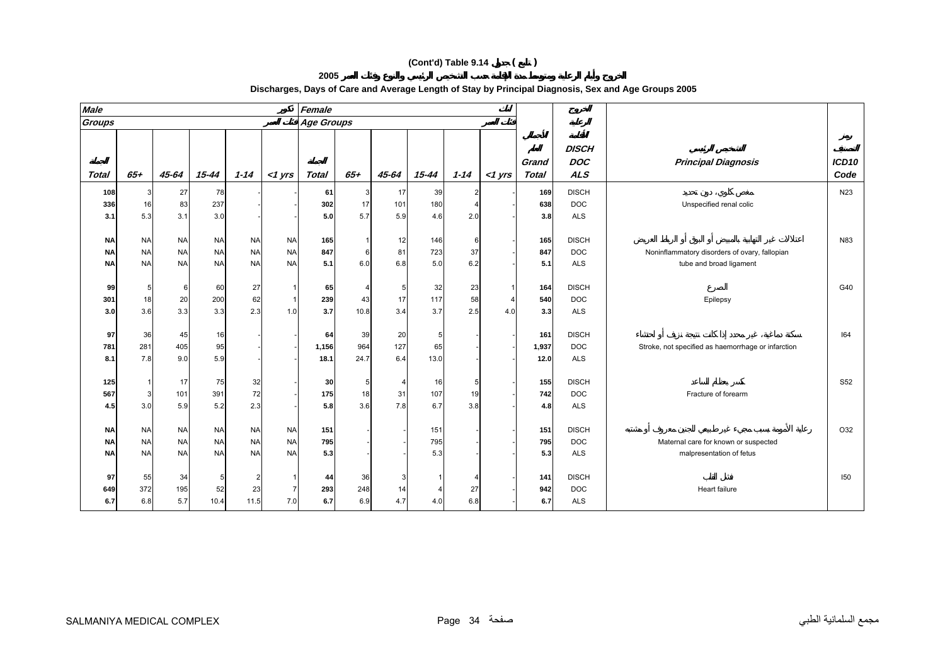# **Female 2005 Discharges, Days of Care and Average Length of Stay by Principal Diagnosis, Sex and Age Groups 2005**

| Groups                              |                                     |                                     |                                     |                                     |                                     | <b>Age Groups</b>   |                   |                  |                       |                 |           |                       |                                          |                                                                          |                 |
|-------------------------------------|-------------------------------------|-------------------------------------|-------------------------------------|-------------------------------------|-------------------------------------|---------------------|-------------------|------------------|-----------------------|-----------------|-----------|-----------------------|------------------------------------------|--------------------------------------------------------------------------|-----------------|
| <b>Total</b>                        | $65 +$                              | $45 - 64$                           | $15 - 44$                           | $1 - 14$                            | $<$ 1 yrs                           | <b>Total</b>        | $65 +$            | 45-64            | 15-44                 | $1 - 14$        | $<$ 1 yrs | Grand<br><b>Total</b> | <b>DISCH</b><br><b>DOC</b><br><b>ALS</b> | <b>Principal Diagnosis</b>                                               | ICD10<br>Code   |
| 108<br>336<br>3.1                   | 3<br>16<br>5.3                      | 27<br>83<br>3.1                     | 78<br>237<br>3.0                    |                                     |                                     | 61<br>302<br>5.0    | 3<br>17<br>5.7    | 17<br>101<br>5.9 | 39<br>180<br>4.6      | 2.0             |           | 169<br>638<br>3.8     | <b>DISCH</b><br><b>DOC</b><br><b>ALS</b> | Unspecified renal colic                                                  | N <sub>23</sub> |
| <b>NA</b><br><b>NA</b><br><b>NA</b> | <b>NA</b><br><b>NA</b><br><b>NA</b> | <b>NA</b><br><b>NA</b><br><b>NA</b> | <b>NA</b><br><b>NA</b><br><b>NA</b> | <b>NA</b><br><b>NA</b><br><b>NA</b> | <b>NA</b><br><b>NA</b><br><b>NA</b> | 165<br>847<br>5.1   | 6<br>6.0          | 12<br>81<br>6.8  | 146<br>723<br>5.0     | 37<br>6.2       |           | 165<br>847<br>5.1     | <b>DISCH</b><br><b>DOC</b><br><b>ALS</b> | Noninflammatory disorders of ovary, fallopian<br>tube and broad ligament | N83             |
| 99<br>301<br>3.0                    | 5<br>18<br>3.6                      | 6<br>20<br>3.3                      | 60<br>200<br>3.3                    | 27<br>62<br>2.3                     | 1<br>$\mathbf{1}$<br>1.0            | 65<br>239<br>3.7    | 43<br>10.8        | 17<br>3.4        | 32<br>117<br>3.7      | 23<br>58<br>2.5 | 4.0       | 164<br>540<br>3.3     | <b>DISCH</b><br><b>DOC</b><br><b>ALS</b> | Epilepsy                                                                 | G40             |
| 97<br>781<br>8.1                    | 36<br>281<br>7.8                    | 45<br>405<br>9.0                    | 16<br>95<br>5.9                     |                                     |                                     | 64<br>1,156<br>18.1 | 39<br>964<br>24.7 | 20<br>127<br>6.4 | 5<br>65<br>13.0       |                 |           | 161<br>1,937<br>12.0  | <b>DISCH</b><br><b>DOC</b><br><b>ALS</b> | Stroke, not specified as haemorrhage or infarction                       | 164             |
| 125<br>567<br>4.5                   | $\vert$ 1<br>$\mathbf{3}$<br>3.0    | 17<br>101<br>5.9                    | 75<br>391<br>5.2                    | 32<br>72<br>2.3                     |                                     | 30<br>175<br>5.8    | 18<br>3.6         | 4<br>31<br>7.8   | 16<br>107<br>6.7      | 19<br>3.8       |           | 155<br>742<br>4.8     | <b>DISCH</b><br><b>DOC</b><br><b>ALS</b> | Fracture of forearm                                                      | S52             |
| <b>NA</b><br><b>NA</b><br><b>NA</b> | <b>NA</b><br><b>NA</b><br><b>NA</b> | <b>NA</b><br><b>NA</b><br><b>NA</b> | <b>NA</b><br><b>NA</b><br><b>NA</b> | <b>NA</b><br><b>NA</b><br><b>NA</b> | <b>NA</b><br><b>NA</b><br><b>NA</b> | 151<br>795<br>5.3   |                   |                  | 151<br>795<br>5.3     |                 |           | 151<br>795<br>5.3     | <b>DISCH</b><br><b>DOC</b><br><b>ALS</b> | Maternal care for known or suspected<br>malpresentation of fetus         | O32             |
| 97<br>649<br>6.7                    | 55<br>372<br>6.8                    | 34<br>195<br>5.7                    | 5<br>52<br>10.4                     | 2<br>23<br>11.5                     | 1<br>$\overline{7}$<br>7.0          | 44<br>293<br>6.7    | 36<br>248<br>6.9  | 14<br>4.7        | $\overline{4}$<br>4.0 | 27<br>6.8       |           | 141<br>942<br>6.7     | <b>DISCH</b><br><b>DOC</b><br><b>ALS</b> | Heart failure                                                            | 150             |

**Male**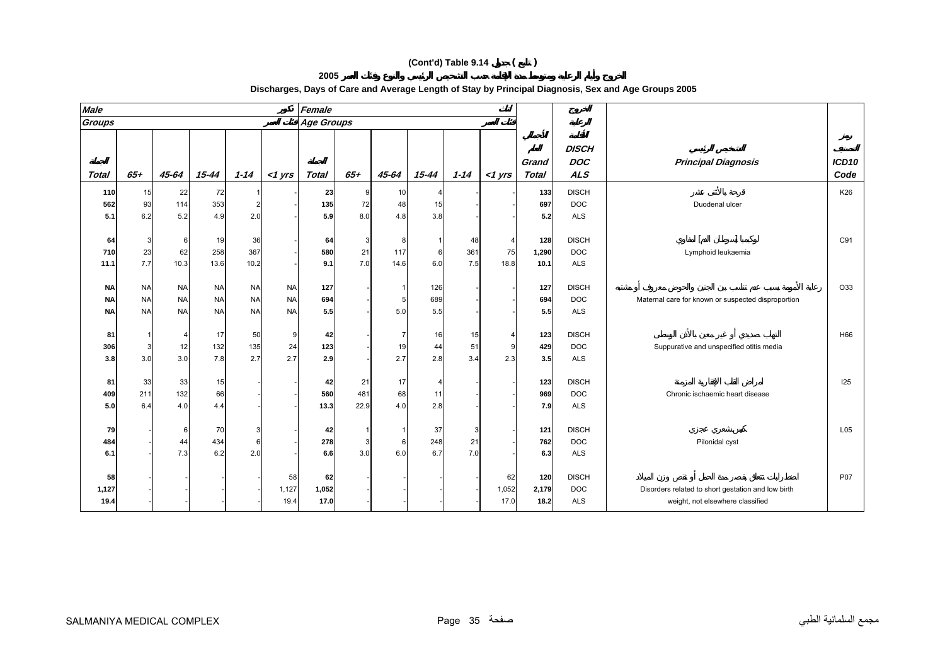**2005** 

| Groups       |           |           |           |           |           | Female            |              |       |                |          |                         |                       |                                          |                                                    |                           |
|--------------|-----------|-----------|-----------|-----------|-----------|-------------------|--------------|-------|----------------|----------|-------------------------|-----------------------|------------------------------------------|----------------------------------------------------|---------------------------|
|              |           |           |           |           |           | <b>Age Groups</b> |              |       |                |          |                         |                       |                                          |                                                    |                           |
| <b>Total</b> | $65+$     | 45-64     | $15 - 44$ | $1 - 14$  | $<$ 1 yrs | <b>Total</b>      | $65+$        | 45-64 | $15 - 44$      | $1 - 14$ | $<$ 1 yrs               | Grand<br><b>Total</b> | <b>DISCH</b><br><b>DOC</b><br><b>ALS</b> | <b>Principal Diagnosis</b>                         | ICD <sub>10</sub><br>Code |
| 110          | 15        | 22        | 72        |           |           | 23                |              | 10    | $\overline{4}$ |          |                         | 133                   | <b>DISCH</b>                             |                                                    | K26                       |
| 562          | 93        | 114       | 353       |           |           | 135               | 72           | 48    | 15             |          |                         | 697                   | <b>DOC</b>                               | Duodenal ulcer                                     |                           |
| 5.1          | 6.2       | 5.2       | 4.9       | 2.0       |           | 5.9               | 8.0          | 4.8   | 3.8            |          |                         | 5.2                   | <b>ALS</b>                               |                                                    |                           |
|              |           |           |           |           |           |                   |              |       |                |          |                         |                       |                                          |                                                    |                           |
| 64           | 3         | 6         | 19        | 36        |           | 64                | $\mathbf{3}$ | 8     |                | 48       | 4                       | 128                   | <b>DISCH</b>                             |                                                    | C91                       |
| 710          | 23        | 62        | 258       | 367       |           | 580               | 21           | 117   | 6              | 361      | 75                      | 1,290                 | <b>DOC</b>                               | Lymphoid leukaemia                                 |                           |
| 11.1         | 7.7       | 10.3      | 13.6      | 10.2      |           | 9.1               | 7.0          | 14.6  | 6.0            | 7.5      | 18.8                    | 10.1                  | <b>ALS</b>                               |                                                    |                           |
|              |           |           |           |           |           |                   |              |       |                |          |                         |                       |                                          |                                                    |                           |
| <b>NA</b>    | <b>NA</b> | <b>NA</b> | <b>NA</b> | <b>NA</b> | <b>NA</b> | 127               |              |       | 126            |          |                         | 127                   | <b>DISCH</b>                             |                                                    | O33                       |
| <b>NA</b>    | <b>NA</b> | <b>NA</b> | <b>NA</b> | <b>NA</b> | <b>NA</b> | 694               |              | 5     | 689            |          |                         | 694                   | <b>DOC</b>                               | Maternal care for known or suspected disproportion |                           |
| <b>NA</b>    | <b>NA</b> | <b>NA</b> | <b>NA</b> | <b>NA</b> | <b>NA</b> | 5.5               |              | 5.0   | 5.5            |          |                         | 5.5                   | <b>ALS</b>                               |                                                    |                           |
| 81           |           | 4         | 17        | 50        | 9         | 42                |              | 7     | 16             | 15       | $\overline{\mathbf{4}}$ | 123                   | <b>DISCH</b>                             |                                                    | H66                       |
| 306          | 3         | 12        | 132       | 135       | 24        | 123               |              | 19    | 44             | 51       | 9                       | 429                   | <b>DOC</b>                               | Suppurative and unspecified otitis media           |                           |
| 3.8          | 3.0       | 3.0       | 7.8       | 2.7       | 2.7       | 2.9               |              | 2.7   | 2.8            | 3.4      | 2.3                     | 3.5                   | <b>ALS</b>                               |                                                    |                           |
|              |           |           |           |           |           |                   |              |       |                |          |                         |                       |                                          |                                                    |                           |
| 81           | 33        | 33        | 15        |           |           | 42                | 21           | 17    | $\overline{4}$ |          |                         | 123                   | <b>DISCH</b>                             |                                                    | 125                       |
| 409          | 211       | 132       | 66        |           |           | 560               | 481          | 68    | 11             |          |                         | 969                   | <b>DOC</b>                               | Chronic ischaemic heart disease                    |                           |
| 5.0          | 6.4       | 4.0       | 4.4       |           |           | 13.3              | 22.9         | 4.0   | 2.8            |          |                         | 7.9                   | <b>ALS</b>                               |                                                    |                           |
|              |           |           |           |           |           |                   |              |       |                |          |                         |                       |                                          |                                                    |                           |
| 79           |           | 6         | <b>70</b> | 3         |           | 42                |              |       | 37             | 3        |                         | 121                   | <b>DISCH</b>                             |                                                    | L05                       |
| 484          |           | 44        | 434       |           |           | 278               |              | 6     | 248            | 21       |                         | 762                   | DOC                                      | Pilonidal cyst                                     |                           |
| 6.1          |           | 7.3       | 6.2       | 2.0       |           | 6.6               | 3.0          | 6.0   | 6.7            | 7.0      |                         | 6.3                   | <b>ALS</b>                               |                                                    |                           |

#### **Discharges, Days of Care and Average Length of Stay by Principal Diagnosis, Sex and Age Groups 2005**

**58**

**19.4**

- - - - 58 **62** - - - - 62 **120** DISCH P07

17.0 18.2 ALS **17.0** weight, not elsewhere classified

**1,127** ---- 1,127 **1,052** ---- 1,052 **2,179** DOC Disorders related to short gestation and low birth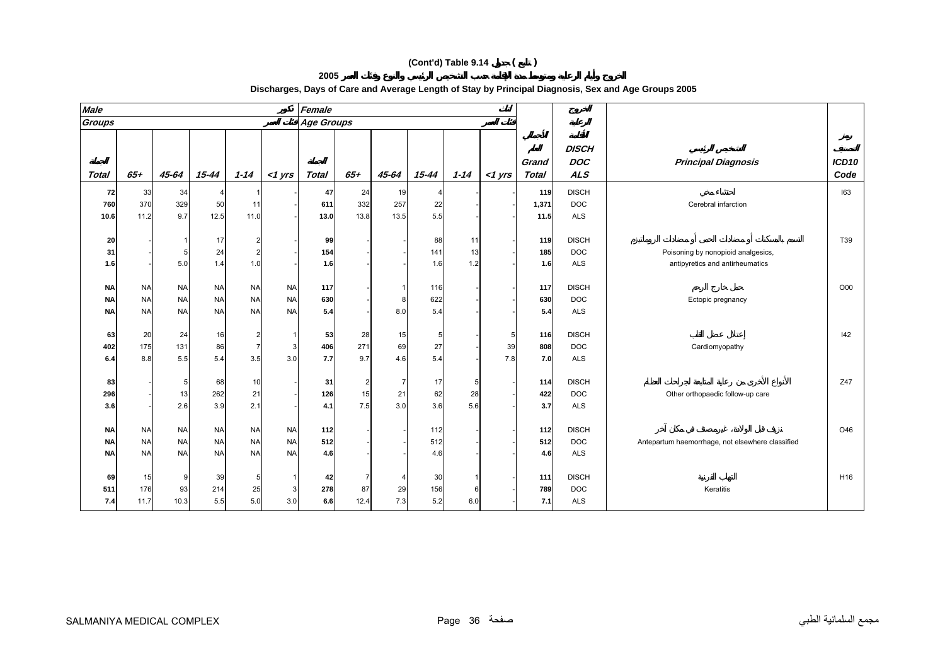**2005** 

| <b>Male</b>  |           |           |           |           |           | Female            |        |       |                |          |           |                |                                          |                                                  |                           |
|--------------|-----------|-----------|-----------|-----------|-----------|-------------------|--------|-------|----------------|----------|-----------|----------------|------------------------------------------|--------------------------------------------------|---------------------------|
| Groups       |           |           |           |           |           | <b>Age Groups</b> |        |       |                |          |           |                |                                          |                                                  |                           |
| <b>Total</b> | $65+$     | 45-64     | $15 - 44$ | $1 - 14$  | $<$ 1 yrs | <b>Total</b>      | $65 +$ | 45-64 | $15 - 44$      | $1 - 14$ | $<$ 1 yrs | Grand<br>Total | <b>DISCH</b><br><b>DOC</b><br><b>ALS</b> | <b>Principal Diagnosis</b>                       | ICD <sub>10</sub><br>Code |
| 72           | 33        | 34        |           |           |           | 47                | 24     | 19    | $\overline{4}$ |          |           | 119            | <b>DISCH</b>                             |                                                  | 163                       |
| 760          | 370       | 329       | 50        | 11        |           | 611               | 332    | 257   | 22             |          |           | 1,371          | <b>DOC</b>                               | Cerebral infarction                              |                           |
| 10.6         | 11.2      | 9.7       | 12.5      | 11.0      |           | 13.0              | 13.8   | 13.5  | 5.5            |          |           | 11.5           | <b>ALS</b>                               |                                                  |                           |
|              |           |           |           |           |           |                   |        |       |                |          |           |                |                                          |                                                  |                           |
| 20           |           |           | 17        | 2         |           | 99                |        |       | 88             | 11       |           | 119            | <b>DISCH</b>                             |                                                  | T39                       |
| 31           |           | 5         | 24        |           |           | 154               |        |       | 141            | 13       |           | 185            | <b>DOC</b>                               | Poisoning by nonopioid analgesics,               |                           |
| 1.6          |           | $5.0$     | 1.4       | 1.0       |           | 1.6               |        |       | 1.6            | 1.2      |           | 1.6            | <b>ALS</b>                               | antipyretics and antirheumatics                  |                           |
|              |           |           |           |           |           |                   |        |       |                |          |           |                |                                          |                                                  |                           |
| <b>NA</b>    | <b>NA</b> | <b>NA</b> | <b>NA</b> | <b>NA</b> | <b>NA</b> | 117               |        | -1    | 116            |          |           | 117            | <b>DISCH</b>                             |                                                  | O00                       |
| <b>NA</b>    | <b>NA</b> | <b>NA</b> | <b>NA</b> | <b>NA</b> | <b>NA</b> | 630               |        | 8     | 622            |          |           | 630            | <b>DOC</b>                               | Ectopic pregnancy                                |                           |
| <b>NA</b>    | <b>NA</b> | <b>NA</b> | <b>NA</b> | <b>NA</b> | <b>NA</b> | 5.4               |        | 8.0   | 5.4            |          |           | 5.4            | <b>ALS</b>                               |                                                  |                           |
| 63           | 20        | 24        | 16        | 2         |           | 53                | 28     | 15    | 5              |          | 5         | 116            | <b>DISCH</b>                             |                                                  | I42                       |
| 402          | 175       | 131       | 86        | 7         | 3         | 406               | 271    | 69    | 27             |          | 39        | 808            | <b>DOC</b>                               | Cardiomyopathy                                   |                           |
| 6.4          | 8.8       | 5.5       | 5.4       | 3.5       | 3.0       | 7.7               | 9.7    | 4.6   | 5.4            |          | 7.8       | 7.0            | <b>ALS</b>                               |                                                  |                           |
|              |           |           |           |           |           |                   |        |       |                |          |           |                |                                          |                                                  |                           |
| 83           |           | 5         | 68        | 10        |           | 31                | 2      | -7    | 17             | 5        |           | 114            | <b>DISCH</b>                             |                                                  | Z47                       |
| 296          |           | 13        | 262       | 21        |           | 126               | 15     | 21    | 62             | 28       |           | 422            | <b>DOC</b>                               | Other orthopaedic follow-up care                 |                           |
| 3.6          |           | 2.6       | 3.9       | 2.1       |           | 4.1               | 7.5    | 3.0   | 3.6            | 5.6      |           | 3.7            | <b>ALS</b>                               |                                                  |                           |
|              |           |           |           |           |           |                   |        |       |                |          |           |                |                                          |                                                  |                           |
| <b>NA</b>    | <b>NA</b> | <b>NA</b> | <b>NA</b> | <b>NA</b> | <b>NA</b> | 112               |        |       | 112            |          |           | 112            | <b>DISCH</b>                             |                                                  | O46                       |
| <b>NA</b>    | <b>NA</b> | <b>NA</b> | <b>NA</b> | <b>NA</b> | <b>NA</b> | 512               |        |       | 512            |          |           | 512            | <b>DOC</b>                               | Antepartum haemorrhage, not elsewhere classified |                           |
| <b>NA</b>    | <b>NA</b> | <b>NA</b> | <b>NA</b> | <b>NA</b> | <b>NA</b> | 4.6               |        |       | 4.6            |          |           | 4.6            | <b>ALS</b>                               |                                                  |                           |
|              |           |           |           |           |           |                   |        |       |                |          |           |                |                                          |                                                  |                           |
| 69           | 15        | 9         | 39        | 5         | 1         | 42                |        | 4     | 30             |          |           | 111            | <b>DISCH</b>                             |                                                  | H16                       |
| 511          | 176       | 93        | 214       | 25        | 3         | 278               | 87     | 29    | 156            | 6        |           | 789            | <b>DOC</b>                               | Keratitis                                        |                           |
| 7.4          | 11.7      | 10.3      | 5.5       | 5.0       | 3.0       | 6.6               | 12.4   | 7.3   | 5.2            | 6.0      |           | 7.1            | <b>ALS</b>                               |                                                  |                           |

#### **Discharges, Days of Care and Average Length of Stay by Principal Diagnosis, Sex and Age Groups 2005**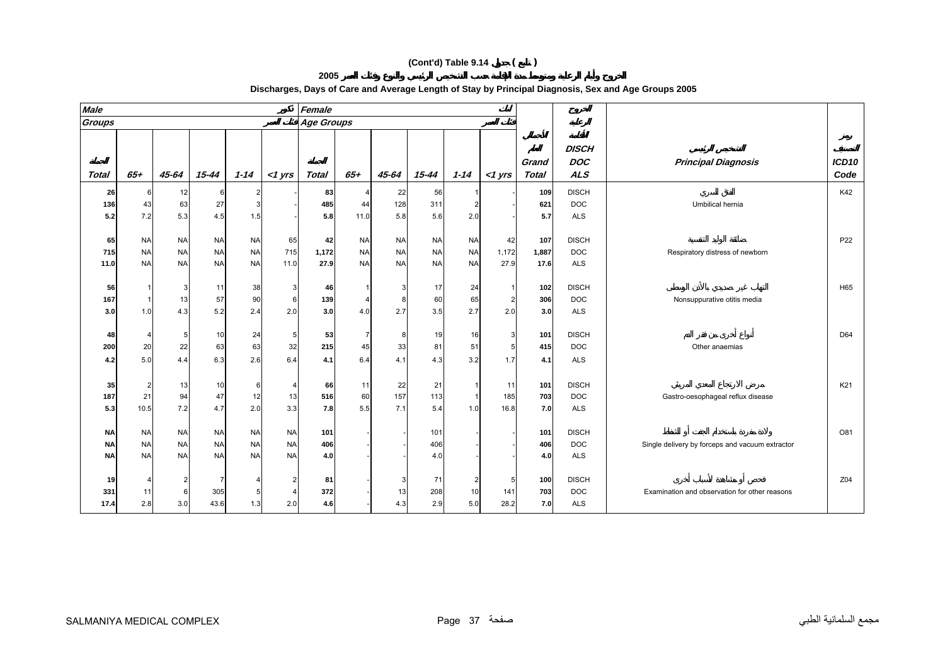| Discharges, Days of Care and Average Length of Stay by Principal Diagnosis, Sex and Age Groups 2005 |  |  |
|-----------------------------------------------------------------------------------------------------|--|--|
|                                                                                                     |  |  |

| <b>Male</b>   |           |                |           |           |                | Female            |           |           |           |           |           |                       |                                          |                                                 |                           |
|---------------|-----------|----------------|-----------|-----------|----------------|-------------------|-----------|-----------|-----------|-----------|-----------|-----------------------|------------------------------------------|-------------------------------------------------|---------------------------|
| <b>Groups</b> |           |                |           |           |                | <b>Age Groups</b> |           |           |           |           |           |                       |                                          |                                                 |                           |
| <b>Total</b>  | $65 +$    | 45-64          | $15 - 44$ | $1 - 14$  | $<$ 1 yrs      | Total             | $65 +$    | 45-64     | $15 - 44$ | $1 - 14$  | $<$ 1 yrs | Grand<br><b>Total</b> | <b>DISCH</b><br><b>DOC</b><br><b>ALS</b> | <b>Principal Diagnosis</b>                      | ICD <sub>10</sub><br>Code |
| 26            | -6        | 12             | 6         | 2         |                | 83                |           | 22        | 56        |           |           | 109                   | <b>DISCH</b>                             |                                                 | K42                       |
| 136           | 43        | 63             | 27        | 3         |                | 485               | 44        | 128       | 311       |           |           | 621                   | <b>DOC</b>                               | Umbilical hernia                                |                           |
| 5.2           | 7.2       | 5.3            | 4.5       | 1.5       |                | 5.8               | 11.0      | 5.8       | 5.6       | 2.0       |           | 5.7                   | <b>ALS</b>                               |                                                 |                           |
|               |           |                |           |           |                |                   |           |           |           |           |           |                       |                                          |                                                 |                           |
| 65            | <b>NA</b> | <b>NA</b>      | <b>NA</b> | <b>NA</b> | 65             | 42                | <b>NA</b> | <b>NA</b> | <b>NA</b> | <b>NA</b> | 42        | 107                   | <b>DISCH</b>                             |                                                 | P <sub>22</sub>           |
| 715           | <b>NA</b> | <b>NA</b>      | <b>NA</b> | <b>NA</b> | 715            | 1,172             | <b>NA</b> | <b>NA</b> | <b>NA</b> | <b>NA</b> | 1,172     | 1,887                 | <b>DOC</b>                               | Respiratory distress of newborn                 |                           |
| 11.0          | <b>NA</b> | <b>NA</b>      | <b>NA</b> | <b>NA</b> | 11.0           | 27.9              | <b>NA</b> | <b>NA</b> | <b>NA</b> | <b>NA</b> | 27.9      | 17.6                  | <b>ALS</b>                               |                                                 |                           |
|               |           |                |           |           |                |                   |           |           |           |           |           |                       |                                          |                                                 |                           |
| 56            |           | 3              | 11        | 38        | $\mathbf{3}$   | 46                |           |           | 17        | 24        |           | 102                   | <b>DISCH</b>                             |                                                 | H65                       |
| 167           | -1        | 13             | 57        | 90        | $6\phantom{1}$ | 139               |           | 8         | 60        | 65        | 2         | 306                   | <b>DOC</b>                               | Nonsuppurative otitis media                     |                           |
| 3.0           | 1.0       | 4.3            | 5.2       | 2.4       | 2.0            | 3.0               | 4.0       | 2.7       | 3.5       | 2.7       | 2.0       | 3.0                   | <b>ALS</b>                               |                                                 |                           |
| 48            |           | 5              | 10        | 24        | 5              | 53                |           | 8         | 19        | 16        | 3         | 101                   | <b>DISCH</b>                             |                                                 | D64                       |
| 200           | 20        | 22             | 63        | 63        | 32             | 215               | 45        | 33        | 81        | 51        |           | 415                   | <b>DOC</b>                               | Other anaemias                                  |                           |
| 4.2           | 5.0       | 4.4            | 6.3       | 2.6       | 6.4            | 4.1               | 6.4       | 4.1       | 4.3       | 3.2       | 1.7       | 4.1                   | <b>ALS</b>                               |                                                 |                           |
|               |           |                |           |           |                |                   |           |           |           |           |           |                       |                                          |                                                 |                           |
| 35            | 2         | 13             | 10        | 6         | $\overline{4}$ | 66                | 11        | 22        | 21        |           | 11        | 101                   | <b>DISCH</b>                             |                                                 | K21                       |
| 187           | 21        | 94             | 47        | 12        | 13             | 516               | 60        | 157       | 113       |           | 185       | 703                   | <b>DOC</b>                               | Gastro-oesophageal reflux disease               |                           |
| 5.3           | 10.5      | 7.2            | 4.7       | 2.0       | 3.3            | 7.8               | 5.5       | 7.1       | 5.4       | 1.0       | 16.8      | 7.0                   | <b>ALS</b>                               |                                                 |                           |
|               |           |                |           |           |                |                   |           |           |           |           |           |                       |                                          |                                                 |                           |
| <b>NA</b>     | <b>NA</b> | <b>NA</b>      | <b>NA</b> | <b>NA</b> | <b>NA</b>      | 101               |           |           | 101       |           |           | 101                   | <b>DISCH</b>                             |                                                 | O81                       |
| <b>NA</b>     | <b>NA</b> | <b>NA</b>      | <b>NA</b> | <b>NA</b> | <b>NA</b>      | 406               |           |           | 406       |           |           | 406                   | <b>DOC</b>                               | Single delivery by forceps and vacuum extractor |                           |
| ΝA            | <b>NA</b> | <b>NA</b>      | <b>NA</b> | <b>NA</b> | <b>NA</b>      | 4.0               |           |           | 4.0       |           |           | 4.0                   | <b>ALS</b>                               |                                                 |                           |
|               |           |                |           |           |                |                   |           |           |           |           |           |                       |                                          |                                                 |                           |
| 19            |           | $\overline{2}$ | -7        |           | $\overline{2}$ | 81                |           | 3         | 71        |           |           | 100                   | <b>DISCH</b>                             |                                                 | Z04                       |
| 331           | 11        | 6              | 305       | 5         | $\overline{4}$ | 372               |           | 13        | 208       | 10        | 141       | 703                   | <b>DOC</b>                               | Examination and observation for other reasons   |                           |
| 17.4          | 2.8       | 3.0            | 43.6      | 1.3       | 2.0            | 4.6               |           | 4.3       | 2.9       | 5.0       | 28.2      | 7.0                   | ALS                                      |                                                 |                           |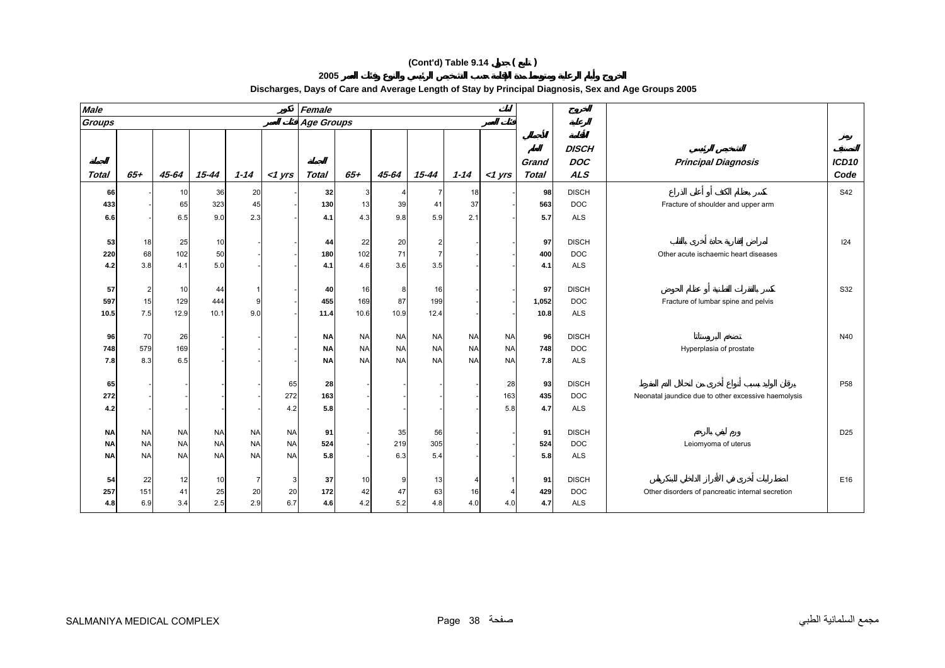| <b>Male</b>  |                |                 |           |           |           | Female            |           |           |                |           |           |                                            |              |                                                     |                 |
|--------------|----------------|-----------------|-----------|-----------|-----------|-------------------|-----------|-----------|----------------|-----------|-----------|--------------------------------------------|--------------|-----------------------------------------------------|-----------------|
| Groups       |                |                 |           |           |           | <b>Age Groups</b> |           |           |                |           |           |                                            |              |                                                     |                 |
| <b>Total</b> | $65 +$         | 45-64           | $15 - 44$ | $1 - 14$  | $<$ 1 yrs | <b>Total</b>      | $65 +$    | 45-64     | 15-44          | $1 - 14$  | $<$ 1 yrs | <b>DOC</b><br>Grand<br><b>ALS</b><br>Total | <b>DISCH</b> | <b>Principal Diagnosis</b>                          |                 |
| 66           |                | 10 <sup>1</sup> | 36        | 20        |           | 32                | 3         |           | -7             | 18        |           | 98                                         | <b>DISCH</b> |                                                     | <b>S42</b>      |
| 433          |                | 65              | 323       | 45        |           | 130               | 13        | 39        | 41             | 37        |           | 563                                        | <b>DOC</b>   | Fracture of shoulder and upper arm                  |                 |
| 6.6          |                | 6.5             | 9.0       | 2.3       |           | 4.1               | 4.3       | 9.8       | 5.9            | 2.1       |           | 5.7                                        | <b>ALS</b>   |                                                     |                 |
|              |                |                 |           |           |           |                   |           |           |                |           |           |                                            |              |                                                     |                 |
| 53           | 18             | 25              | 10        |           |           | 44                | 22        | 20        | $\overline{2}$ |           |           | 97                                         | <b>DISCH</b> |                                                     | 124             |
| 220          | 68             | 102             | 50        |           |           | 180               | 102       | 71        | $\overline{7}$ |           |           | 400                                        | <b>DOC</b>   | Other acute ischaemic heart diseases                |                 |
| 4.2          | 3.8            | 4.1             | 5.0       |           |           | 4.1               | 4.6       | 3.6       | 3.5            |           |           | 4.1                                        | <b>ALS</b>   |                                                     |                 |
|              |                |                 |           |           |           |                   |           |           |                |           |           |                                            |              |                                                     |                 |
| 57           | $\overline{2}$ | 10              | 44        |           |           | 40                | 16        | 8         | 16             |           |           | 97                                         | <b>DISCH</b> |                                                     | S32             |
| 597          | 15             | 129             | 444       | 9         |           | 455               | 169       | 87        | 199            |           |           | 1,052                                      | <b>DOC</b>   | Fracture of lumbar spine and pelvis                 |                 |
| 10.5         | 7.5            | 12.9            | 10.1      | 9.0       |           | 11.4              | 10.6      | 10.9      | 12.4           |           |           | 10.8                                       | <b>ALS</b>   |                                                     |                 |
| 96           | 70             | 26              |           |           |           | <b>NA</b>         | <b>NA</b> | <b>NA</b> | <b>NA</b>      | <b>NA</b> | <b>NA</b> | 96                                         | <b>DISCH</b> |                                                     | N40             |
| 748          | 579            | 169             |           |           |           | <b>NA</b>         | <b>NA</b> | <b>NA</b> | <b>NA</b>      | <b>NA</b> | <b>NA</b> | 748                                        | <b>DOC</b>   | Hyperplasia of prostate                             |                 |
| 7.8          | 8.3            | 6.5             |           |           |           | <b>NA</b>         | <b>NA</b> | <b>NA</b> | <b>NA</b>      | <b>NA</b> | <b>NA</b> | 7.8                                        | <b>ALS</b>   |                                                     |                 |
|              |                |                 |           |           |           |                   |           |           |                |           |           |                                            |              |                                                     |                 |
| 65           |                |                 |           |           | 65        | 28                |           |           |                |           | 28        | 93                                         | <b>DISCH</b> |                                                     | P <sub>58</sub> |
| 272          |                |                 |           |           | 272       | 163               |           |           |                |           | 163       | 435                                        | <b>DOC</b>   | Neonatal jaundice due to other excessive haemolysis |                 |
| 4.2          |                |                 |           |           | 4.2       | 5.8               |           |           |                |           | 5.8       | 4.7                                        | <b>ALS</b>   |                                                     |                 |
|              |                |                 |           |           |           |                   |           |           |                |           |           |                                            |              |                                                     |                 |
| <b>NA</b>    | <b>NA</b>      | <b>NA</b>       | <b>NA</b> | <b>NA</b> | <b>NA</b> | 91                |           | 35        | 56             |           |           | 91                                         | <b>DISCH</b> |                                                     | D <sub>25</sub> |
| <b>NA</b>    | <b>NA</b>      | <b>NA</b>       | <b>NA</b> | <b>NA</b> | <b>NA</b> | 524               |           | 219       | 305            |           |           | 524                                        | <b>DOC</b>   | Leiomyoma of uterus                                 |                 |
| <b>NA</b>    | <b>NA</b>      | <b>NA</b>       | <b>NA</b> | <b>NA</b> | <b>NA</b> | 5.8               |           | 6.3       | 5.4            |           |           | 5.8                                        | <b>ALS</b>   |                                                     |                 |
| 54           | 22             | 12              | 10        | -7        | 3         | 37                | 10        | c         | 13             |           |           | 91                                         | <b>DISCH</b> |                                                     | E16             |
| 257          | 151            | 41              | 25        | 20        | 20        | 172               | 42        | 47        | 63             | 16        |           | 429                                        | <b>DOC</b>   | Other disorders of pancreatic internal secretion    |                 |
| 4.8          | 6.9            | 3.4             | 2.5       | 2.9       | 6.7       | 4.6               | 4.2       | 5.2       | 4.8            | 4.0       | 4.0       | 4.7                                        | <b>ALS</b>   |                                                     |                 |

#### **Discharges, Days of Care and Average Length of Stay by Principal Diagnosis, Sex and Age Groups 2005**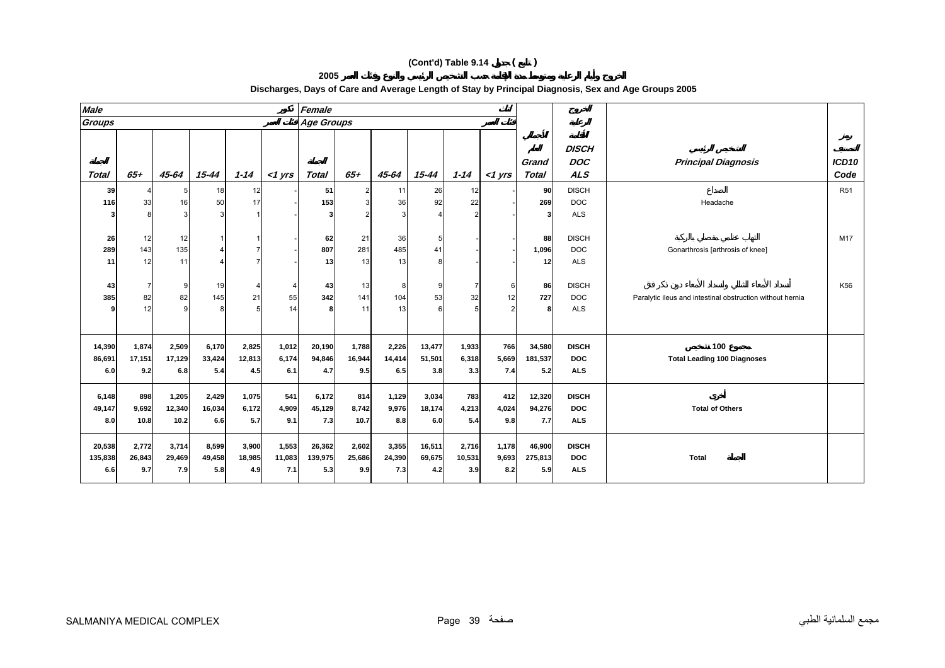**2005** 

| <b>Male</b>              |                        |                        |                        |                        |                        | Female                   |                        |                        |                         |                        |                       |                          |                                          |                                                           |                           |
|--------------------------|------------------------|------------------------|------------------------|------------------------|------------------------|--------------------------|------------------------|------------------------|-------------------------|------------------------|-----------------------|--------------------------|------------------------------------------|-----------------------------------------------------------|---------------------------|
| <b>Groups</b>            |                        |                        |                        |                        |                        | <b>Age Groups</b>        |                        |                        |                         |                        |                       |                          |                                          |                                                           |                           |
| <b>Total</b>             | $65+$                  | 45-64                  | $15 - 44$              | $1 - 14$               | $<$ 1 yrs              | <b>Total</b>             | $65+$                  | 45-64                  | $15 - 44$               | $1 - 14$               | $<$ 1 yrs             | Grand<br>Total           | <b>DISCH</b><br><b>DOC</b><br><b>ALS</b> | <b>Principal Diagnosis</b>                                | ICD <sub>10</sub><br>Code |
| 39                       |                        | 5                      | 18                     | 12                     |                        | 51                       |                        | 11                     | 26                      | 12                     |                       | 90                       | <b>DISCH</b>                             |                                                           | <b>R51</b>                |
| 116                      | 33                     | 16                     | 50                     | 17                     |                        | 153                      |                        | 36                     | 92                      | 22                     |                       | 269                      | <b>DOC</b>                               | Headache                                                  |                           |
|                          |                        |                        |                        |                        |                        | 3                        |                        |                        |                         | c                      |                       | 3                        | <b>ALS</b>                               |                                                           |                           |
| 26<br>289<br>11          | 12<br>143<br>12        | 12<br>135<br>11        |                        |                        |                        | 62<br>807<br>13          | 21<br>281<br>13        | 36<br>485<br>13        | 5<br>41                 |                        |                       | 88<br>1,096<br>12        | <b>DISCH</b><br><b>DOC</b><br><b>ALS</b> | Gonarthrosis [arthrosis of knee]                          | M17                       |
| 43                       |                        | 9                      | 19                     |                        | 4                      | 43                       | 13                     |                        | 9                       |                        | 6                     | 86                       | <b>DISCH</b>                             |                                                           | K56                       |
| 385                      | 82                     | 82                     | 145                    | 21                     | 55                     | 342                      | 141                    | 104                    | 53                      | 32                     | 12                    | 727                      | <b>DOC</b>                               | Paralytic ileus and intestinal obstruction without hernia |                           |
|                          | 12                     |                        |                        |                        | 14                     |                          | 11                     | 13                     |                         |                        |                       | 8                        | <b>ALS</b>                               |                                                           |                           |
| 14,390                   | 1,874                  | 2,509                  | 6,170                  | 2,825                  | 1,012                  | 20,190                   | 1,788                  | 2,226                  | 13,477                  | 1,933                  | 766                   | 34,580                   | <b>DISCH</b>                             | 100                                                       |                           |
| 86,691                   | 17,151                 | 17,129                 | 33,424                 | 12,813                 | 6,174                  | 94,846                   | 16,944                 | 14,414                 | 51,501                  | 6,318                  | 5,669                 | 181,537                  | <b>DOC</b>                               | <b>Total Leading 100 Diagnoses</b>                        |                           |
| 6.0                      | 9.2                    | 6.8                    | 5.4                    | 4.5                    | 6.1                    | 4.7                      | 9.5                    | 6.5                    | 3.8                     | 3.3                    | 7.4                   | 5.2                      | <b>ALS</b>                               |                                                           |                           |
| 6,148<br>49,147          | 898<br>9,692           | 1,205<br>12,340        | 2,429<br>16,034        | 1,075<br>6,172         | 541<br>4,909           | 6,172<br>45,129          | 814<br>8,742           | 1,129<br>9,976         | 3,034<br>18,174         | 783<br>4,213           | 412<br>4,024          | 12,320<br>94,276         | <b>DISCH</b><br><b>DOC</b>               | <b>Total of Others</b>                                    |                           |
| 8.0                      | 10.8                   | 10.2                   | 6.6                    | 5.7                    | 9.1                    | 7.3                      | 10.7                   | 8.8                    | 6.0                     | 5.4                    | 9.8                   | 7.7                      | <b>ALS</b>                               |                                                           |                           |
| 20,538<br>135,838<br>6.6 | 2,772<br>26,843<br>9.7 | 3,714<br>29,469<br>7.9 | 8,599<br>49,458<br>5.8 | 3,900<br>18,985<br>4.9 | 1,553<br>11,083<br>7.1 | 26,362<br>139,975<br>5.3 | 2,602<br>25,686<br>9.9 | 3,355<br>24,390<br>7.3 | 16,511<br>69,675<br>4.2 | 2,716<br>10,531<br>3.9 | 1,178<br>9,693<br>8.2 | 46,900<br>275,813<br>5.9 | <b>DISCH</b><br><b>DOC</b><br><b>ALS</b> | Total                                                     |                           |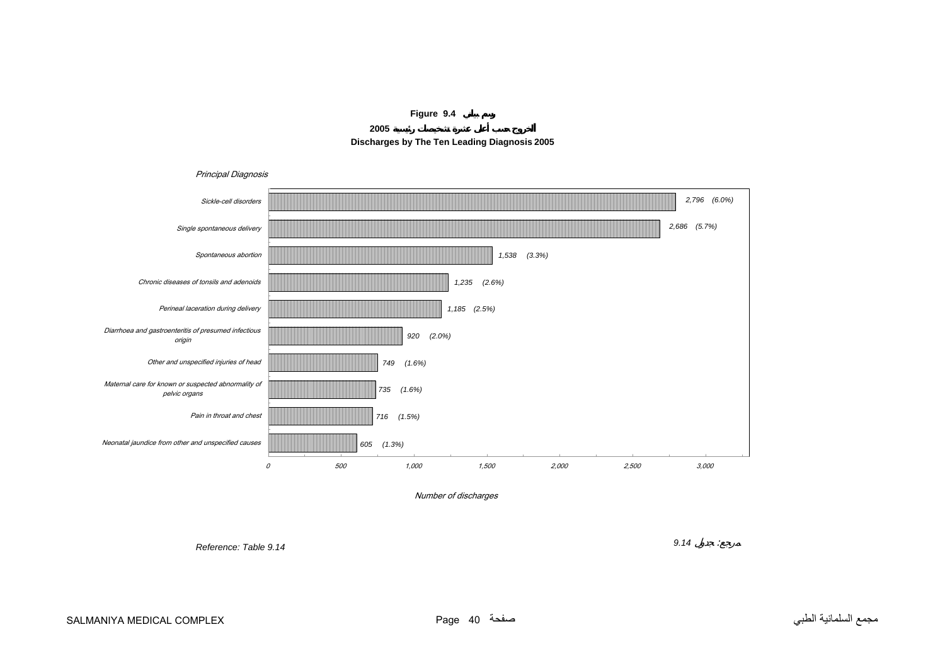





<span id="page-39-0"></span>

Number of discharges

*Reference: Table 9.14*

*9.14* :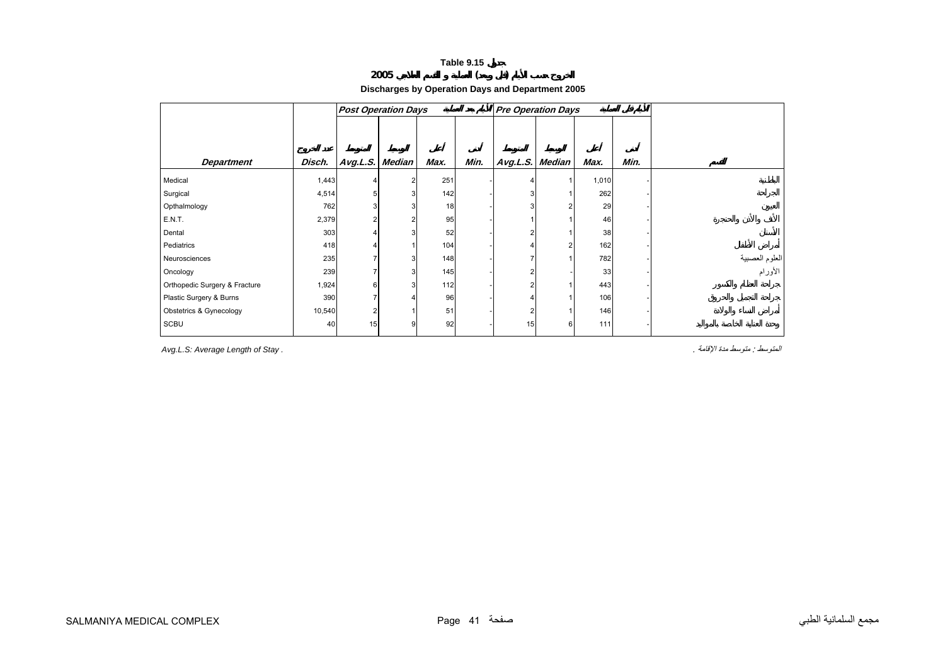# **2005 ( )**

**Discharges by Operation Days and Department 2005**

<span id="page-40-0"></span>

|                                    |        | <b>Post Operation Days</b> |   |      |      | <b>Pre Operation Days</b> |                |       |      |                           |
|------------------------------------|--------|----------------------------|---|------|------|---------------------------|----------------|-------|------|---------------------------|
| <b>Department</b>                  | Disch. | Avg.L.S. Median            |   | Max. | Min. | Avg.L.S. Median           |                | Max.  | Min. |                           |
| Medical                            | 1,443  |                            | 2 | 251  |      |                           |                | 1,010 |      |                           |
| Surgical                           | 4,514  |                            | 3 | 142  |      |                           |                | 262   |      |                           |
| Opthalmology                       | 762    |                            |   | 18   |      |                           | 2              | 29    |      |                           |
| E.N.T.                             | 2,379  |                            |   | 95   |      |                           |                | 46    |      |                           |
| Dental                             | 303    |                            |   | 52   |      |                           |                | 38    |      |                           |
| Pediatrics                         | 418    |                            |   | 104  |      |                           | $\overline{2}$ | 162   |      |                           |
| Neurosciences                      | 235    |                            | 3 | 148  |      |                           |                | 782   |      | العلوم العصبية<br>الأورام |
| Oncology                           | 239    |                            | 3 | 145  |      |                           |                | 33    |      |                           |
| Orthopedic Surgery & Fracture      | 1,924  | 6                          | 3 | 112  |      | $\overline{2}$            |                | 443   |      |                           |
| Plastic Surgery & Burns            | 390    |                            |   | 96   |      |                           |                | 106   |      |                           |
| <b>Obstetrics &amp; Gynecology</b> | 10,540 |                            |   | 51   |      |                           |                | 146   |      |                           |
| SCBU                               | 40     | 15                         | 9 | 92   |      | 15                        | 6              | 111   |      |                           |

*Avg.L.S: Average Length of Stay .* . الإقامة مدة متوسط : المتوسط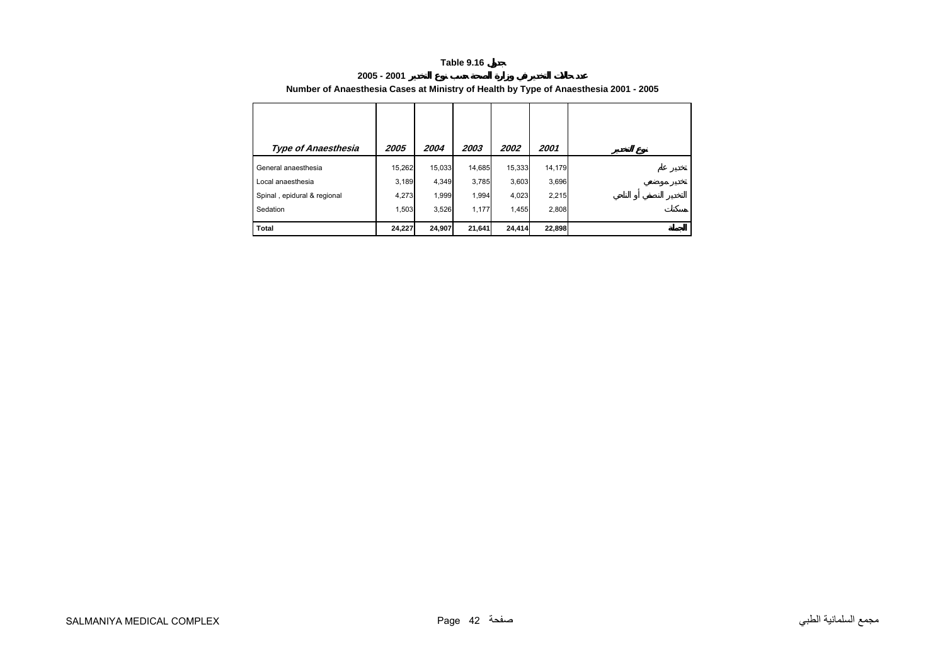#### **2005 - 2001Number of Anaesthesia Cases at Ministry of Health by Type of Anaesthesia 2001 - 2005**

<span id="page-41-0"></span>

| <b>Type of Anaesthesia</b>  | 2005   | 2004   | 2003   | 2002   | 2001   |
|-----------------------------|--------|--------|--------|--------|--------|
| General anaesthesia         | 15,262 | 15.033 | 14,685 | 15,333 | 14,179 |
| Local anaesthesia           | 3,189  | 4,349  | 3,785  | 3,603  | 3,696  |
| Spinal, epidural & regional | 4,273  | 1,999  | 1,994  | 4,023  | 2,215  |
| Sedation                    | 1,503  | 3,526  | 1,177  | 1,455  | 2,808  |
| <b>Total</b>                | 24,227 | 24,907 | 21,641 | 24,414 | 22,898 |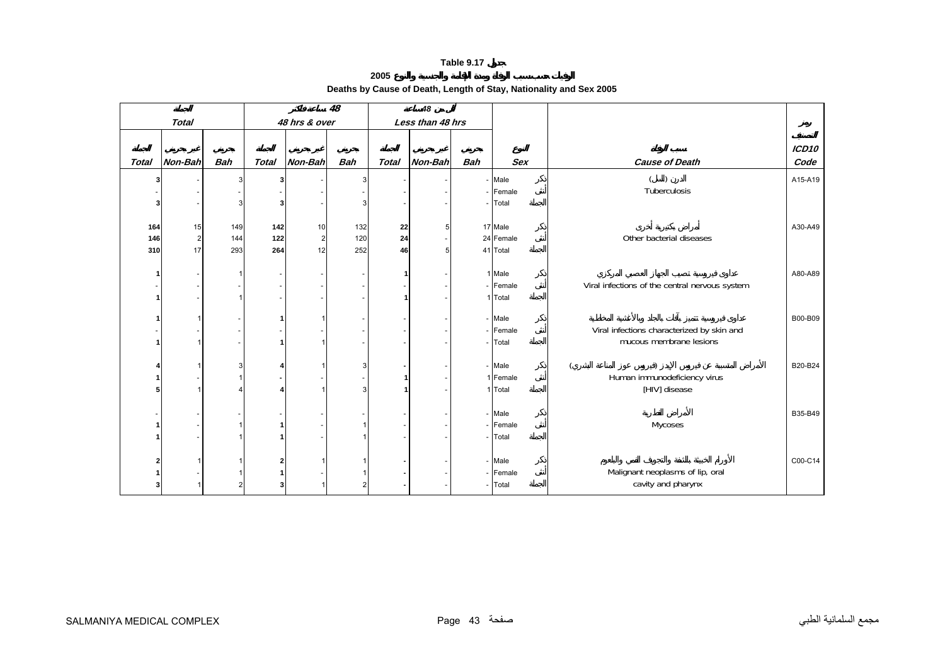#### **2005 Deaths by Cause of Death, Length of Stay, Nationality and Sex 2005**

<span id="page-42-0"></span>

|              | 48<br>48 hrs & over |            |              |                |            | 48           |                  |            |            |                                                |               |
|--------------|---------------------|------------|--------------|----------------|------------|--------------|------------------|------------|------------|------------------------------------------------|---------------|
|              | <b>Total</b>        |            |              |                |            |              | Less than 48 hrs |            |            |                                                |               |
| <b>Total</b> | Non-Bah             | <b>Bah</b> | <b>Total</b> | Non-Bah        | <b>Bah</b> | <b>Total</b> | Non-Bah          | <b>Bah</b> | <b>Sex</b> | <b>Cause of Death</b>                          | ICD10<br>Code |
| 31           |                     | 3          |              |                | 3          |              |                  |            | - Male     |                                                | A15-A19       |
|              |                     |            |              |                |            |              |                  |            | - Female   | Tuberculosis                                   |               |
|              |                     |            |              |                | 3          |              |                  |            | Total      |                                                |               |
|              |                     |            |              |                |            |              |                  |            |            |                                                |               |
| 164          | 15                  | 149        | 142          | 10             | 132        | 22           | 5                |            | 17 Male    |                                                | A30-A49       |
| 146          | $\sqrt{2}$          | 144        | $122$        | $\overline{2}$ | 120        | 24           |                  |            | 24 Female  | Other bacterial diseases                       |               |
| 310          | 17                  | 293        | 264          | 12             | 252        | 46           | 5                |            | 41 Total   |                                                |               |
|              |                     |            |              |                |            |              |                  |            |            |                                                |               |
| 1            |                     |            |              |                |            | 1            |                  |            | 1 Male     |                                                | A80-A89       |
|              |                     |            |              |                |            |              |                  |            | - Female   | Viral infections of the central nervous system |               |
|              |                     |            |              |                |            | 1            |                  |            | 1 Total    |                                                |               |
|              | 1                   |            |              |                |            |              |                  |            | - Male     |                                                | B00-B09       |
|              |                     |            |              |                |            |              |                  |            | Female     | Viral infections characterized by skin and     |               |
|              | 1                   |            |              |                |            |              |                  |            | Total      | mucous membrane lesions                        |               |
|              |                     |            |              |                |            |              |                  |            |            |                                                |               |
|              |                     |            |              |                | 3          |              |                  |            | - Male     |                                                | B20-B24       |
|              |                     |            |              |                |            |              |                  |            | 1 Female   | Human immunodeficiency virus                   |               |
|              | 1                   |            |              |                | 3          |              |                  |            | 1 Total    | [HIV] disease                                  |               |
|              |                     |            |              |                |            |              |                  |            |            |                                                |               |
|              |                     |            |              |                |            |              |                  |            | - Male     |                                                | B35-B49       |
|              |                     |            |              |                |            |              |                  |            | - Female   | Mycoses                                        |               |
|              |                     |            |              |                |            |              |                  |            | Total      |                                                |               |
|              |                     |            |              |                |            |              |                  |            |            |                                                |               |
|              |                     |            |              |                |            |              |                  |            | - Male     |                                                | C00-C14       |
|              |                     |            |              |                |            |              |                  |            | - Female   | Malignant neoplasms of lip, oral               |               |
|              |                     |            |              |                |            |              |                  |            | Total      | cavity and pharynx                             |               |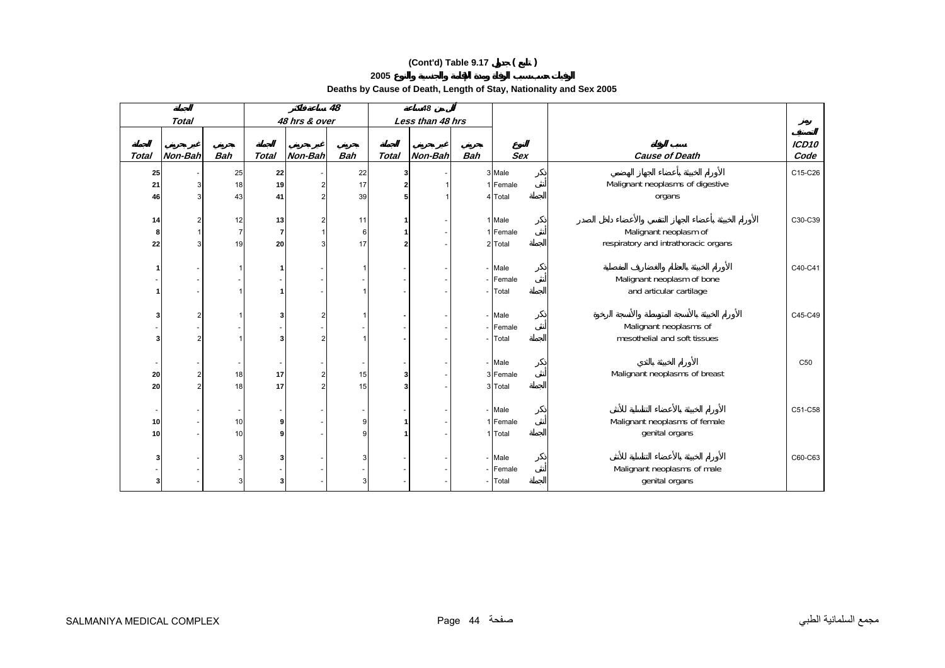**Deaths by Cause of Death, Length of Stay, Nationality and Sex 2005** 

|                 |                                      |                     | 48         |                  |              | 48         |               |                |                |                         |                          |
|-----------------|--------------------------------------|---------------------|------------|------------------|--------------|------------|---------------|----------------|----------------|-------------------------|--------------------------|
|                 |                                      |                     |            | Less than 48 hrs |              |            | 48 hrs & over |                |                | <b>Total</b>            |                          |
| ICD10<br>Code   | <b>Cause of Death</b>                | <b>Sex</b>          | <b>Bah</b> | Non-Bah          | <b>Total</b> | <b>Bah</b> | Non-Bah       | <b>Total</b>   | <b>Bah</b>     | Non-Bah                 | <b>Total</b>             |
|                 |                                      |                     |            |                  |              |            |               |                |                |                         |                          |
| C15-C26         | Malignant neoplasms of digestive     | 3 Male<br>1 Female  |            |                  |              | 22         |               | 22<br>19       | 25             |                         | 25                       |
|                 |                                      | 4 Total             |            |                  |              | 17<br>39   |               | 41             | 18<br>43       | 3<br>$\mathbf{3}$       | 21<br>46                 |
|                 | organs                               |                     |            |                  |              |            |               |                |                |                         |                          |
| C30-C39         |                                      | 1 Male              |            |                  |              | 11         |               | 13             | 12             | $\overline{\mathbf{c}}$ | 14                       |
|                 | Malignant neoplasm of                | 1 Female            |            |                  |              | 6          |               | $\overline{7}$ | $\overline{7}$ | $\mathbf{1}$            | 8                        |
|                 | respiratory and intrathoracic organs | 2 Total             |            |                  |              | 17         |               | 20             | 19             | 3                       | 22                       |
| C40-C41         |                                      | Male                |            |                  |              |            |               | 1              |                |                         | 1                        |
|                 | Malignant neoplasm of bone           | Female              |            |                  |              |            |               |                |                |                         |                          |
|                 | and articular cartilage              | Total               |            |                  |              |            |               |                |                |                         | 1                        |
|                 |                                      |                     |            |                  |              |            |               |                |                |                         |                          |
| C45-C49         |                                      | Male                |            |                  |              |            |               | 3              |                | $\overline{\mathbf{c}}$ | 3                        |
|                 | Malignant neoplasms of               | Female              |            |                  |              |            |               |                |                |                         |                          |
|                 | mesothelial and soft tissues         | Total               |            |                  |              |            |               | 3              |                | $\overline{2}$          | 3                        |
| C <sub>50</sub> |                                      | Male                |            |                  |              |            |               |                |                |                         | $\overline{\phantom{a}}$ |
|                 | Malignant neoplasms of breast        | 3 Female            |            |                  | 3            | 15         |               | 17             | 18             | $\overline{\mathbf{c}}$ | 20                       |
|                 |                                      | 3 Total             |            |                  |              | 15         |               | 17             | 18             | $\overline{2}$          | 20                       |
| C51-C58         |                                      | Male                |            |                  |              |            |               |                |                |                         |                          |
|                 | Malignant neoplasms of female        |                     |            |                  |              | 9          |               | 9              |                |                         | $\overline{\phantom{a}}$ |
|                 | genital organs                       | 1 Female<br>1 Total |            |                  |              | g          |               | 9              | 10<br>10       |                         | 10<br>10 <sup>1</sup>    |
|                 |                                      |                     |            |                  |              |            |               |                |                |                         |                          |
| C60-C63         |                                      | Male                |            |                  |              | 3          |               | 3              | 3              |                         | 3                        |
|                 | Malignant neoplasms of male          | Female              |            |                  |              |            |               |                |                |                         |                          |
|                 | genital organs                       | Total               |            |                  |              | 3          |               | 3              | 3              |                         | 3                        |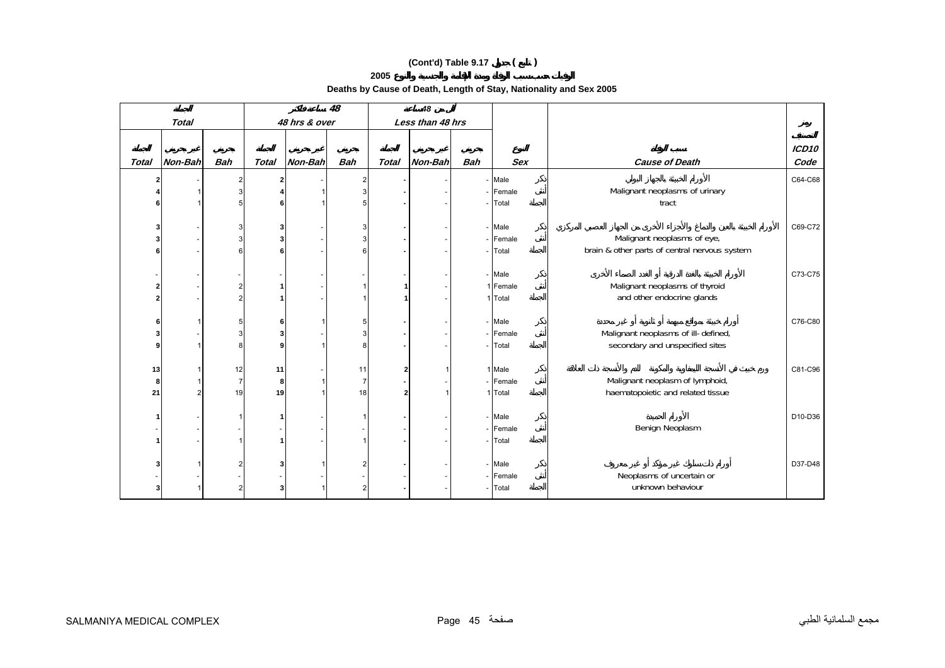**Deaths by Cause of Death, Length of Stay, Nationality and Sex 2005** 

|              |                | 48                   |              |               | 48                   |              |                  |            |                  |                                               |         |
|--------------|----------------|----------------------|--------------|---------------|----------------------|--------------|------------------|------------|------------------|-----------------------------------------------|---------|
|              | <b>Total</b>   |                      |              | 48 hrs & over |                      |              | Less than 48 hrs |            |                  |                                               |         |
|              |                |                      |              |               |                      |              |                  |            |                  |                                               | ICD10   |
| <b>Total</b> | Non-Bah        | <b>Bah</b>           | <b>Total</b> | Non-Bah       | <b>Bah</b>           | <b>Total</b> | Non-Bah          | <b>Bah</b> | <b>Sex</b>       | <b>Cause of Death</b>                         | Code    |
|              |                |                      |              |               |                      |              |                  |            |                  |                                               |         |
|              |                | 2                    | 2            |               | 2                    |              |                  |            | Male             |                                               | C64-C68 |
|              |                |                      |              |               | 3                    |              |                  |            | Female           | Malignant neoplasms of urinary                |         |
|              |                |                      |              |               | 5                    |              |                  |            | Total            | tract                                         |         |
|              |                | 3                    | 3            |               | 3                    |              |                  |            | Male             |                                               | C69-C72 |
|              |                | 3                    |              |               | 3                    |              |                  |            | Female           | Malignant neoplasms of eye,                   |         |
|              |                | 6                    |              |               | 6                    |              |                  |            | Total            | brain & other parts of central nervous system |         |
|              |                |                      |              |               |                      |              |                  |            |                  |                                               |         |
|              |                |                      |              |               |                      |              |                  |            | - Male           |                                               | C73-C75 |
|              |                | $\overline{2}$       |              |               |                      |              |                  |            | 1 Female         | Malignant neoplasms of thyroid                |         |
|              |                | 2                    |              |               |                      |              |                  |            | 1 Total          | and other endocrine glands                    |         |
|              |                |                      |              |               |                      |              |                  |            |                  |                                               |         |
| 6            |                | 5                    | 6            |               | 5                    |              |                  |            | Male             |                                               | C76-C80 |
|              |                | 3                    |              |               | 3                    |              |                  |            | Female           | Malignant neoplasms of ill-defined,           |         |
|              |                | 8                    |              |               | 8                    |              |                  |            | Total            | secondary and unspecified sites               |         |
|              |                |                      |              |               |                      |              |                  |            |                  |                                               |         |
| 13           |                | 12                   | 11           |               | 11                   | 2            |                  |            | 1 Male<br>Female | Malignant neoplasm of lymphoid,               | C81-C96 |
| 8<br>21      | $\overline{2}$ | $\overline{7}$<br>19 | 8<br>19      |               | $\overline{7}$<br>18 | $\mathbf{2}$ | -1               |            | 1 Total          | haematopoietic and related tissue             |         |
|              |                |                      |              |               |                      |              |                  |            |                  |                                               |         |
|              |                |                      |              |               |                      |              |                  |            | - Male           |                                               | D10-D36 |
|              |                |                      |              |               |                      |              |                  |            | Female           | Benign Neoplasm                               |         |
|              |                |                      |              |               | 1                    |              |                  |            | Total            |                                               |         |
|              |                |                      |              |               |                      |              |                  |            |                  |                                               |         |
|              |                |                      | 3            |               | 2                    |              |                  |            | Male             |                                               | D37-D48 |
|              |                |                      |              |               |                      |              |                  |            | Female           | Neoplasms of uncertain or                     |         |
|              |                | 2                    | 3            |               | $\overline{2}$       |              |                  |            | Total            | unknown behaviour                             |         |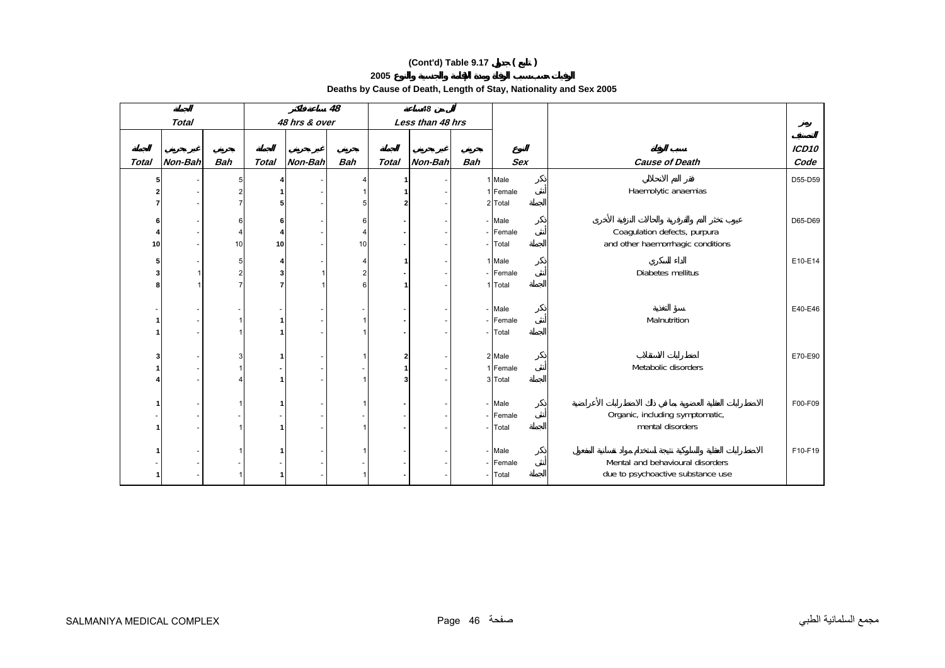**Deaths by Cause of Death, Length of Stay, Nationality and Sex 2005** 

|              |              |                      | 48           |               |                | 48           |                  |            |                    |                                                                   |               |
|--------------|--------------|----------------------|--------------|---------------|----------------|--------------|------------------|------------|--------------------|-------------------------------------------------------------------|---------------|
|              | <b>Total</b> |                      |              | 48 hrs & over |                |              | Less than 48 hrs |            |                    |                                                                   |               |
| <b>Total</b> | Non-Bah      | <b>Bah</b>           | <b>Total</b> | Non-Bah       | <b>Bah</b>     | <b>Total</b> | Non-Bah          | <b>Bah</b> | <b>Sex</b>         | <b>Cause of Death</b>                                             | ICD10<br>Code |
|              |              |                      |              |               |                |              |                  |            |                    |                                                                   |               |
|              |              | 5<br>2               |              |               |                |              |                  |            | 1 Male<br>1 Female | Haemolytic anaemias                                               | D55-D59       |
|              |              |                      |              |               |                |              |                  |            | 2 Total            |                                                                   |               |
|              |              |                      |              |               |                |              |                  |            |                    |                                                                   |               |
|              |              | 6                    | 6            |               | 6              |              |                  |            | - Male             |                                                                   | D65-D69       |
| 10           |              | $\overline{4}$<br>10 | 10           |               | 4<br>10        |              |                  |            | - Female<br>Total  | Coagulation defects, purpura<br>and other haemorrhagic conditions |               |
|              |              |                      |              |               |                |              |                  |            |                    |                                                                   |               |
|              |              | 5                    |              |               | 4              |              |                  |            | 1 Male             |                                                                   | E10-E14       |
|              | 1            | $\overline{2}$       | 3            |               | $\overline{2}$ |              |                  |            | - Female           | Diabetes mellitus                                                 |               |
|              |              |                      |              |               | 6              |              |                  |            | 1 Total            |                                                                   |               |
|              |              |                      |              |               |                |              |                  |            | - Male             |                                                                   | E40-E46       |
|              |              |                      |              |               |                |              |                  | $\sim$     | Female             | Malnutrition                                                      |               |
|              |              |                      |              |               |                |              |                  |            | Total              |                                                                   |               |
|              |              |                      |              |               |                |              |                  |            |                    |                                                                   |               |
|              |              | 3                    |              |               |                | 2            |                  |            | 2 Male             |                                                                   | E70-E90       |
|              |              |                      |              |               |                |              |                  |            | 1 Female           | Metabolic disorders                                               |               |
|              |              |                      |              |               |                |              |                  |            | 3 Total            |                                                                   |               |
|              |              |                      |              |               |                |              |                  |            | - Male             |                                                                   |               |
|              |              |                      |              |               |                |              |                  |            | - Female           | Organic, including symptomatic,                                   | F00-F09       |
|              |              |                      |              |               | $\overline{1}$ |              |                  |            | Total              | mental disorders                                                  |               |
|              |              |                      |              |               |                |              |                  |            |                    |                                                                   |               |
|              |              |                      |              |               |                |              |                  |            | - Male             |                                                                   | F10-F19       |
|              |              |                      |              |               |                |              |                  |            | - Female           | Mental and behavioural disorders                                  |               |
|              |              |                      |              |               |                |              |                  |            | Total              | due to psychoactive substance use                                 |               |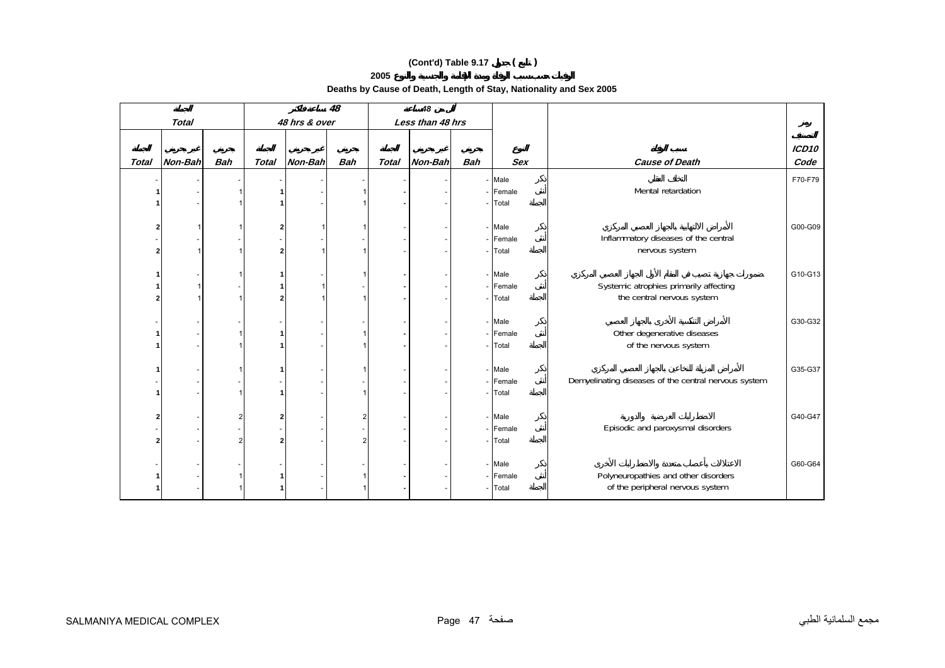**Deaths by Cause of Death, Length of Stay, Nationality and Sex 2005** 

|              |                                    |            | 48           |               |                | 48           |                  |            |                     |                                                      |                           |
|--------------|------------------------------------|------------|--------------|---------------|----------------|--------------|------------------|------------|---------------------|------------------------------------------------------|---------------------------|
|              | <b>Total</b>                       |            |              | 48 hrs & over |                |              | Less than 48 hrs |            |                     |                                                      |                           |
|              |                                    |            |              |               |                |              |                  |            |                     |                                                      |                           |
| <b>Total</b> | Non-Bah                            | <b>Bah</b> | <b>Total</b> | Non-Bah       | <b>Bah</b>     | <b>Total</b> | Non-Bah          | <b>Bah</b> | <b>Sex</b>          | <b>Cause of Death</b>                                | ICD <sub>10</sub><br>Code |
|              |                                    |            |              |               |                |              |                  |            |                     |                                                      |                           |
|              | $\overline{\phantom{a}}$           |            |              |               |                |              |                  |            | - Male              |                                                      | F70-F79                   |
|              |                                    |            |              |               |                |              |                  |            | - Female            | Mental retardation                                   |                           |
|              |                                    |            |              |               |                |              |                  |            | - Total             |                                                      |                           |
|              |                                    |            |              |               |                |              |                  |            |                     |                                                      |                           |
|              | 1                                  |            |              |               |                |              |                  |            | - Male              |                                                      | G00-G09                   |
|              |                                    |            |              |               |                |              |                  |            | - Female            | Inflammatory diseases of the central                 |                           |
|              | $\mathbf{1}$                       |            |              |               |                |              |                  |            | - Total             | nervous system                                       |                           |
|              |                                    |            |              |               |                |              |                  |            |                     |                                                      |                           |
|              |                                    |            |              |               |                |              |                  |            | - Male              |                                                      | G10-G13                   |
|              | $\mathbf{1}$                       |            |              |               |                |              |                  |            | - Female            | Systemic atrophies primarily affecting               |                           |
|              | $\mathbf{1}$                       |            |              |               |                |              |                  |            | - Total             | the central nervous system                           |                           |
|              |                                    |            |              |               |                |              |                  |            |                     |                                                      |                           |
|              |                                    |            |              |               |                |              |                  |            | - Male              |                                                      | G30-G32                   |
|              | $\sim$                             |            |              |               |                |              |                  |            | - Female<br>- Total | Other degenerative diseases<br>of the nervous system |                           |
|              | $\overline{\phantom{a}}$           |            |              |               |                |              |                  |            |                     |                                                      |                           |
|              |                                    |            |              |               |                |              |                  |            | - Male              |                                                      | G35-G37                   |
|              | $\overline{\phantom{a}}$<br>$\sim$ |            |              |               |                |              |                  |            | - Female            | Demyelinating diseases of the central nervous system |                           |
|              | $\sim$                             |            |              |               |                |              |                  |            | - Total             |                                                      |                           |
|              |                                    |            |              |               |                |              |                  |            |                     |                                                      |                           |
|              |                                    |            |              |               | $\overline{2}$ |              |                  |            | - Male              |                                                      | G40-G47                   |
|              | $\sim$                             |            |              |               |                |              |                  |            | - Female            | Episodic and paroxysmal disorders                    |                           |
|              |                                    |            |              |               | $\overline{2}$ |              |                  |            | - Total             |                                                      |                           |
|              |                                    |            |              |               |                |              |                  |            |                     |                                                      |                           |
|              |                                    |            |              |               |                |              |                  |            | - Male              |                                                      | G60-G64                   |
|              |                                    |            |              |               |                |              |                  |            | - Female            | Polyneuropathies and other disorders                 |                           |
|              | $\overline{\phantom{a}}$           |            |              |               |                |              |                  |            | - Total             | of the peripheral nervous system                     |                           |
|              |                                    |            |              |               |                |              |                  |            |                     |                                                      |                           |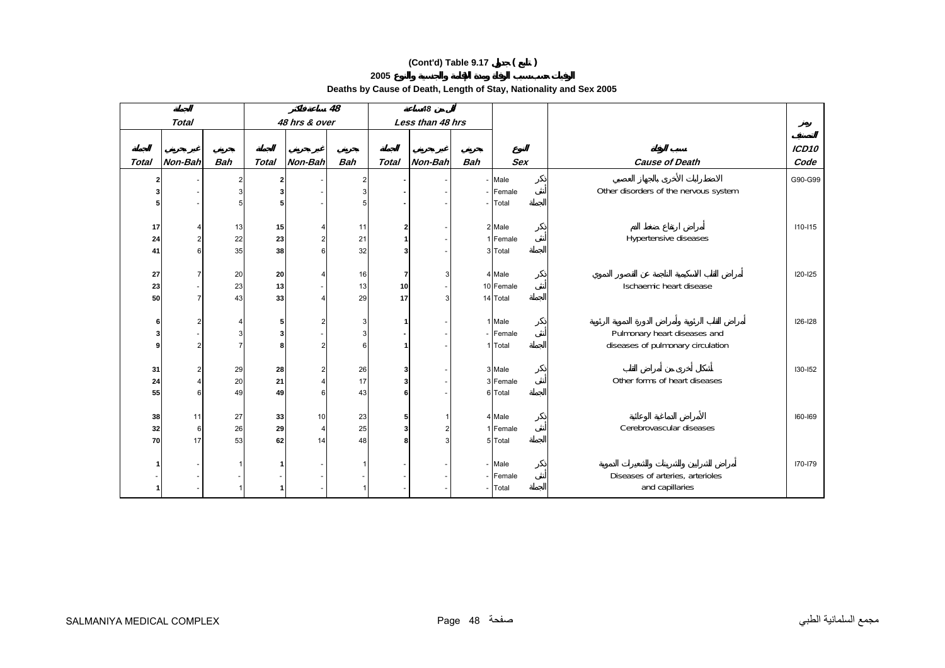**Deaths by Cause of Death, Length of Stay, Nationality and Sex 2005** 

|              |                |                | 48           |               |                         | 48           |                  |            |                     |                                       |                   |
|--------------|----------------|----------------|--------------|---------------|-------------------------|--------------|------------------|------------|---------------------|---------------------------------------|-------------------|
|              | <b>Total</b>   |                |              | 48 hrs & over |                         |              | Less than 48 hrs |            |                     |                                       |                   |
|              |                |                |              |               |                         |              |                  |            |                     |                                       |                   |
|              |                |                |              |               |                         |              |                  |            |                     |                                       | ICD <sub>10</sub> |
| <b>Total</b> | Non-Bah        | <b>Bah</b>     | <b>Total</b> | Non-Bah       | <b>Bah</b>              | <b>Total</b> | Non-Bah          | <b>Bah</b> | <b>Sex</b>          | <b>Cause of Death</b>                 | Code              |
| 21           |                | $\overline{2}$ | 2            |               | $\overline{\mathbf{c}}$ |              |                  |            | - Male              |                                       | G90-G99           |
| 3            |                | 3              |              |               | 3                       |              |                  |            | - Female            | Other disorders of the nervous system |                   |
| 5            |                |                | 5            |               | 5                       |              |                  |            | Total               |                                       |                   |
|              |                |                |              |               |                         |              |                  |            |                     |                                       |                   |
| 17           |                | 13             | 15           |               | 11                      | 2            |                  |            | 2 Male              |                                       | $110 - 115$       |
| 24           | $\overline{2}$ | 22             | 23           | 2             | 21                      | 1            |                  |            | 1 Female            | Hypertensive diseases                 |                   |
| 41           | 6              | 35             | 38           | 6             | 32                      | 3            |                  |            | 3 Total             |                                       |                   |
|              |                |                |              |               |                         |              |                  |            |                     |                                       |                   |
| 27           | 7              | 20             | 20           |               | 16                      | 7            | 3                |            | 4 Male              |                                       | <b>I20-I25</b>    |
| 23           |                | 23             | 13           |               | 13                      | 10           |                  |            | 10 Female           | Ischaemic heart disease               |                   |
| 50           | $\overline{7}$ | 43             | 33           |               | 29                      | 17           | 3                |            | 14 Total            |                                       |                   |
|              |                |                |              |               |                         |              |                  |            |                     |                                       |                   |
| 6            |                |                | 5            |               | 3                       | 1            |                  |            | 1 Male              |                                       | 126-128           |
| 3            |                | 3              | 3            |               | 3                       |              |                  |            | - Female            | Pulmonary heart diseases and          |                   |
| 9            | $\overline{2}$ | $\overline{7}$ | 8            |               | 6                       | 1            |                  |            | 1 Total             | diseases of pulmonary circulation     |                   |
|              |                |                |              |               |                         |              |                  |            |                     |                                       |                   |
| 31           |                | 29             | 28           |               | 26                      | 3            |                  |            | 3 Male              |                                       | 130-152           |
| 24           |                | 20             | 21           |               | 17                      | 3            |                  |            | 3 Female            | Other forms of heart diseases         |                   |
| 55           | 6              | 49             | 49           | 6             | 43                      | 6            |                  |            | 6 Total             |                                       |                   |
|              |                |                |              |               |                         |              |                  |            |                     |                                       |                   |
| 38           | 11             | 27             | 33           | 10            | 23                      | 5            |                  |            | 4 Male              |                                       | 160-169           |
| 32           | 6              | 26             | 29           |               | 25                      | 3            | $\overline{2}$   |            | 1 Female            | Cerebrovascular diseases              |                   |
| 70           | 17             | 53             | 62           | 14            | 48                      | 8            | 3                |            | 5 Total             |                                       |                   |
|              |                |                |              |               |                         |              |                  |            | - Male              |                                       | 170-179           |
|              |                |                |              |               |                         |              |                  |            |                     | Diseases of arteries, arterioles      |                   |
|              |                |                |              |               | 1                       |              |                  |            | - Female<br>- Total | and capillaries                       |                   |
|              |                |                |              |               |                         |              |                  |            |                     |                                       |                   |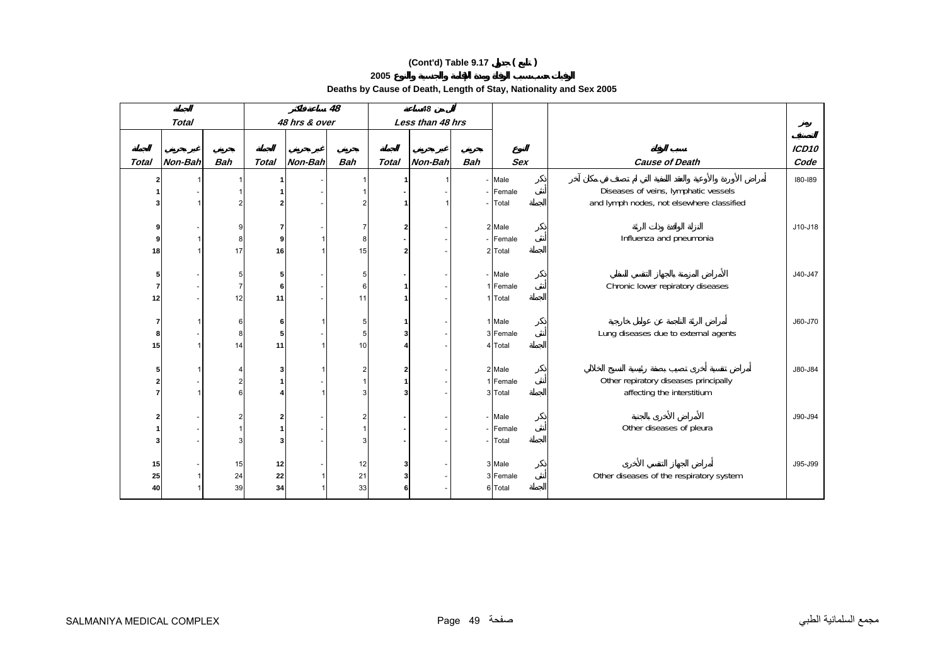**Deaths by Cause of Death, Length of Stay, Nationality and Sex 2005** 

|                |              |                     | 48           |               | 48                |              |                  |            |            |                                           |                   |
|----------------|--------------|---------------------|--------------|---------------|-------------------|--------------|------------------|------------|------------|-------------------------------------------|-------------------|
|                | <b>Total</b> |                     |              | 48 hrs & over |                   |              | Less than 48 hrs |            |            |                                           |                   |
|                |              |                     |              |               |                   |              |                  |            |            |                                           |                   |
|                |              |                     |              |               |                   |              |                  |            |            |                                           | ICD <sub>10</sub> |
| <b>Total</b>   | Non-Bah      | <b>Bah</b>          | <b>Total</b> | Non-Bah       | <b>Bah</b>        | <b>Total</b> | Non-Bah          | <b>Bah</b> | <b>Sex</b> | <b>Cause of Death</b>                     | Code              |
|                |              |                     |              |               | 1                 |              |                  |            | - Male     |                                           | 180-189           |
|                |              |                     |              |               |                   |              |                  |            | Female     | Diseases of veins, lymphatic vessels      |                   |
|                |              |                     |              |               | $\overline{2}$    |              |                  |            | Total      | and lymph nodes, not elsewhere classified |                   |
|                |              |                     |              |               |                   |              |                  |            |            |                                           |                   |
| 9              |              | 9                   |              |               | 7                 | $\mathbf{2}$ |                  |            | 2 Male     |                                           | J10-J18           |
| 9              |              | 8                   | 9            |               | 8                 |              |                  |            | - Female   | Influenza and pneumonia                   |                   |
| 18             |              | 17                  | 16           |               | 15                | $\mathbf{2}$ |                  |            | 2 Total    |                                           |                   |
|                |              |                     |              |               |                   |              |                  |            |            |                                           |                   |
| 5              |              | 5                   | 5            |               | 5                 |              |                  |            | - Male     |                                           | J40-J47           |
| $\overline{7}$ |              |                     | 6            |               | 6                 | 1            |                  |            | 1 Female   | Chronic lower repiratory diseases         |                   |
| 12             |              | 12                  | 11           |               | 11                | 1            |                  |            | 1 Total    |                                           |                   |
|                |              |                     |              |               |                   |              |                  |            |            |                                           |                   |
| 7              |              | 6                   | 6            |               | 5                 | 1            |                  |            | 1 Male     |                                           | J60-J70           |
| 8              |              | 8                   | 5            |               | 5                 | 3            |                  |            | 3 Female   | Lung diseases due to external agents      |                   |
| 15             |              | 14                  | 11           |               | 10                | 4            |                  |            | 4 Total    |                                           |                   |
|                |              |                     |              |               |                   |              |                  |            | 2 Male     |                                           | J80-J84           |
| 5              |              | Δ<br>$\overline{2}$ | 3            |               | 2<br>$\mathbf{1}$ | 2            |                  |            | 1 Female   | Other repiratory diseases principally     |                   |
|                |              | 6                   |              |               | 3                 |              |                  |            | 3 Total    | affecting the interstitium                |                   |
|                |              |                     |              |               |                   | 3            |                  |            |            |                                           |                   |
| 2              |              |                     |              |               | 2                 |              |                  |            | - Male     |                                           | J90-J94           |
|                |              |                     |              |               | $\mathbf{1}$      |              |                  |            | - Female   | Other diseases of pleura                  |                   |
| 3              |              | 3                   |              |               | 3                 |              |                  |            | Total      |                                           |                   |
|                |              |                     |              |               |                   |              |                  |            |            |                                           |                   |
| 15             |              | 15                  | 12           |               | 12                | 3            |                  |            | 3 Male     |                                           | J95-J99           |
| 25             |              | 24                  | 22           |               | 21                | 3            |                  |            | 3 Female   | Other diseases of the respiratory system  |                   |
| 40             |              | 39                  | 34           |               | 33                | 6            |                  |            | 6 Total    |                                           |                   |
|                |              |                     |              |               |                   |              |                  |            |            |                                           |                   |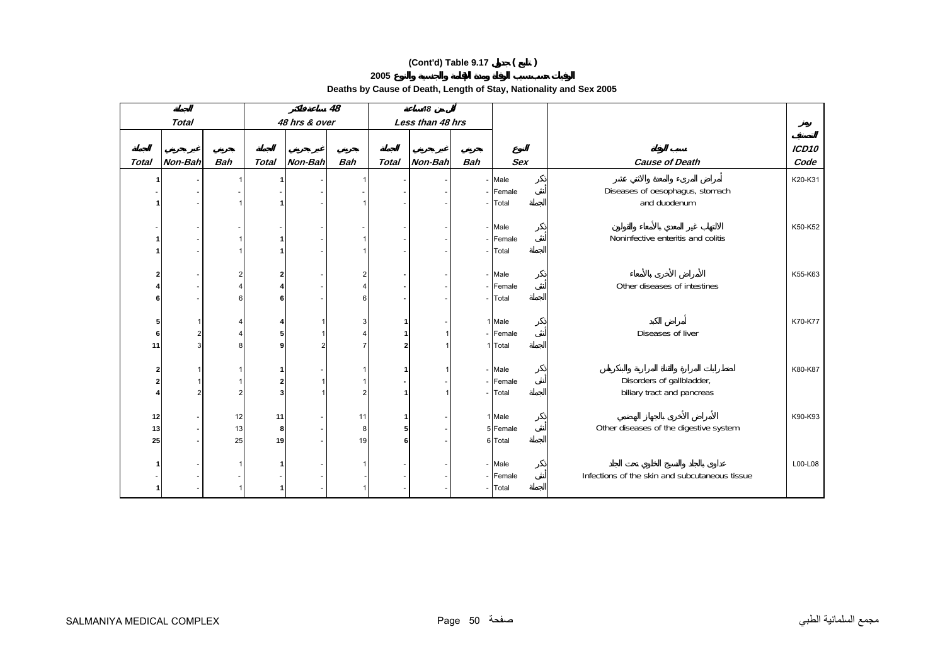**Deaths by Cause of Death, Length of Stay, Nationality and Sex 2005** 

|              |                |            | 48           |               | 48                  |                |                  |            |            |                                                |         |
|--------------|----------------|------------|--------------|---------------|---------------------|----------------|------------------|------------|------------|------------------------------------------------|---------|
|              | <b>Total</b>   |            |              | 48 hrs & over |                     |                | Less than 48 hrs |            |            |                                                |         |
|              |                |            |              |               |                     |                |                  |            |            |                                                |         |
|              |                |            |              |               |                     |                |                  |            |            |                                                | ICD10   |
| <b>Total</b> | Non-Bah        | <b>Bah</b> | <b>Total</b> | Non-Bah       | <b>Bah</b>          | <b>Total</b>   | Non-Bah          | <b>Bah</b> | <b>Sex</b> | <b>Cause of Death</b>                          | Code    |
|              |                |            |              |               | $\mathbf{1}$        |                |                  |            | - Male     |                                                | K20-K31 |
|              |                |            |              |               |                     |                |                  |            | - Female   | Diseases of oesophagus, stomach                |         |
|              |                |            |              |               | $\mathbf{1}$        |                |                  |            | Total      | and duodenum                                   |         |
|              |                |            |              |               |                     |                |                  |            |            |                                                |         |
|              |                |            |              |               |                     |                |                  |            | - Male     |                                                | K50-K52 |
|              |                |            |              |               | $\mathbf 1$         |                |                  |            | - Female   | Noninfective enteritis and colitis             |         |
|              |                |            |              |               | $\mathbf{1}$        |                |                  |            | Total      |                                                |         |
|              |                |            |              |               |                     |                |                  |            | - Male     |                                                | K55-K63 |
|              |                |            |              |               | 2<br>$\overline{4}$ |                |                  |            | - Female   | Other diseases of intestines                   |         |
| 6            |                | 6          |              |               | $\,6$               |                |                  |            | Total      |                                                |         |
|              |                |            |              |               |                     |                |                  |            |            |                                                |         |
| 5            |                |            |              |               | 3                   |                |                  |            | 1 Male     |                                                | K70-K77 |
| 6            | $\overline{2}$ |            |              |               | 4                   |                |                  |            | - Female   | Diseases of liver                              |         |
| 11           | 3              | 8          |              |               | $\overline{7}$      | $\overline{2}$ |                  |            | 1 Total    |                                                |         |
|              |                |            |              |               |                     |                |                  |            |            |                                                |         |
| 2            |                |            |              |               |                     | 1              |                  |            | - Male     |                                                | K80-K87 |
|              |                |            |              |               | 1                   |                |                  |            | - Female   | Disorders of gallbladder,                      |         |
|              | $\overline{2}$ |            |              |               | $\overline{2}$      | 1              |                  |            | Total      | biliary tract and pancreas                     |         |
|              |                |            |              |               |                     |                |                  |            |            |                                                |         |
| 12           |                | 12         | 11           |               | 11                  | 1              |                  |            | 1 Male     |                                                | K90-K93 |
| 13           |                | 13         | 8            |               | 8                   | 5              |                  |            | 5 Female   | Other diseases of the digestive system         |         |
| 25           |                | 25         | 19           |               | 19                  | 6              |                  |            | 6 Total    |                                                |         |
|              |                |            |              |               |                     |                |                  |            | - Male     |                                                |         |
|              |                |            |              |               |                     |                |                  |            | - Female   | Infections of the skin and subcutaneous tissue | L00-L08 |
|              |                |            |              |               | 1                   |                |                  |            | Total      |                                                |         |
|              |                |            |              |               |                     |                |                  |            |            |                                                |         |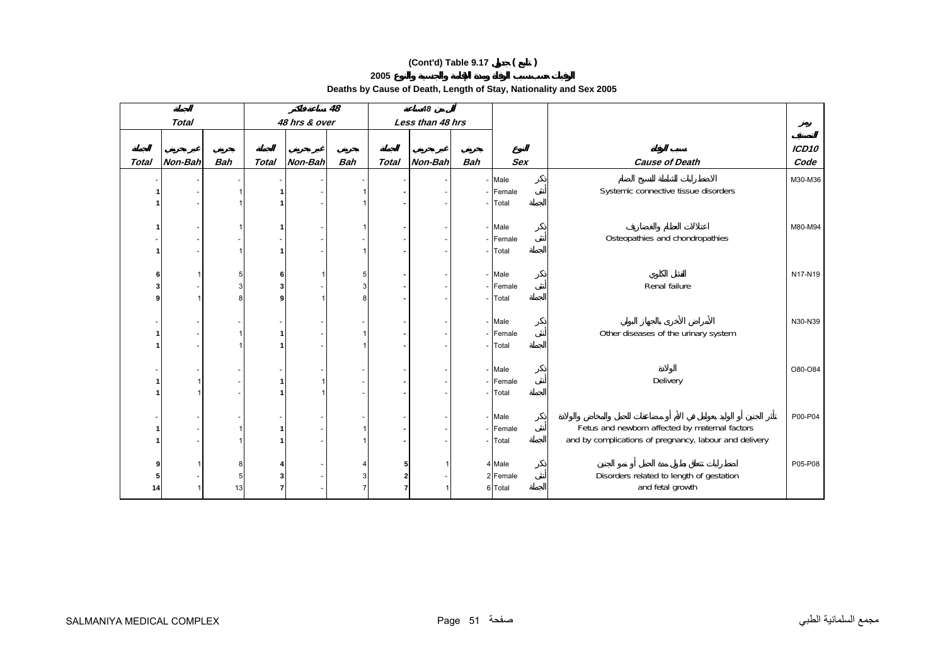**Deaths by Cause of Death, Length of Stay, Nationality and Sex 2005** 

|              |              |            |              |               | 48             |              | 48               |            |            |                                                        |                   |
|--------------|--------------|------------|--------------|---------------|----------------|--------------|------------------|------------|------------|--------------------------------------------------------|-------------------|
|              | <b>Total</b> |            |              | 48 hrs & over |                |              | Less than 48 hrs |            |            |                                                        |                   |
|              |              |            |              |               |                |              |                  |            |            |                                                        |                   |
|              |              |            |              |               |                |              |                  |            |            |                                                        | ICD <sub>10</sub> |
| <b>Total</b> | Non-Bah      | <b>Bah</b> | <b>Total</b> | Non-Bah       | <b>Bah</b>     | <b>Total</b> | Non-Bah          | <b>Bah</b> | <b>Sex</b> | <b>Cause of Death</b>                                  | Code              |
|              |              |            |              |               |                |              |                  |            | - Male     |                                                        | M30-M36           |
|              |              |            |              |               |                |              |                  |            | Female     | Systemic connective tissue disorders                   |                   |
|              |              |            |              |               | $\mathbf{1}$   |              |                  |            | Total      |                                                        |                   |
|              |              |            |              |               |                |              |                  |            |            |                                                        |                   |
|              |              |            |              |               | 1              |              |                  |            | - Male     |                                                        | M80-M94           |
|              |              |            |              |               |                |              |                  |            | - Female   | Osteopathies and chondropathies                        |                   |
|              |              |            |              |               | $\overline{1}$ |              |                  |            | Total      |                                                        |                   |
|              |              |            |              |               |                |              |                  |            |            |                                                        |                   |
| 6            |              | 5          | 6            |               | 5              |              |                  |            | - Male     |                                                        | N17-N19           |
|              |              | 3          |              |               | 3              |              |                  |            | - Female   | Renal failure                                          |                   |
| ۹            |              | 8          |              |               | 8              |              |                  |            | Total      |                                                        |                   |
|              |              |            |              |               |                |              |                  |            |            |                                                        |                   |
|              |              |            |              |               |                |              |                  |            | - Male     |                                                        | N30-N39           |
|              |              |            |              |               | $\mathbf 1$    |              |                  |            | - Female   | Other diseases of the urinary system                   |                   |
|              |              |            |              |               | $\mathbf{1}$   |              |                  |            | Total      |                                                        |                   |
|              |              |            |              |               |                |              |                  |            |            |                                                        |                   |
|              |              |            |              |               |                |              |                  |            | - Male     |                                                        | O80-O84           |
|              |              |            |              |               |                |              |                  |            | - Female   | Delivery                                               |                   |
|              |              |            |              |               |                |              |                  |            | Total      |                                                        |                   |
|              |              |            |              |               |                |              |                  |            |            |                                                        |                   |
|              |              |            |              |               |                |              |                  |            | - Male     |                                                        | P00-P04           |
|              |              |            |              |               | $\mathbf{1}$   |              |                  |            | - Female   | Fetus and newborn affected by maternal factors         |                   |
|              |              |            |              |               | $\mathbf{1}$   |              |                  |            | Total      | and by complications of pregnancy, labour and delivery |                   |
|              |              |            |              |               |                |              |                  |            |            |                                                        |                   |
|              |              | 8          |              |               | 4              | 5            |                  |            | 4 Male     |                                                        | P05-P08           |
|              |              | 5          |              |               | 3              | 2            |                  |            | 2 Female   | Disorders related to length of gestation               |                   |
| 14           |              | 13         |              |               | $\overline{7}$ | 7            |                  |            | 6 Total    | and fetal growth                                       |                   |
|              |              |            |              |               |                |              |                  |            |            |                                                        |                   |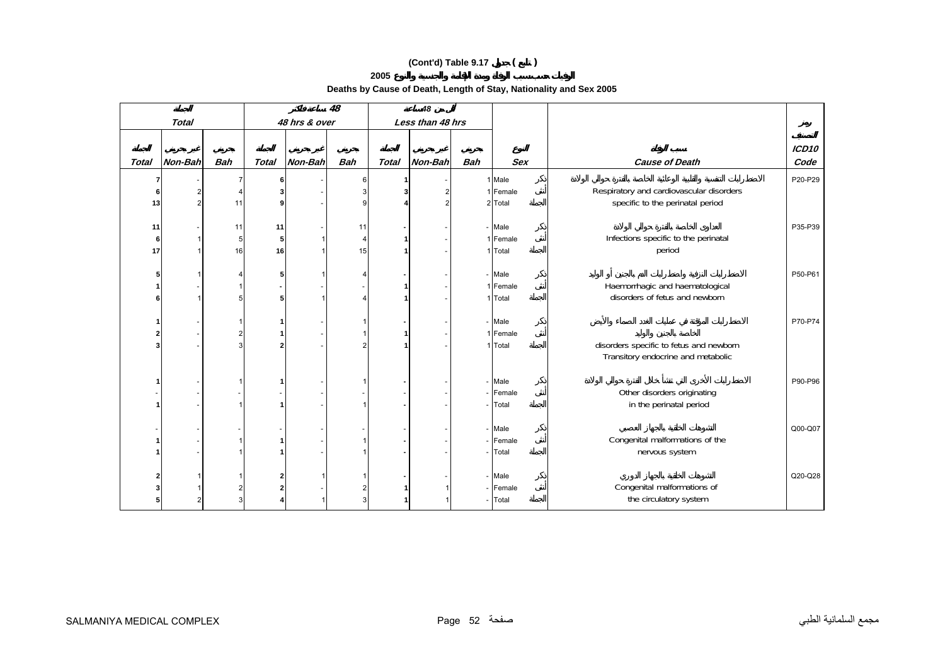**Deaths by Cause of Death, Length of Stay, Nationality and Sex 2005** 

|              |                          |            |              | 48            | 48             |              |                  |            |            |                                          |         |
|--------------|--------------------------|------------|--------------|---------------|----------------|--------------|------------------|------------|------------|------------------------------------------|---------|
|              | <b>Total</b>             |            |              | 48 hrs & over |                |              | Less than 48 hrs |            |            |                                          |         |
|              |                          |            |              |               |                |              |                  |            |            |                                          |         |
|              |                          |            |              |               |                |              |                  |            |            |                                          | ICD10   |
| <b>Total</b> | Non-Bah                  | <b>Bah</b> | <b>Total</b> | Non-Bah       | <b>Bah</b>     | <b>Total</b> | Non-Bah          | <b>Bah</b> | <b>Sex</b> | <b>Cause of Death</b>                    | Code    |
|              |                          |            |              |               | 6              |              |                  |            | 1 Male     |                                          | P20-P29 |
|              | $\overline{2}$           |            |              |               | 3              |              | 2                |            | 1 Female   | Respiratory and cardiovascular disorders |         |
| 13           | $\overline{2}$           | 11         |              |               | 9              |              |                  |            | 2 Total    | specific to the perinatal period         |         |
|              |                          |            |              |               |                |              |                  |            |            |                                          |         |
| 11           | $\overline{\phantom{a}}$ | 11         | 11           |               | 11             |              |                  |            | - Male     |                                          | P35-P39 |
| 6            | $\mathbf{1}$             | 5          |              |               | $\overline{4}$ |              |                  |            | 1 Female   | Infections specific to the perinatal     |         |
| 17           | $\mathbf{1}$             | 16         | 16           |               | 15             |              |                  |            | 1 Total    | period                                   |         |
|              |                          |            |              |               |                |              |                  |            |            |                                          |         |
|              |                          |            |              |               | 4              |              |                  |            | - Male     |                                          | P50-P61 |
|              |                          |            |              |               |                |              |                  |            | 1 Female   | Haemorrhagic and haematological          |         |
|              | $\mathbf{1}$             |            |              |               |                |              |                  |            | 1 Total    | disorders of fetus and newborn           |         |
|              |                          |            |              |               |                |              |                  |            |            |                                          |         |
|              | $\overline{\phantom{a}}$ |            |              |               |                |              |                  |            | - Male     |                                          | P70-P74 |
|              |                          |            |              |               |                |              |                  |            | 1 Female   |                                          |         |
|              |                          |            |              |               | $\overline{2}$ |              |                  |            | 1 Total    | disorders specific to fetus and newborn  |         |
|              |                          |            |              |               |                |              |                  |            |            | Transitory endocrine and metabolic       |         |
|              |                          |            |              |               |                |              |                  |            |            |                                          |         |
|              |                          |            |              |               |                |              |                  |            | - Male     |                                          | P90-P96 |
|              | $\overline{\phantom{a}}$ |            |              |               |                |              |                  |            | - Female   | Other disorders originating              |         |
|              | $\sim$                   |            |              |               |                |              |                  |            | - Total    | in the perinatal period                  |         |
|              |                          |            |              |               |                |              |                  |            |            |                                          |         |
|              |                          |            |              |               |                |              |                  |            | - Male     |                                          | Q00-Q07 |
|              |                          |            |              |               |                |              |                  |            | - Female   | Congenital malformations of the          |         |
|              | $\overline{\phantom{a}}$ |            |              |               |                |              |                  |            | - Total    | nervous system                           |         |
|              |                          |            |              |               |                |              |                  |            | - Male     |                                          | Q20-Q28 |
|              |                          |            |              |               |                |              |                  |            | - Female   | Congenital malformations of              |         |
|              |                          |            |              |               | $\overline{2}$ |              |                  |            |            | the circulatory system                   |         |
|              | $\overline{2}$           |            |              |               | 3              |              |                  |            | - Total    |                                          |         |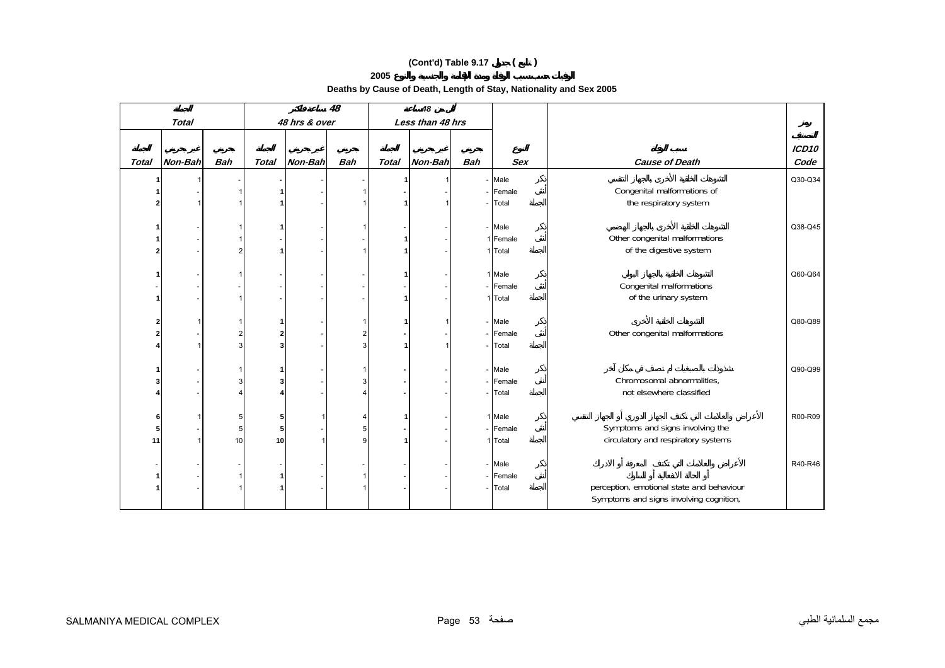**Deaths by Cause of Death, Length of Stay, Nationality and Sex 2005** 

|              |                          |            |              | 48            | 48                      |              |                  |            |            |                                           |               |
|--------------|--------------------------|------------|--------------|---------------|-------------------------|--------------|------------------|------------|------------|-------------------------------------------|---------------|
|              | <b>Total</b>             |            |              | 48 hrs & over |                         |              | Less than 48 hrs |            |            |                                           |               |
|              |                          |            |              |               |                         |              |                  |            |            |                                           |               |
| <b>Total</b> | Non-Bah                  | <b>Bah</b> | <b>Total</b> | Non-Bah       | <b>Bah</b>              | <b>Total</b> | Non-Bah          | <b>Bah</b> | <b>Sex</b> | <b>Cause of Death</b>                     | ICD10<br>Code |
|              |                          |            |              |               |                         |              |                  |            |            |                                           |               |
|              |                          |            |              |               |                         |              |                  |            | - Male     |                                           | Q30-Q34       |
|              |                          |            |              |               |                         |              |                  |            | - Female   | Congenital malformations of               |               |
|              |                          |            |              |               |                         |              |                  |            | - Total    | the respiratory system                    |               |
|              |                          |            |              |               |                         |              |                  |            |            |                                           |               |
|              | $\overline{\phantom{a}}$ |            |              |               |                         |              |                  |            | - Male     |                                           | Q38-Q45       |
|              |                          |            |              |               |                         |              |                  |            | 1 Female   | Other congenital malformations            |               |
|              | $\overline{\phantom{a}}$ |            |              |               |                         |              |                  |            | 1 Total    | of the digestive system                   |               |
|              |                          |            |              |               |                         |              |                  |            |            |                                           |               |
|              | $\overline{\phantom{a}}$ |            |              |               |                         |              |                  |            | 1 Male     |                                           | Q60-Q64       |
|              | $\overline{\phantom{a}}$ |            |              |               |                         |              |                  |            | - Female   | Congenital malformations                  |               |
|              | $\overline{\phantom{a}}$ |            |              |               |                         |              |                  |            | 1 Total    | of the urinary system                     |               |
|              |                          |            |              |               |                         |              |                  |            |            |                                           |               |
|              | $\mathbf 1$              |            |              |               |                         |              |                  |            | - Male     |                                           | Q80-Q89       |
|              |                          |            |              |               | $\overline{\mathbf{c}}$ |              |                  |            | - Female   | Other congenital malformations            |               |
|              | $\mathbf{1}$             |            |              |               | $\mathbf{3}$            |              |                  |            | - Total    |                                           |               |
|              |                          |            |              |               |                         |              |                  |            |            |                                           |               |
|              |                          |            |              |               |                         |              |                  |            | - Male     |                                           | Q90-Q99       |
|              |                          |            |              |               | 3                       |              |                  |            | - Female   | Chromosomal abnormalities,                |               |
|              | $\overline{\phantom{a}}$ |            |              |               |                         |              |                  |            | - Total    | not elsewhere classified                  |               |
|              |                          |            |              |               |                         |              |                  |            |            |                                           |               |
| 6            | 1                        | 5          |              |               | 4                       |              |                  |            | 1 Male     |                                           | R00-R09       |
| 5            | $\sim$                   | 5          |              |               | 5                       |              |                  |            | - Female   | Symptoms and signs involving the          |               |
| 11           | $\mathbf{1}$             | 10         | 10           |               | $\overline{9}$          |              |                  |            | 1 Total    | circulatory and respiratory systems       |               |
|              |                          |            |              |               |                         |              |                  |            |            |                                           |               |
|              | $\overline{\phantom{a}}$ |            |              |               |                         |              |                  |            | - Male     |                                           | R40-R46       |
|              |                          |            |              |               |                         |              |                  |            | - Female   |                                           |               |
|              |                          |            |              |               |                         |              |                  |            | - Total    | perception, emotional state and behaviour |               |
|              |                          |            |              |               |                         |              |                  |            |            | Symptoms and signs involving cognition,   |               |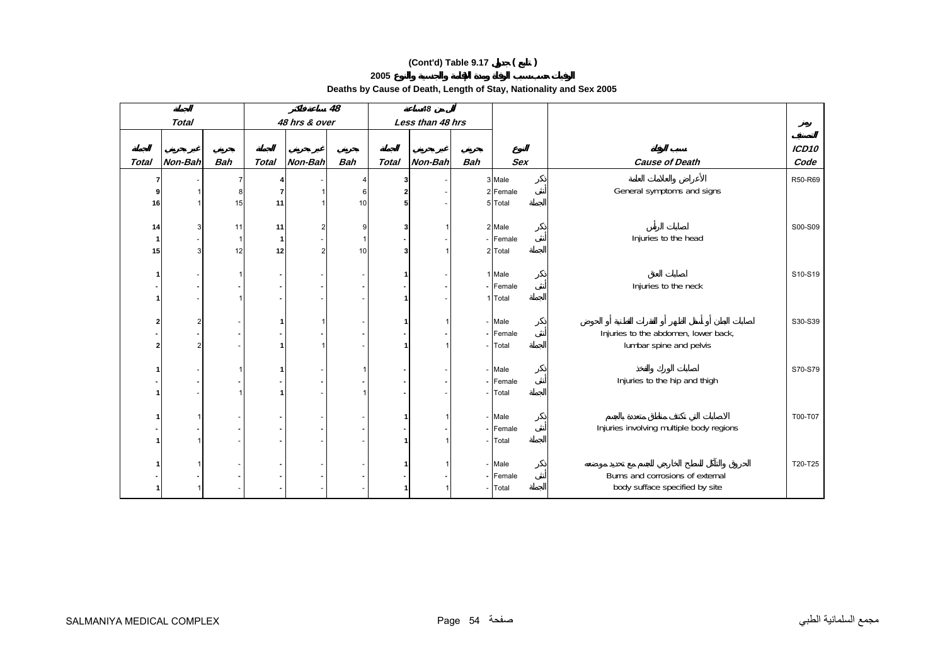**Deaths by Cause of Death, Length of Stay, Nationality and Sex 2005** 

|              |                |              |              |                | 48         |              | 48               |            |                    |                                          |         |
|--------------|----------------|--------------|--------------|----------------|------------|--------------|------------------|------------|--------------------|------------------------------------------|---------|
|              | <b>Total</b>   |              |              | 48 hrs & over  |            |              | Less than 48 hrs |            |                    |                                          |         |
|              |                |              |              |                |            |              |                  |            |                    |                                          | ICD10   |
| <b>Total</b> | Non-Bah        | <b>Bah</b>   | <b>Total</b> | Non-Bah        | <b>Bah</b> | <b>Total</b> | Non-Bah          | <b>Bah</b> | <b>Sex</b>         | <b>Cause of Death</b>                    | Code    |
|              |                |              |              |                |            |              |                  |            |                    |                                          |         |
| 7<br>9       |                | 7            |              |                | Δ          | 3            |                  |            | 3 Male<br>2 Female | General symptoms and signs               | R50-R69 |
| 16           | -1             | 8<br>15      | 11           |                | 6<br>10    | 5            |                  |            | 5 Total            |                                          |         |
|              |                |              |              |                |            |              |                  |            |                    |                                          |         |
| 14           | 3              | 11           | 11           |                | 9          |              |                  |            | 2 Male             |                                          | S00-S09 |
| -1           |                | $\mathbf{1}$ |              |                | 1          |              |                  |            | - Female           | Injuries to the head                     |         |
| 15           | $\mathbf{3}$   | 12           | 12           | $\overline{2}$ | 10         | 3            |                  |            | 2 Total            |                                          |         |
|              |                |              |              |                |            |              |                  |            |                    |                                          |         |
|              |                |              |              |                |            |              |                  |            | 1 Male             |                                          | S10-S19 |
|              |                |              |              |                |            |              |                  |            | - Female           | Injuries to the neck                     |         |
|              |                |              |              |                |            |              |                  |            | 1 Total            |                                          |         |
|              |                |              |              |                |            |              |                  |            |                    |                                          |         |
|              | $\overline{2}$ |              |              |                |            |              |                  |            | - Male             |                                          | S30-S39 |
|              |                |              |              |                |            |              |                  |            | - Female           | Injuries to the abdomen, lower back,     |         |
|              | $\overline{2}$ |              |              |                |            |              |                  |            | - Total            | lumbar spine and pelvis                  |         |
|              |                |              |              |                |            |              |                  |            |                    |                                          |         |
|              |                |              |              |                |            |              |                  |            | - Male             |                                          | S70-S79 |
|              |                |              |              |                |            |              |                  |            | - Female           | Injuries to the hip and thigh            |         |
|              |                |              |              |                |            |              |                  |            | - Total            |                                          |         |
|              | -1             |              |              |                |            |              |                  |            | - Male             |                                          | T00-T07 |
|              |                |              |              |                |            |              |                  |            | - Female           | Injuries involving multiple body regions |         |
|              |                |              |              |                |            |              |                  |            | - Total            |                                          |         |
|              |                |              |              |                |            |              |                  |            |                    |                                          |         |
|              |                |              |              |                |            |              |                  |            | - Male             |                                          | T20-T25 |
|              |                |              |              |                |            |              |                  |            | - Female           | Burns and corrosions of external         |         |
|              |                |              |              |                |            |              |                  |            | - Total            | body sufface specified by site           |         |
|              |                |              |              |                |            |              |                  |            |                    |                                          |         |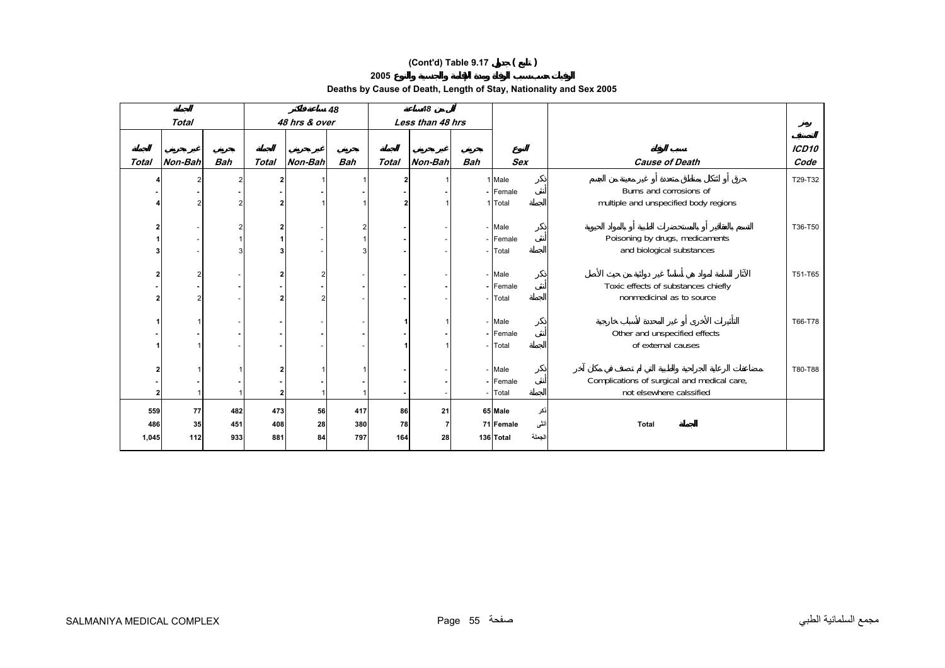**Deaths by Cause of Death, Length of Stay, Nationality and Sex 2005** 

|              |         |            |              | 48             |            | 48           |                  |            |                     |                                             |                           |
|--------------|---------|------------|--------------|----------------|------------|--------------|------------------|------------|---------------------|---------------------------------------------|---------------------------|
|              | Total   |            |              | 48 hrs & over  |            |              | Less than 48 hrs |            |                     |                                             |                           |
| <b>Total</b> | Non-Bah | <b>Bah</b> | <b>Total</b> | <b>Non-Bah</b> | <b>Bah</b> | <b>Total</b> | Non-Bah          | <b>Bah</b> | <b>Sex</b>          | <b>Cause of Death</b>                       | ICD <sub>10</sub><br>Code |
|              |         |            |              |                |            |              |                  |            | 1 Male              |                                             | T29-T32                   |
|              |         |            |              |                |            |              |                  |            | - Female            | Burns and corrosions of                     |                           |
|              |         |            |              |                |            |              |                  |            | 1 Total             | multiple and unspecified body regions       |                           |
|              |         |            |              |                |            |              |                  |            |                     |                                             |                           |
|              |         |            |              |                |            |              |                  |            | - Male              |                                             | T36-T50                   |
|              |         |            |              |                |            |              |                  |            | Female              | Poisoning by drugs, medicaments             |                           |
|              |         |            |              |                |            |              |                  |            | - Total             | and biological substances                   |                           |
|              |         |            |              |                |            |              |                  |            |                     |                                             |                           |
|              |         |            |              |                |            |              |                  |            | - Male<br>- Female  | Toxic effects of substances chiefly         | T51-T65                   |
|              |         |            |              |                |            |              |                  |            | - Total             | nonmedicinal as to source                   |                           |
|              |         |            |              |                |            |              |                  |            |                     |                                             |                           |
|              |         |            |              |                |            |              |                  |            | - Male              |                                             | T66-T78                   |
|              |         |            |              |                |            |              |                  |            | - Female            | Other and unspecified effects               |                           |
|              |         |            |              |                |            |              |                  |            | Total               | of external causes                          |                           |
|              |         |            |              |                |            |              |                  |            |                     |                                             |                           |
|              |         |            |              |                |            |              |                  |            | - Male              |                                             | T80-T88                   |
|              |         |            |              |                |            |              |                  |            | - Female            | Complications of surgical and medical care, |                           |
| 2            |         |            |              |                |            |              |                  |            | Total               | not elsewhere calssified                    |                           |
| 559          | 77      | 482        | 473          | 56             | 417        | 86           | 21               |            | 65 Male<br>نكر      |                                             |                           |
| 486          | 35      | 451        | 408          | 28             | 380        | 78           |                  |            | أنشى<br>71 Female   | <b>Total</b>                                |                           |
| 1,045        | 112     | 933        | 881          | 84             | 797        | 164          | 28               |            | الجملة<br>136 Total |                                             |                           |
|              |         |            |              |                |            |              |                  |            |                     |                                             |                           |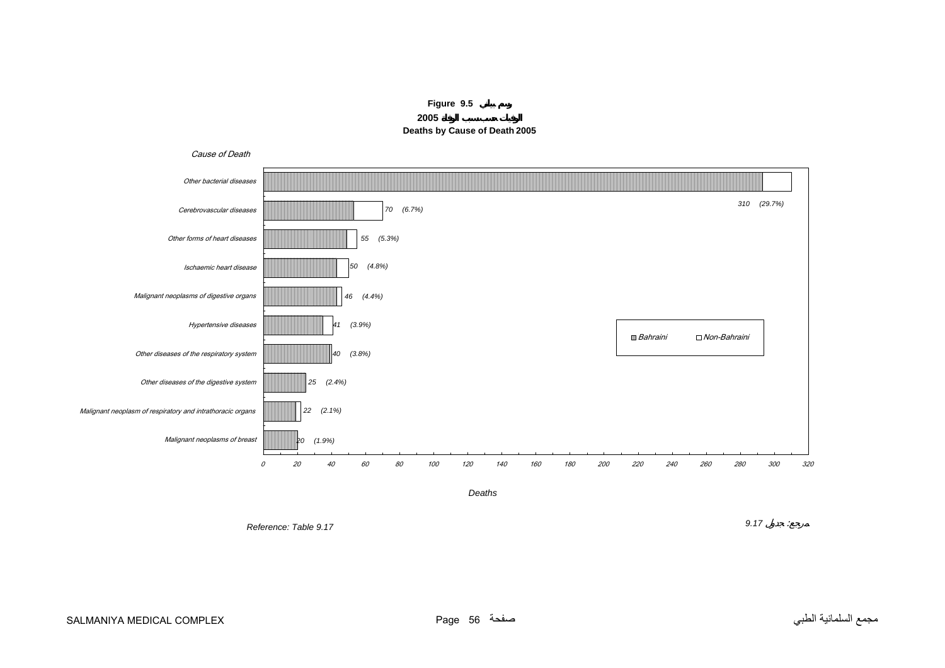

<span id="page-55-0"></span>

*Deaths*

*Reference: Table 9.17*

*9.17* :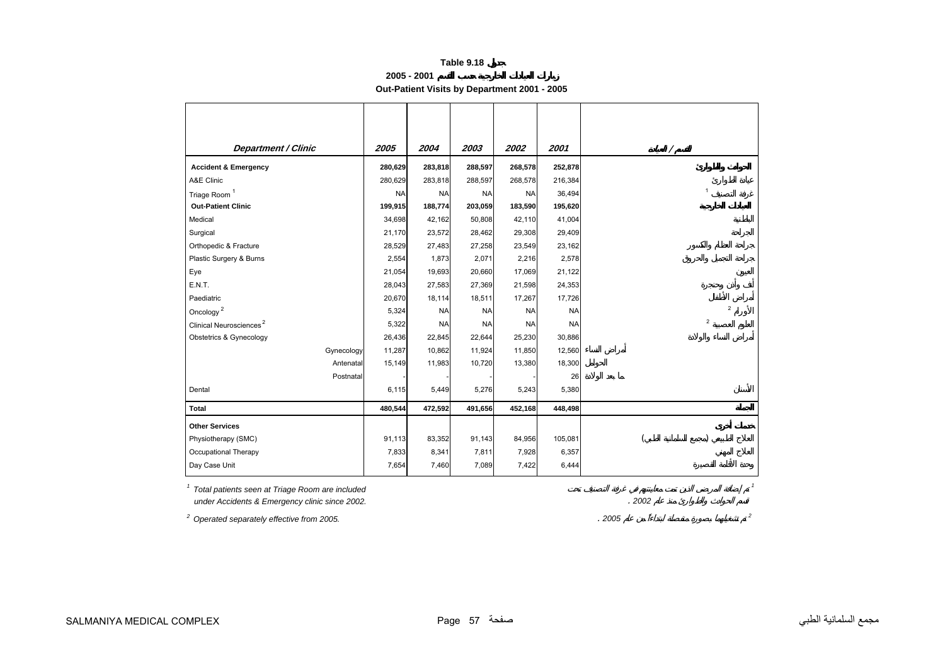**2005 - 2001**

**Out-Patient Visits by Department 2001 - 2005** 

<span id="page-56-0"></span>

| <b>Department / Clinic</b>          | 2005      | 2004      | 2003      | 2002      | 2001      |                |
|-------------------------------------|-----------|-----------|-----------|-----------|-----------|----------------|
| <b>Accident &amp; Emergency</b>     | 280,629   | 283,818   | 288,597   | 268,578   | 252,878   |                |
| A&E Clinic                          | 280,629   | 283,818   | 288,597   | 268,578   | 216,384   |                |
| Triage Room <sup>1</sup>            | <b>NA</b> | <b>NA</b> | <b>NA</b> | <b>NA</b> | 36,494    | $\mathbf{1}$   |
| <b>Out-Patient Clinic</b>           | 199,915   | 188,774   | 203,059   | 183,590   | 195,620   |                |
| Medical                             | 34,698    | 42,162    | 50,808    | 42,110    | 41,004    |                |
| Surgical                            | 21,170    | 23,572    | 28,462    | 29,308    | 29,409    |                |
| Orthopedic & Fracture               | 28,529    | 27,483    | 27,258    | 23,549    | 23,162    |                |
| Plastic Surgery & Burns             | 2,554     | 1,873     | 2,071     | 2,216     | 2,578     |                |
| Eye                                 | 21,054    | 19,693    | 20,660    | 17,069    | 21,122    |                |
| E.N.T.                              | 28,043    | 27,583    | 27,369    | 21,598    | 24,353    |                |
| Paediatric                          | 20,670    | 18,114    | 18,511    | 17,267    | 17,726    |                |
| Oncology $^2$                       | 5,324     | <b>NA</b> | <b>NA</b> | <b>NA</b> | <b>NA</b> | $\overline{2}$ |
| Clinical Neurosciences <sup>2</sup> | 5,322     | <b>NA</b> | <b>NA</b> | <b>NA</b> | <b>NA</b> | $\overline{2}$ |
| Obstetrics & Gynecology             | 26,436    | 22,845    | 22,644    | 25,230    | 30,886    |                |
| Gynecology                          | 11,287    | 10,862    | 11,924    | 11,850    | 12,560    |                |
| Antenatal                           | 15,149    | 11,983    | 10,720    | 13,380    | 18,300    |                |
| Postnatal                           |           |           |           |           | 26        |                |
| Dental                              | 6,115     | 5,449     | 5,276     | 5,243     | 5,380     |                |
| <b>Total</b>                        | 480,544   | 472,592   | 491,656   | 452,168   | 448,498   |                |
| <b>Other Services</b>               |           |           |           |           |           |                |
| Physiotherapy (SMC)                 | 91,113    | 83,352    | 91,143    | 84,956    | 105,081   |                |
| Occupational Therapy                | 7,833     | 8,341     | 7,811     | 7,928     | 6,357     |                |
| Day Case Unit                       | 7,654     | 7,460     | 7,089     | 7,422     | 6,444     |                |

*1 Total patients seen at Triage Room are included <sup>1</sup>*

 *under Accidents & Emergency clinic since 2002.* . *2002*

*2 Operated separately effective from 2005.* . *<sup>2005</sup> <sup>2</sup>*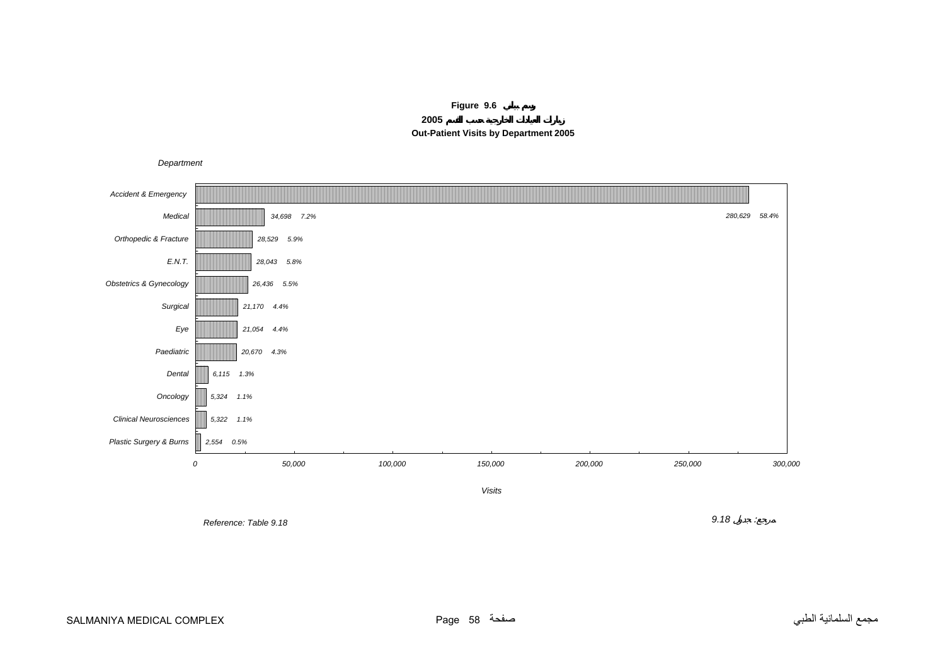**Figure 9.6**

**2005 Out-Patient Visits by Department 2005**

*Department*

<span id="page-57-0"></span>

*Reference: Table 9.18*

 $\overline{\phantom{a}}$  *8*  $\overline{\phantom{a}}$  *9.18*  $\overline{\phantom{a}}$  *9.18*  $\overline{\phantom{a}}$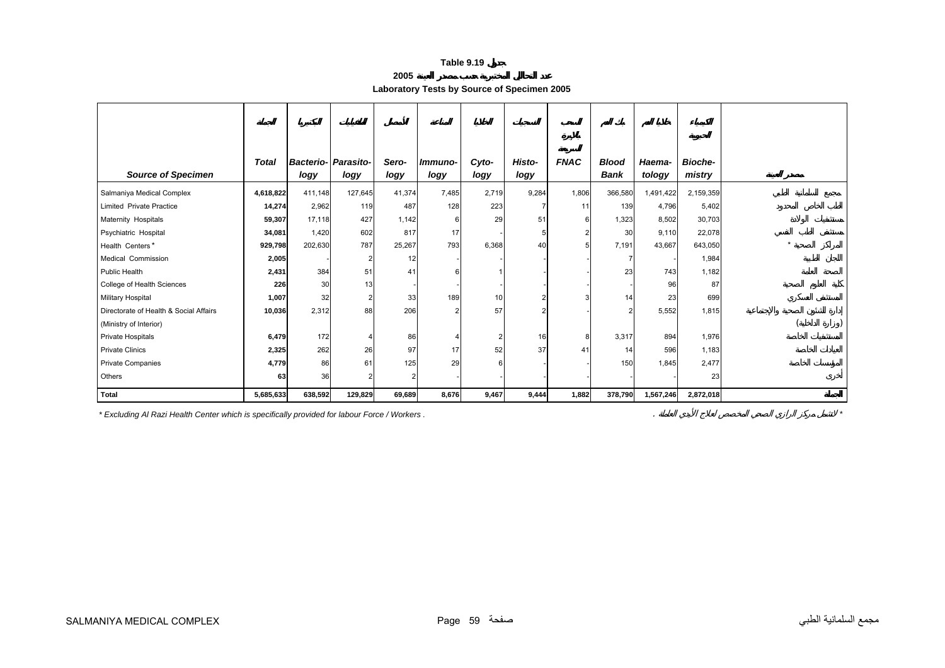| 2005 |
|------|
|------|

**Laboratory Tests by Source of Specimen 2005** 

<span id="page-58-0"></span>

|                                        | <b>Total</b> |         | <b>Bacterio- Parasito-</b> | Sero-  | Immuno- | Cyto-          | Histo-         | <b>FNAC</b> | <b>Blood</b>   | Haema-    | <b>Bioche-</b> |  |
|----------------------------------------|--------------|---------|----------------------------|--------|---------|----------------|----------------|-------------|----------------|-----------|----------------|--|
| <b>Source of Specimen</b>              |              | logy    | logy                       | logy   | logy    | logy           | logy           |             | Bank           | tology    | mistry         |  |
| Salmaniya Medical Complex              | 4,618,822    | 411,148 | 127,645                    | 41,374 | 7,485   | 2,719          | 9,284          | 1,806       | 366,580        | 1,491,422 | 2,159,359      |  |
| <b>Limited Private Practice</b>        | 14,274       | 2,962   | 119                        | 487    | 128     | 223            | 7              | 11          | 139            | 4,796     | 5,402          |  |
| Maternity Hospitals                    | 59,307       | 17,118  | 427                        | 1,142  |         | 29             | 51             |             | 1,323          | 8,502     | 30,703         |  |
| Psychiatric Hospital                   | 34,081       | 1,420   | 602                        | 817    | 17      |                | 5              |             | 30             | 9,110     | 22,078         |  |
| Health Centers*                        | 929,798      | 202,630 | 787                        | 25,267 | 793     | 6,368          | 40             |             | 7,191          | 43,667    | 643,050        |  |
| Medical Commission                     | 2,005        |         | 2                          | 12     |         |                |                |             | $\overline{7}$ |           | 1,984          |  |
| Public Health                          | 2,431        | 384     | 51                         | 41     |         |                |                |             | 23             | 743       | 1,182          |  |
| College of Health Sciences             | 226          | 30      | 13                         |        |         |                |                |             |                | 96        | 87             |  |
| Military Hospital                      | 1,007        | 32      | $\overline{2}$             | 33     | 189     | 10             | 2              |             | 14             | 23        | 699            |  |
| Directorate of Health & Social Affairs | 10,036       | 2,312   | 88                         | 206    |         | 57             | $\overline{2}$ |             | 2              | 5,552     | 1,815          |  |
| (Ministry of Interior)                 |              |         |                            |        |         |                |                |             |                |           |                |  |
| Private Hospitals                      | 6,479        | 172     |                            | 86     |         | $\overline{2}$ | 16             | 8           | 3,317          | 894       | 1,976          |  |
| <b>Private Clinics</b>                 | 2,325        | 262     | 26                         | 97     | 17      | 52             | 37             | 41          | 14             | 596       | 1,183          |  |
| <b>Private Companies</b>               | 4,779        | 86      | 61                         | 125    | 29      | 6              |                |             | 150            | 1,845     | 2,477          |  |
| Others                                 | 63           | 36      |                            |        |         |                |                |             |                |           | 23             |  |
| <b>Total</b>                           | 5,685,633    | 638,592 | 129,829                    | 69,689 | 8,676   | 9,467          | 9,444          | 1,882       | 378,790        | 1,567,246 | 2,872,018      |  |

*\* Excluding Al Razi Health Center which is specifically provided for labour Force / Workers .* . *\**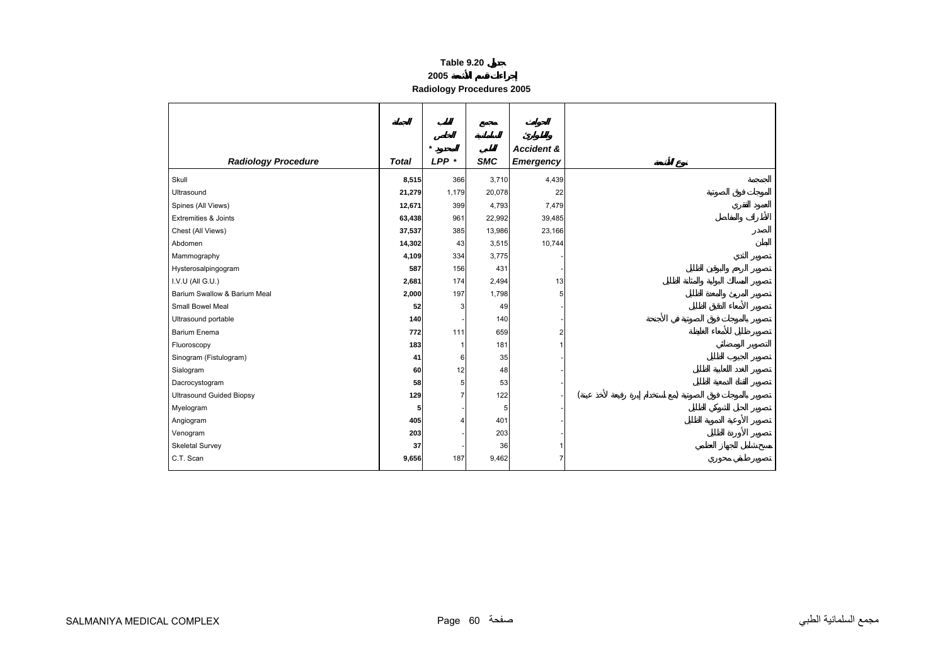**Radiology Procedures 2005** 

<span id="page-59-0"></span>

|                                 |                 | $\star$        |            | <b>Accident &amp;</b> |  |
|---------------------------------|-----------------|----------------|------------|-----------------------|--|
| <b>Radiology Procedure</b>      | <b>Total</b>    | $LPP$ *        | <b>SMC</b> | <b>Emergency</b>      |  |
| Skull                           | 8,515           | 366            | 3,710      | 4,439                 |  |
| Ultrasound                      | 21,279          | 1,179          | 20,078     | 22                    |  |
| Spines (All Views)              | 12,671          | 399            | 4,793      | 7,479                 |  |
| <b>Extremities &amp; Joints</b> | 63,438          | 961            | 22,992     | 39,485                |  |
| Chest (All Views)               | 37,537          | 385            | 13,986     | 23,166                |  |
| Abdomen                         | 14,302          | 43             | 3,515      | 10,744                |  |
| Mammography                     | 4,109           | 334            | 3,775      |                       |  |
| Hysterosalpingogram             | 587             | 156            | 431        |                       |  |
| I.V.U (All G.U.)                | 2,681           | 174            | 2,494      | 13                    |  |
| Barium Swallow & Barium Meal    | 2,000           | 197            | 1,798      | 5                     |  |
| Small Bowel Meal                | 52              | 3              | 49         |                       |  |
| Ultrasound portable             | 140             |                | 140        |                       |  |
| <b>Barium Enema</b>             | 772             | 111            | 659        |                       |  |
| Fluoroscopy                     | 183             | -1             | 181        |                       |  |
| Sinogram (Fistulogram)          | 41              | 6              | 35         |                       |  |
| Sialogram                       | 60              | 12             | 48         |                       |  |
| Dacrocystogram                  | 58              | 5              | 53         |                       |  |
| <b>Ultrasound Guided Biopsy</b> | 129             | $\overline{7}$ | 122        |                       |  |
| Myelogram                       | $5\phantom{.0}$ |                | 5          |                       |  |
| Angiogram                       | 405             | 4              | 401        |                       |  |
| Venogram                        | 203             |                | 203        |                       |  |
| Skeletal Survey                 | 37              |                | 36         |                       |  |
| C.T. Scan                       | 9,656           | 187            | 9,462      |                       |  |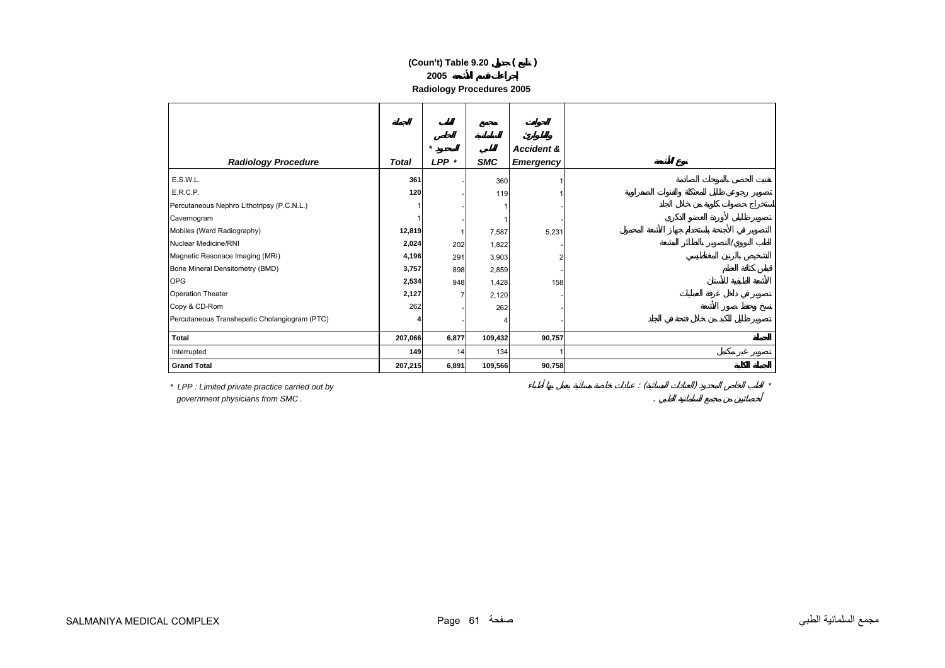# **2005 (Coun't) Table 9.20 ( )**

| <b>Radiology Procedures 2005</b> |  |  |
|----------------------------------|--|--|
|----------------------------------|--|--|

|                                               |              | $\star$ |            | Accident &       |  |  |
|-----------------------------------------------|--------------|---------|------------|------------------|--|--|
| <b>Radiology Procedure</b>                    | <b>Total</b> | $LPP$ * | <b>SMC</b> | <b>Emergency</b> |  |  |
| E.S.W.L.                                      | 361          |         | 360        |                  |  |  |
| E.R.C.P.                                      | 120          |         | 119        |                  |  |  |
| Percutaneous Nephro Lithotripsy (P.C.N.L.)    |              |         |            |                  |  |  |
| Cavernogram                                   |              |         |            |                  |  |  |
| Mobiles (Ward Radiography)                    | 12,819       |         | 7,587      | 5,231            |  |  |
| Nuclear Medicine/RNI                          | 2,024        | 202     | 1,822      |                  |  |  |
| Magnetic Resonace Imaging (MRI)               | 4,196        | 291     | 3,903      |                  |  |  |
| Bone Mineral Densitometry (BMD)               | 3,757        | 898     | 2,859      |                  |  |  |
| <b>OPG</b>                                    | 2,534        | 948     | 1,428      | 158              |  |  |
| <b>Operation Theater</b>                      | 2,127        |         | 2,120      |                  |  |  |
| Copy & CD-Rom                                 | 262          |         | 262        |                  |  |  |
| Percutaneous Transhepatic Cholangiogram (PTC) |              |         |            |                  |  |  |
| Total                                         | 207,066      | 6,877   | 109,432    | 90,757           |  |  |
| Interrupted                                   | 149          | 14      | 134        |                  |  |  |
| <b>Grand Total</b>                            | 207,215      | 6,891   | 109,566    | 90,758           |  |  |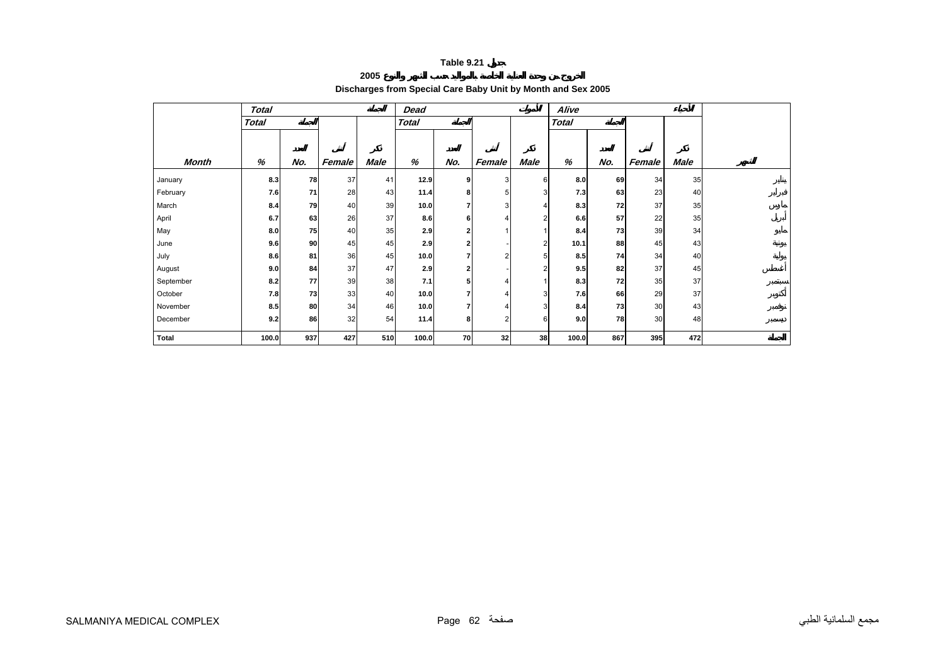#### **2005**

### **Discharges from Special Care Baby Unit by Month and Sex 2005**

<span id="page-61-0"></span>

| <b>Total</b> |              |     |        |             | Dead         |                |                |                         | Alive        |     |        |             |  |
|--------------|--------------|-----|--------|-------------|--------------|----------------|----------------|-------------------------|--------------|-----|--------|-------------|--|
|              | <b>Total</b> |     |        |             | <b>Total</b> |                |                |                         | <b>Total</b> |     |        |             |  |
|              |              |     |        |             |              |                |                |                         |              |     |        |             |  |
|              |              |     |        |             |              |                |                |                         |              |     |        |             |  |
| Month        | %            | No. | Female | <b>Male</b> | %            | No.            | Female         | <b>Male</b>             | %            | No. | Female | <b>Male</b> |  |
| January      | 8.3          | 78  | 37     | 41          | 12.9         | 9              | 3 <sup>1</sup> | 6                       | 8.0          | 69  | 34     | 35          |  |
| February     | 7.6          | 71  | 28     | 43          | 11.4         | 8              | 5              | 3                       | 7.3          | 63  | 23     | 40          |  |
| March        | 8.4          | 79  | 40     | 39          | 10.0         | 7              | 3              | 4                       | 8.3          | 72  | 37     | 35          |  |
| April        | 6.7          | 63  | 26     | 37          | 8.6          | 6              | 4              | 2                       | 6.6          | 57  | 22     | 35          |  |
| May          | 8.0          | 75  | 40     | 35          | 2.9          | 2              |                |                         | 8.4          | 73  | 39     | 34          |  |
| June         | 9.6          | 90  | 45     | 45          | 2.9          | $\overline{2}$ |                | $\overline{\mathbf{c}}$ | 10.1         | 88  | 45     | 43          |  |
| July         | 8.6          | 81  | 36     | 45          | 10.0         | 7              | $\overline{2}$ | 5                       | 8.5          | 74  | 34     | 40          |  |
| August       | 9.0          | 84  | 37     | 47          | 2.9          | 2              |                | 2                       | 9.5          | 82  | 37     | 45          |  |
| September    | 8.2          | 77  | 39     | 38          | 7.1          | 5              | 4              |                         | 8.3          | 72  | 35     | 37          |  |
| October      | 7.8          | 73  | 33     | 40          | 10.0         | 7              | 4              | 3                       | 7.6          | 66  | 29     | 37          |  |
| November     | 8.5          | 80  | 34     | 46          | 10.0         | 7              | 4              | 3                       | 8.4          | 73  | 30     | 43          |  |
| December     | 9.2          | 86  | 32     | 54          | 11.4         | 8              | $\overline{2}$ | 6                       | 9.0          | 78  | 30     | 48          |  |
| <b>Total</b> | 100.0        | 937 | 427    | 510         | 100.0        | 70             | 32             | 38                      | 100.0        | 867 | 395    | 472         |  |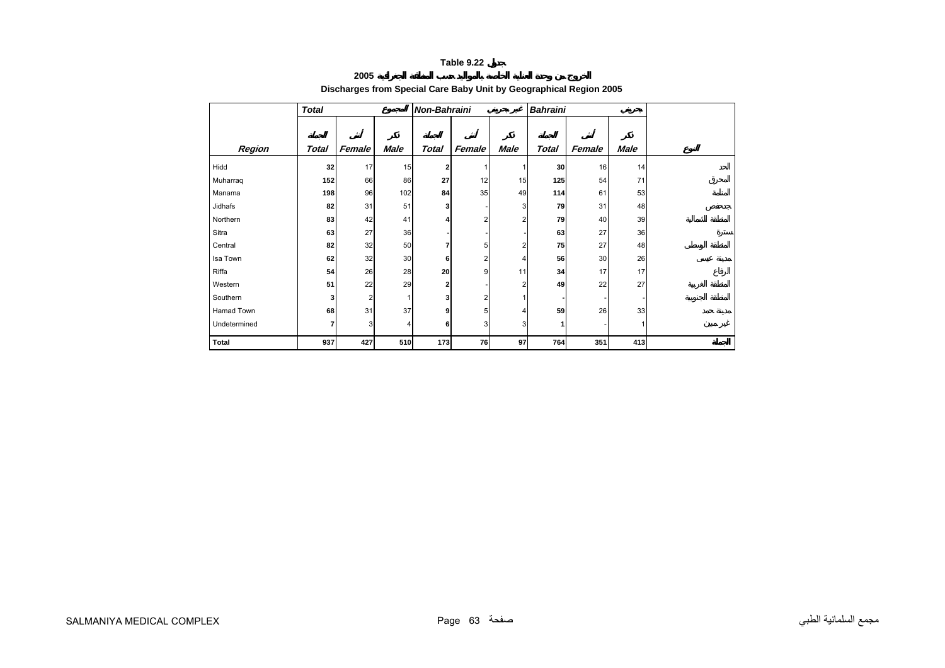#### **2005**

### **Discharges from Special Care Baby Unit by Geographical Region 2005**

<span id="page-62-0"></span>

|              | <b>Total</b> |        |             | <b>Non-Bahraini</b> |        |             | <b>Bahraini</b> |        |             |  |
|--------------|--------------|--------|-------------|---------------------|--------|-------------|-----------------|--------|-------------|--|
|              |              |        |             |                     |        |             |                 |        |             |  |
| Region       | Total        | Female | <b>Male</b> | <b>Total</b>        | Female | <b>Male</b> | <b>Total</b>    | Female | <b>Male</b> |  |
| Hidd         | 32           | 17     | 15          | 2                   |        |             | 30              | 16     | 14          |  |
| Muharraq     | 152          | 66     | 86          | 27                  | 12     | 15          | 125             | 54     | 71          |  |
| Manama       | 198          | 96     | 102         | 84                  | 35     | 49          | 114             | 61     | 53          |  |
| Jidhafs      | 82           | 31     | 51          | 3                   |        | 3           | 79              | 31     | 48          |  |
| Northern     | 83           | 42     | 41          |                     |        | 2           | 79              | 40     | 39          |  |
| Sitra        | 63           | 27     | 36          |                     |        |             | 63              | 27     | 36          |  |
| Central      | 82           | 32     | 50          |                     | 5      | っ           | 75              | 27     | 48          |  |
| Isa Town     | 62           | 32     | 30          | 6                   |        | 4           | 56              | 30     | 26          |  |
| Riffa        | 54           | 26     | 28          | 20                  | 9      | 11          | 34              | 17     | 17          |  |
| Western      | 51           | 22     | 29          | 2                   |        | 2           | 49              | 22     | 27          |  |
| Southern     | 3            | 2      | 1           | 3                   |        |             |                 |        |             |  |
| Hamad Town   | 68           | 31     | 37          | 9                   | 5      | Δ           | 59              | 26     | 33          |  |
| Undetermined | 7            | 3      | 4           | 6                   | 3      | 3           | 1               |        |             |  |
| Total        | 937          | 427    | 510         | 173                 | 76     | 97          | 764             | 351    | 413         |  |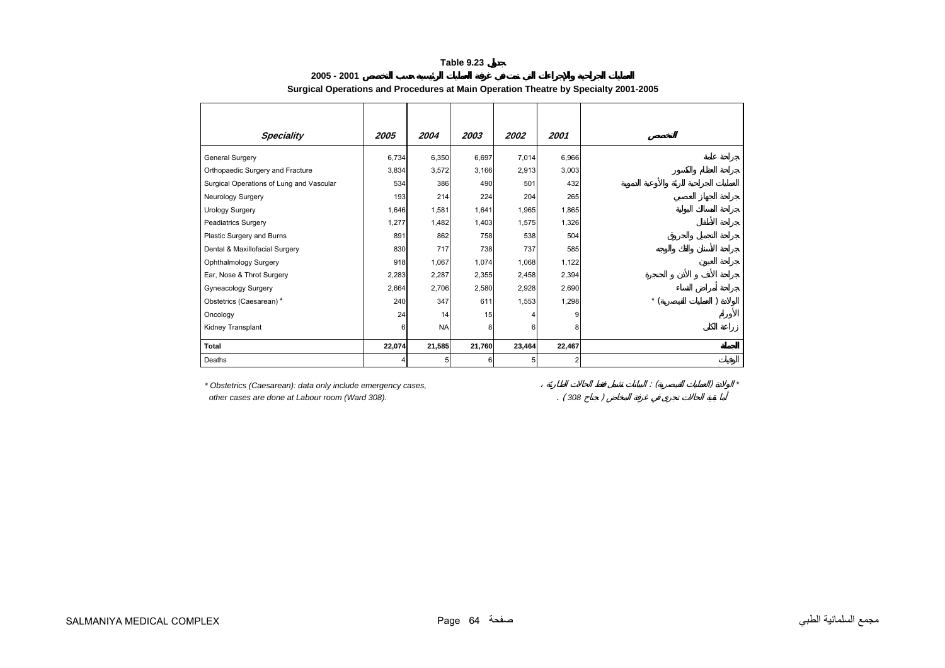<span id="page-63-0"></span>

| <b>Speciality</b>                                                                                               | 2005                    | 2004      | 2003   | 2002   | 2001   |       |  |
|-----------------------------------------------------------------------------------------------------------------|-------------------------|-----------|--------|--------|--------|-------|--|
| General Surgery                                                                                                 | 6,734                   | 6,350     | 6,697  | 7,014  | 6,966  |       |  |
| Orthopaedic Surgery and Fracture                                                                                | 3,834                   | 3,572     | 3,166  | 2,913  | 3,003  |       |  |
| Surgical Operations of Lung and Vascular                                                                        | 534                     | 386       | 490    | 501    | 432    |       |  |
| Neurology Surgery                                                                                               | 193                     | 214       | 224    | 204    | 265    |       |  |
| <b>Urology Surgery</b>                                                                                          | 1,646                   | 1,581     | 1,641  | 1,965  | 1,865  |       |  |
| <b>Peadiatrics Surgery</b>                                                                                      | 1,277                   | 1,482     | 1,403  | 1,575  | 1,326  |       |  |
| Plastic Surgery and Burns                                                                                       | 891                     | 862       | 758    | 538    | 504    |       |  |
| Dental & Maxillofacial Surgery                                                                                  | 830                     | 717       | 738    | 737    | 585    |       |  |
| Ophthalmology Surgery                                                                                           | 918                     | 1,067     | 1,074  | 1,068  | 1,122  |       |  |
| Ear, Nose & Throt Surgery                                                                                       | 2,283                   | 2,287     | 2,355  | 2,458  | 2,394  |       |  |
| <b>Gyneacology Surgery</b>                                                                                      | 2,664                   | 2,706     | 2,580  | 2,928  | 2,690  |       |  |
| Obstetrics (Caesarean)*                                                                                         | 240                     | 347       | 611    | 1,553  | 1,298  | $*$ ( |  |
| Oncology                                                                                                        | 24                      | 14        | 15     |        |        |       |  |
| Kidney Transplant                                                                                               |                         | <b>NA</b> | 8      | 6      |        |       |  |
| Total                                                                                                           | 22,074                  | 21,585    | 21,760 | 23,464 | 22,467 |       |  |
| Deaths                                                                                                          |                         | 5         | 6      | 5      | 2      |       |  |
|                                                                                                                 |                         |           |        |        |        |       |  |
| * Obstetrics (Caesarean): data only include emergency cases,<br>other cases are done at Labour room (Ward 308). | $\therefore$ (<br>(308) |           |        |        |        |       |  |

#### **Surgical Operations and Procedures at Main Operation Theatre by Specialty 2001-2005**

**2005 - 2001**

مجمع السلمانية الطبي صفحة 64 Page COMPLEX MEDICAL SALMANIYA